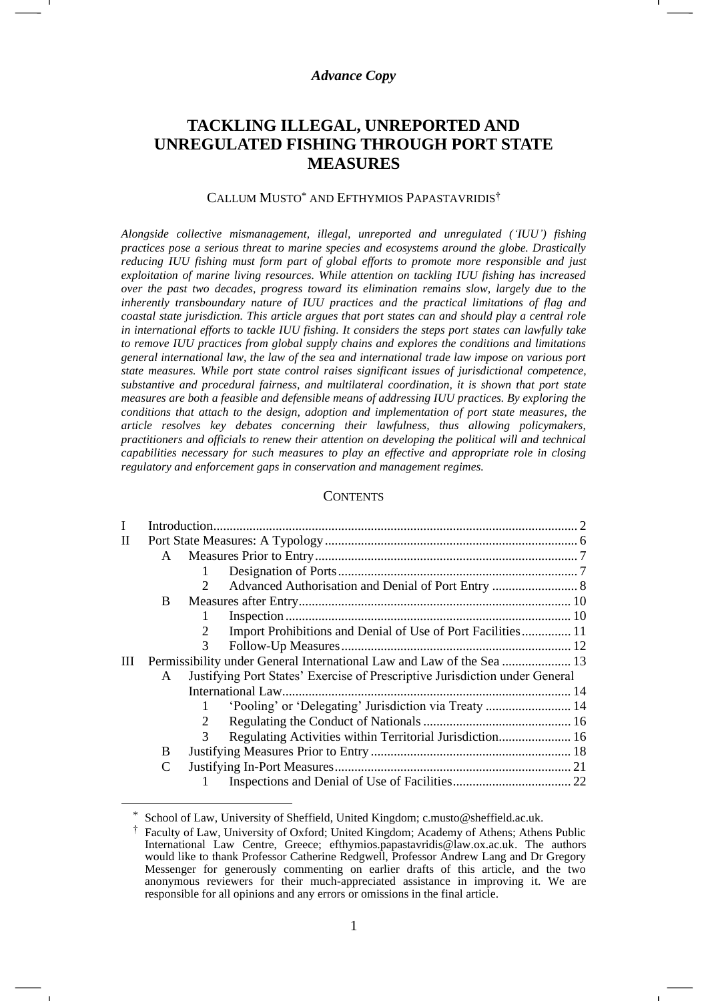#### *Advance Copy*

# **TACKLING ILLEGAL, UNREPORTED AND UNREGULATED FISHING THROUGH PORT STATE MEASURES**

#### CALLUM MUSTO\* AND EFTHYMIOS PAPASTAVRIDIS†

*Alongside collective mismanagement, illegal, unreported and unregulated ('IUU') fishing practices pose a serious threat to marine species and ecosystems around the globe. Drastically reducing IUU fishing must form part of global efforts to promote more responsible and just exploitation of marine living resources. While attention on tackling IUU fishing has increased over the past two decades, progress toward its elimination remains slow, largely due to the inherently transboundary nature of IUU practices and the practical limitations of flag and coastal state jurisdiction. This article argues that port states can and should play a central role in international efforts to tackle IUU fishing. It considers the steps port states can lawfully take to remove IUU practices from global supply chains and explores the conditions and limitations general international law, the law of the sea and international trade law impose on various port state measures. While port state control raises significant issues of jurisdictional competence, substantive and procedural fairness, and multilateral coordination, it is shown that port state measures are both a feasible and defensible means of addressing IUU practices. By exploring the conditions that attach to the design, adoption and implementation of port state measures, the article resolves key debates concerning their lawfulness, thus allowing policymakers, practitioners and officials to renew their attention on developing the political will and technical capabilities necessary for such measures to play an effective and appropriate role in closing regulatory and enforcement gaps in conservation and management regimes.*

#### **CONTENTS**

| L |                                                                       |                                                                             |  |  |  |  |
|---|-----------------------------------------------------------------------|-----------------------------------------------------------------------------|--|--|--|--|
| П |                                                                       |                                                                             |  |  |  |  |
|   | $\mathbf{A}$                                                          |                                                                             |  |  |  |  |
|   |                                                                       |                                                                             |  |  |  |  |
|   |                                                                       | $\mathcal{D}$                                                               |  |  |  |  |
|   | B                                                                     |                                                                             |  |  |  |  |
|   |                                                                       |                                                                             |  |  |  |  |
|   |                                                                       | Import Prohibitions and Denial of Use of Port Facilities 11                 |  |  |  |  |
|   |                                                                       | 3                                                                           |  |  |  |  |
| Ш | Permissibility under General International Law and Law of the Sea  13 |                                                                             |  |  |  |  |
|   | A                                                                     | Justifying Port States' Exercise of Prescriptive Jurisdiction under General |  |  |  |  |
|   |                                                                       |                                                                             |  |  |  |  |
|   |                                                                       | 'Pooling' or 'Delegating' Jurisdiction via Treaty  14                       |  |  |  |  |
|   |                                                                       |                                                                             |  |  |  |  |
|   |                                                                       | Regulating Activities within Territorial Jurisdiction 16<br>$\mathcal{R}$   |  |  |  |  |
|   | B                                                                     |                                                                             |  |  |  |  |
|   | C                                                                     |                                                                             |  |  |  |  |
|   |                                                                       |                                                                             |  |  |  |  |
|   |                                                                       |                                                                             |  |  |  |  |

School of Law, University of Sheffield, United Kingdom; c.musto@sheffield.ac.uk.

<sup>†</sup> Faculty of Law, University of Oxford; United Kingdom; Academy of Athens; Athens Public International Law Centre, Greece; [efthymios.papastavridis@law.ox.ac.uk.](mailto:efthymios.papastavridis@law.ox.ac.uk) The authors would like to thank Professor Catherine Redgwell, Professor Andrew Lang and Dr Gregory Messenger for generously commenting on earlier drafts of this article, and the two anonymous reviewers for their much-appreciated assistance in improving it. We are responsible for all opinions and any errors or omissions in the final article.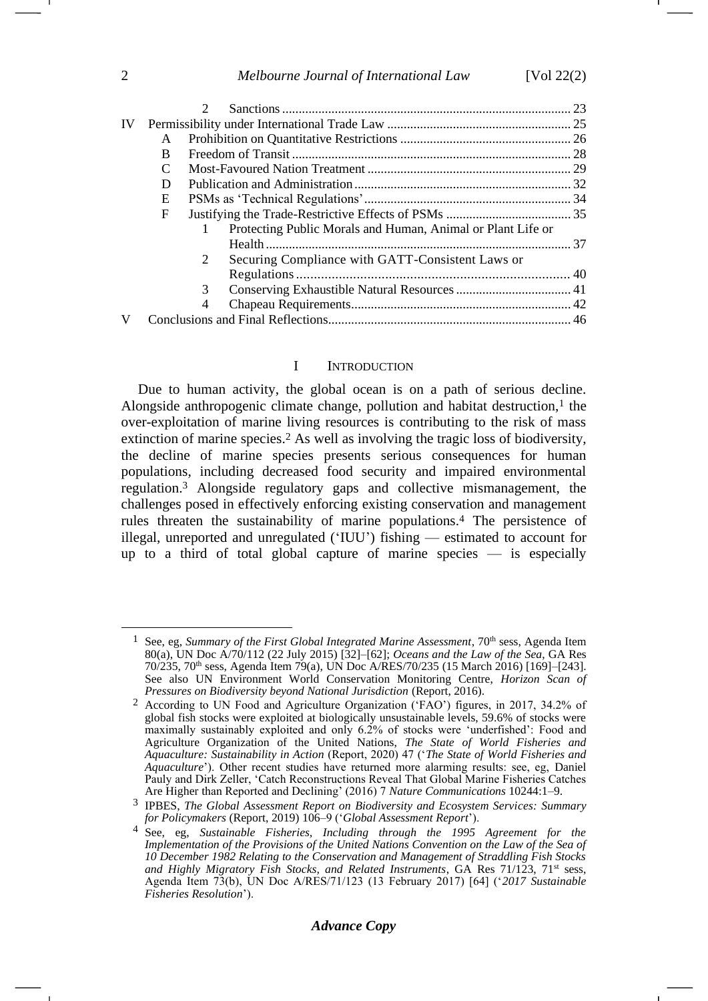| <b>IV</b> |              |   |                                                             |  |  |
|-----------|--------------|---|-------------------------------------------------------------|--|--|
|           | A            |   |                                                             |  |  |
|           | <sub>R</sub> |   |                                                             |  |  |
|           | C            |   |                                                             |  |  |
|           | D            |   |                                                             |  |  |
|           | E            |   |                                                             |  |  |
|           | F            |   |                                                             |  |  |
|           |              |   | Protecting Public Morals and Human, Animal or Plant Life or |  |  |
|           |              |   |                                                             |  |  |
|           |              | 2 | Securing Compliance with GATT-Consistent Laws or            |  |  |
|           |              |   |                                                             |  |  |
|           |              | 3 |                                                             |  |  |
|           |              | 4 |                                                             |  |  |
|           |              |   |                                                             |  |  |
|           |              |   |                                                             |  |  |

#### <span id="page-1-2"></span><span id="page-1-1"></span>I INTRODUCTION

<span id="page-1-0"></span>Due to human activity, the global ocean is on a path of serious decline. Alongside anthropogenic climate change, pollution and habitat destruction, $<sup>1</sup>$  the</sup> over-exploitation of marine living resources is contributing to the risk of mass extinction of marine species.<sup>2</sup> As well as involving the tragic loss of biodiversity, the decline of marine species presents serious consequences for human populations, including decreased food security and impaired environmental regulation.<sup>3</sup> Alongside regulatory gaps and collective mismanagement, the challenges posed in effectively enforcing existing conservation and management rules threaten the sustainability of marine populations.<sup>4</sup> The persistence of illegal, unreported and unregulated ('IUU') fishing — estimated to account for up to a third of total global capture of marine species  $-$  is especially

See, eg, *Summary of the First Global Integrated Marine Assessment*, 70<sup>th</sup> sess, Agenda Item 80(a), UN Doc A/70/112 (22 July 2015) [32]–[62]; *Oceans and the Law of the Sea*, GA Res 70/235, 70th sess, Agenda Item 79(a), UN Doc A/RES/70/235 (15 March 2016) [169]–[243]. See also UN Environment World Conservation Monitoring Centre, *Horizon Scan of Pressures on Biodiversity beyond National Jurisdiction* (Report, 2016).

<sup>2</sup> According to UN Food and Agriculture Organization ('FAO') figures, in 2017, 34.2% of global fish stocks were exploited at biologically unsustainable levels, 59.6% of stocks were maximally sustainably exploited and only 6.2% of stocks were 'underfished': Food and Agriculture Organization of the United Nations, *The State of World Fisheries and Aquaculture: Sustainability in Action* (Report, 2020) 47 ('*The State of World Fisheries and Aquaculture*'). Other recent studies have returned more alarming results: see, eg, Daniel Pauly and Dirk Zeller, 'Catch Reconstructions Reveal That Global Marine Fisheries Catches Are Higher than Reported and Declining' (2016) 7 *Nature Communications* 10244:1–9.

<sup>3</sup> IPBES, *The Global Assessment Report on Biodiversity and Ecosystem Services: Summary for Policymakers* (Report, 2019) 106–9 ('*Global Assessment Report*').

<sup>4</sup> See, eg, *Sustainable Fisheries, Including through the 1995 Agreement for the Implementation of the Provisions of the United Nations Convention on the Law of the Sea of 10 December 1982 Relating to the Conservation and Management of Straddling Fish Stocks*  and Highly Migratory Fish Stocks, and Related Instruments, GA Res 71/123, 71<sup>st</sup> sess, Agenda Item 73(b), UN Doc A/RES/71/123 (13 February 2017) [64] ('*2017 Sustainable Fisheries Resolution*').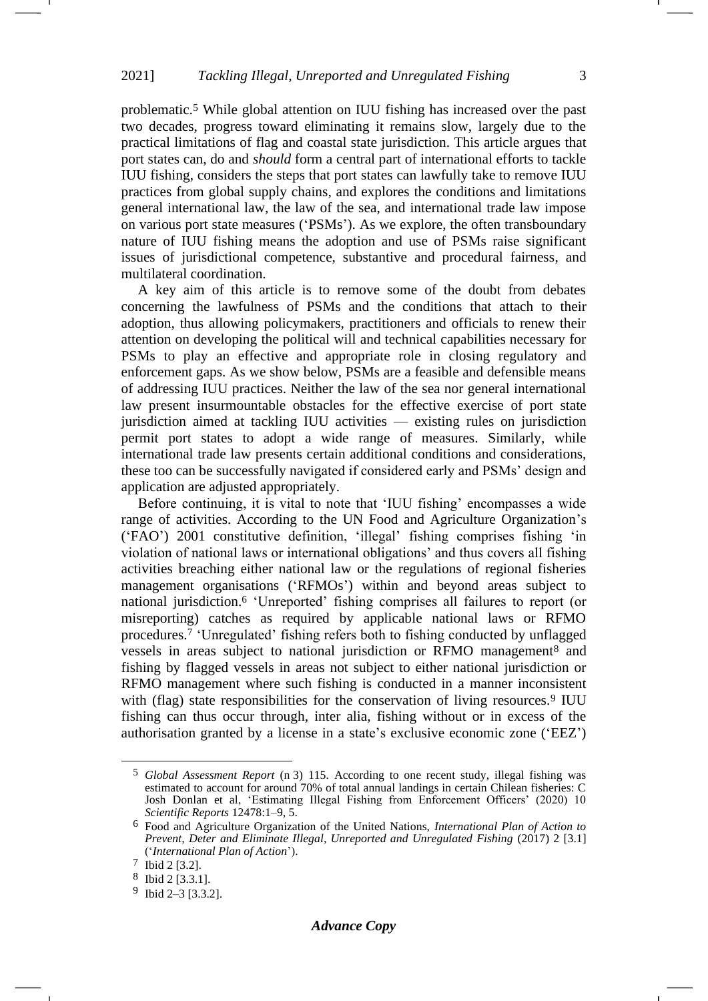problematic.<sup>5</sup> While global attention on IUU fishing has increased over the past two decades, progress toward eliminating it remains slow, largely due to the practical limitations of flag and coastal state jurisdiction. This article argues that port states can, do and *should* form a central part of international efforts to tackle IUU fishing, considers the steps that port states can lawfully take to remove IUU practices from global supply chains, and explores the conditions and limitations general international law, the law of the sea, and international trade law impose on various port state measures ('PSMs'). As we explore, the often transboundary nature of IUU fishing means the adoption and use of PSMs raise significant issues of jurisdictional competence, substantive and procedural fairness, and multilateral coordination.

A key aim of this article is to remove some of the doubt from debates concerning the lawfulness of PSMs and the conditions that attach to their adoption, thus allowing policymakers, practitioners and officials to renew their attention on developing the political will and technical capabilities necessary for PSMs to play an effective and appropriate role in closing regulatory and enforcement gaps. As we show below, PSMs are a feasible and defensible means of addressing IUU practices. Neither the law of the sea nor general international law present insurmountable obstacles for the effective exercise of port state jurisdiction aimed at tackling IUU activities — existing rules on jurisdiction permit port states to adopt a wide range of measures. Similarly, while international trade law presents certain additional conditions and considerations, these too can be successfully navigated if considered early and PSMs' design and application are adjusted appropriately.

<span id="page-2-0"></span>Before continuing, it is vital to note that 'IUU fishing' encompasses a wide range of activities. According to the UN Food and Agriculture Organization's ('FAO') 2001 constitutive definition, 'illegal' fishing comprises fishing 'in violation of national laws or international obligations' and thus covers all fishing activities breaching either national law or the regulations of regional fisheries management organisations ('RFMOs') within and beyond areas subject to national jurisdiction.<sup>6</sup> 'Unreported' fishing comprises all failures to report (or misreporting) catches as required by applicable national laws or RFMO procedures.<sup>7</sup> 'Unregulated' fishing refers both to fishing conducted by unflagged vessels in areas subject to national jurisdiction or RFMO management<sup>8</sup> and fishing by flagged vessels in areas not subject to either national jurisdiction or RFMO management where such fishing is conducted in a manner inconsistent with (flag) state responsibilities for the conservation of living resources.<sup>9</sup> IUU fishing can thus occur through, inter alia, fishing without or in excess of the authorisation granted by a license in a state's exclusive economic zone ('EEZ')

<sup>5</sup> *Global Assessment Report* (n [3\)](#page-1-0) 115. According to one recent study, illegal fishing was estimated to account for around 70% of total annual landings in certain Chilean fisheries: C Josh Donlan et al, 'Estimating Illegal Fishing from Enforcement Officers' (2020) 10 *Scientific Reports* 12478:1–9, 5.

<sup>6</sup> Food and Agriculture Organization of the United Nations, *International Plan of Action to Prevent, Deter and Eliminate Illegal, Unreported and Unregulated Fishing* (2017) 2 [3.1] ('*International Plan of Action*').

<sup>7</sup> Ibid 2 [3.2].

<sup>8</sup> Ibid 2 [3.3.1].

<sup>9</sup> Ibid 2–3 [3.3.2].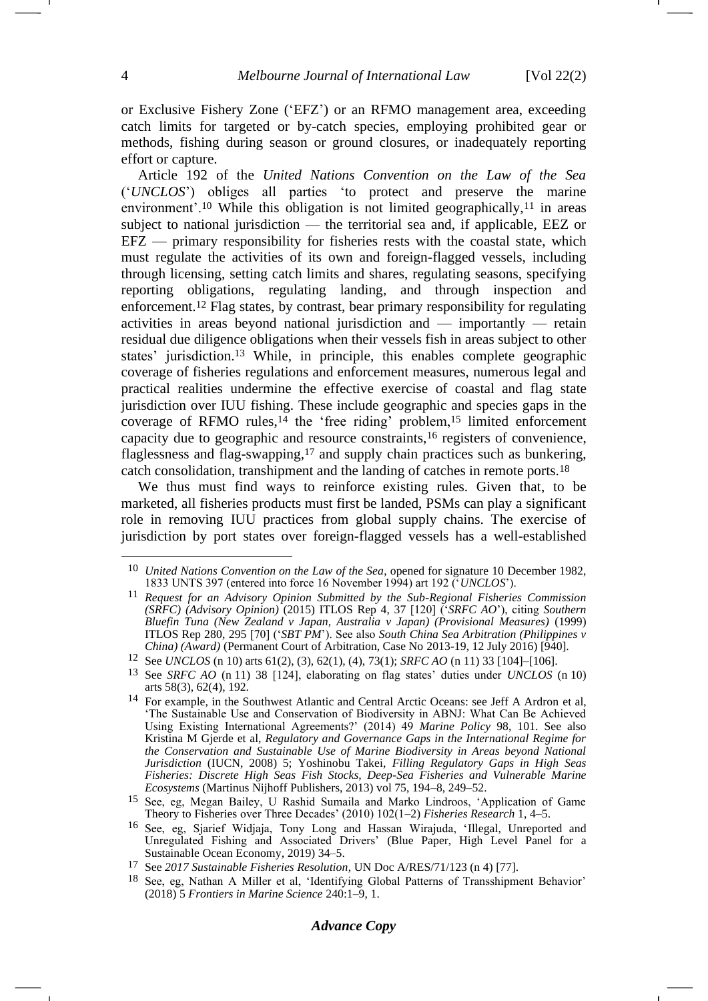or Exclusive Fishery Zone ('EFZ') or an RFMO management area, exceeding catch limits for targeted or by-catch species, employing prohibited gear or methods, fishing during season or ground closures, or inadequately reporting effort or capture.

<span id="page-3-4"></span><span id="page-3-2"></span><span id="page-3-1"></span><span id="page-3-0"></span>Article 192 of the *United Nations Convention on the Law of the Sea* ('*UNCLOS*') obliges all parties 'to protect and preserve the marine environment'.<sup>10</sup> While this obligation is not limited geographically,<sup>11</sup> in areas subject to national jurisdiction — the territorial sea and, if applicable, EEZ or EFZ — primary responsibility for fisheries rests with the coastal state, which must regulate the activities of its own and foreign-flagged vessels, including through licensing, setting catch limits and shares, regulating seasons, specifying reporting obligations, regulating landing, and through inspection and enforcement.<sup>12</sup> Flag states, by contrast, bear primary responsibility for regulating activities in areas beyond national jurisdiction and — importantly — retain residual due diligence obligations when their vessels fish in areas subject to other states' jurisdiction.<sup>13</sup> While, in principle, this enables complete geographic coverage of fisheries regulations and enforcement measures, numerous legal and practical realities undermine the effective exercise of coastal and flag state jurisdiction over IUU fishing. These include geographic and species gaps in the coverage of RFMO rules,<sup>14</sup> the 'free riding' problem,<sup>15</sup> limited enforcement capacity due to geographic and resource constraints,<sup>16</sup> registers of convenience, flaglessness and flag-swapping,<sup>17</sup> and supply chain practices such as bunkering, catch consolidation, transhipment and the landing of catches in remote ports.<sup>18</sup>

<span id="page-3-3"></span>We thus must find ways to reinforce existing rules. Given that, to be marketed, all fisheries products must first be landed, PSMs can play a significant role in removing IUU practices from global supply chains. The exercise of jurisdiction by port states over foreign-flagged vessels has a well-established

<sup>10</sup> *United Nations Convention on the Law of the Sea*, opened for signature 10 December 1982, 1833 UNTS 397 (entered into force 16 November 1994) art 192 ('*UNCLOS*').

<sup>11</sup> *Request for an Advisory Opinion Submitted by the Sub-Regional Fisheries Commission (SRFC) (Advisory Opinion)* (2015) ITLOS Rep 4, 37 [120] ('*SRFC AO*'), citing *Southern Bluefin Tuna (New Zealand v Japan, Australia v Japan) (Provisional Measures)* (1999) ITLOS Rep 280, 295 [70] ('*SBT PM*'). See also *South China Sea Arbitration (Philippines v China) (Award)* (Permanent Court of Arbitration, Case No 2013-19, 12 July 2016) [940].

<sup>12</sup> See *UNCLOS* (n [10\)](#page-3-0) arts 61(2), (3), 62(1), (4), 73(1); *SRFC AO* (n [11\)](#page-3-1) 33 [104]–[106].

<sup>13</sup> See *SRFC AO* (n [11\)](#page-3-1) 38 [124], elaborating on flag states' duties under *UNCLOS* (n [10\)](#page-3-0) arts 58(3), 62(4), 192.

<sup>14</sup> For example, in the Southwest Atlantic and Central Arctic Oceans: see Jeff A Ardron et al, 'The Sustainable Use and Conservation of Biodiversity in ABNJ: What Can Be Achieved Using Existing International Agreements?' (2014) 49 *Marine Policy* 98, 101. See also Kristina M Gjerde et al, *Regulatory and Governance Gaps in the International Regime for the Conservation and Sustainable Use of Marine Biodiversity in Areas beyond National Jurisdiction* (IUCN, 2008) 5; Yoshinobu Takei, *Filling Regulatory Gaps in High Seas Fisheries: Discrete High Seas Fish Stocks, Deep-Sea Fisheries and Vulnerable Marine Ecosystems* (Martinus Nijhoff Publishers, 2013) vol 75, 194–8, 249–52.

<sup>15</sup> See, eg, Megan Bailey, U Rashid Sumaila and Marko Lindroos, 'Application of Game Theory to Fisheries over Three Decades' (2010) 102(1–2) *Fisheries Research* 1, 4–5.

<sup>16</sup> See, eg, Sjarief Widjaja, Tony Long and Hassan Wirajuda, 'Illegal, Unreported and Unregulated Fishing and Associated Drivers' (Blue Paper, High Level Panel for a Sustainable Ocean Economy, 2019) 34–5.

<sup>17</sup> See *2017 Sustainable Fisheries Resolution*, UN Doc A/RES/71/123 (n [4\)](#page-1-1) [77].

<sup>18</sup> See, eg, Nathan A Miller et al, 'Identifying Global Patterns of Transshipment Behavior' (2018) 5 *Frontiers in Marine Science* 240:1–9, 1.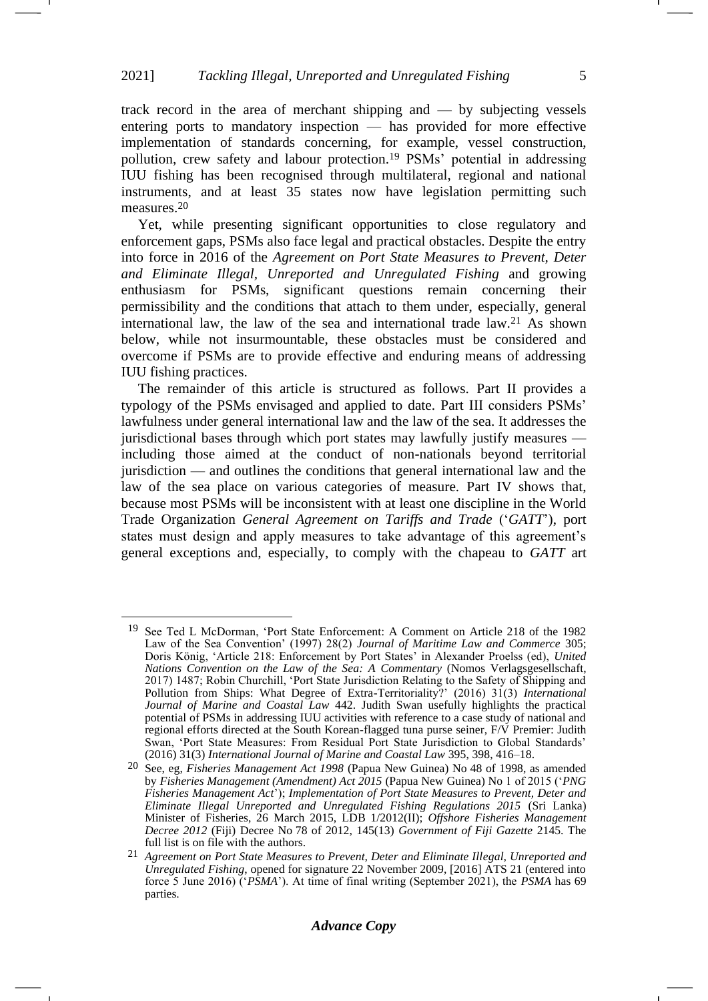<span id="page-4-1"></span>track record in the area of merchant shipping and — by subjecting vessels entering ports to mandatory inspection — has provided for more effective implementation of standards concerning, for example, vessel construction, pollution, crew safety and labour protection.<sup>19</sup> PSMs' potential in addressing IUU fishing has been recognised through multilateral, regional and national instruments, and at least 35 states now have legislation permitting such measures.<sup>20</sup>

<span id="page-4-3"></span><span id="page-4-2"></span>Yet, while presenting significant opportunities to close regulatory and enforcement gaps, PSMs also face legal and practical obstacles. Despite the entry into force in 2016 of the *Agreement on Port State Measures to Prevent, Deter and Eliminate Illegal, Unreported and Unregulated Fishing* and growing enthusiasm for PSMs, significant questions remain concerning their permissibility and the conditions that attach to them under, especially, general international law, the law of the sea and international trade law.<sup>21</sup> As shown below, while not insurmountable, these obstacles must be considered and overcome if PSMs are to provide effective and enduring means of addressing IUU fishing practices.

<span id="page-4-0"></span>The remainder of this article is structured as follows. Part II provides a typology of the PSMs envisaged and applied to date. Part III considers PSMs' lawfulness under general international law and the law of the sea. It addresses the jurisdictional bases through which port states may lawfully justify measures including those aimed at the conduct of non-nationals beyond territorial jurisdiction — and outlines the conditions that general international law and the law of the sea place on various categories of measure. Part IV shows that, because most PSMs will be inconsistent with at least one discipline in the World Trade Organization *General Agreement on Tariffs and Trade* ('*GATT*'), port states must design and apply measures to take advantage of this agreement's general exceptions and, especially, to comply with the chapeau to *GATT* art

<span id="page-4-4"></span><sup>19</sup> See Ted L McDorman, 'Port State Enforcement: A Comment on Article 218 of the 1982 Law of the Sea Convention' (1997) 28(2) *Journal of Maritime Law and Commerce* 305; Doris König, 'Article 218: Enforcement by Port States' in Alexander Proelss (ed), *United Nations Convention on the Law of the Sea: A Commentary* (Nomos Verlagsgesellschaft, 2017) 1487; Robin Churchill, 'Port State Jurisdiction Relating to the Safety of Shipping and Pollution from Ships: What Degree of Extra-Territoriality?' (2016) 31(3) *International Journal of Marine and Coastal Law* 442. Judith Swan usefully highlights the practical potential of PSMs in addressing IUU activities with reference to a case study of national and regional efforts directed at the South Korean-flagged tuna purse seiner, F/V Premier: Judith Swan, 'Port State Measures: From Residual Port State Jurisdiction to Global Standards' (2016) 31(3) *International Journal of Marine and Coastal Law* 395, 398, 416–18.

<sup>20</sup> See, eg, *Fisheries Management Act 1998* (Papua New Guinea) No 48 of 1998, as amended by *Fisheries Management (Amendment) Act 2015* (Papua New Guinea) No 1 of 2015 ('*PNG Fisheries Management Act*'); *Implementation of Port State Measures to Prevent, Deter and Eliminate Illegal Unreported and Unregulated Fishing Regulations 2015* (Sri Lanka) Minister of Fisheries, 26 March 2015, LDB 1/2012(II); *Offshore Fisheries Management Decree 2012* (Fiji) Decree No 78 of 2012, 145(13) *Government of Fiji Gazette* 2145. The full list is on file with the authors.

<sup>21</sup> *Agreement on Port State Measures to Prevent, Deter and Eliminate Illegal, Unreported and Unregulated Fishing*, opened for signature 22 November 2009, [2016] ATS 21 (entered into force 5 June 2016) ('*PSMA*'). At time of final writing (September 2021), the *PSMA* has 69 parties.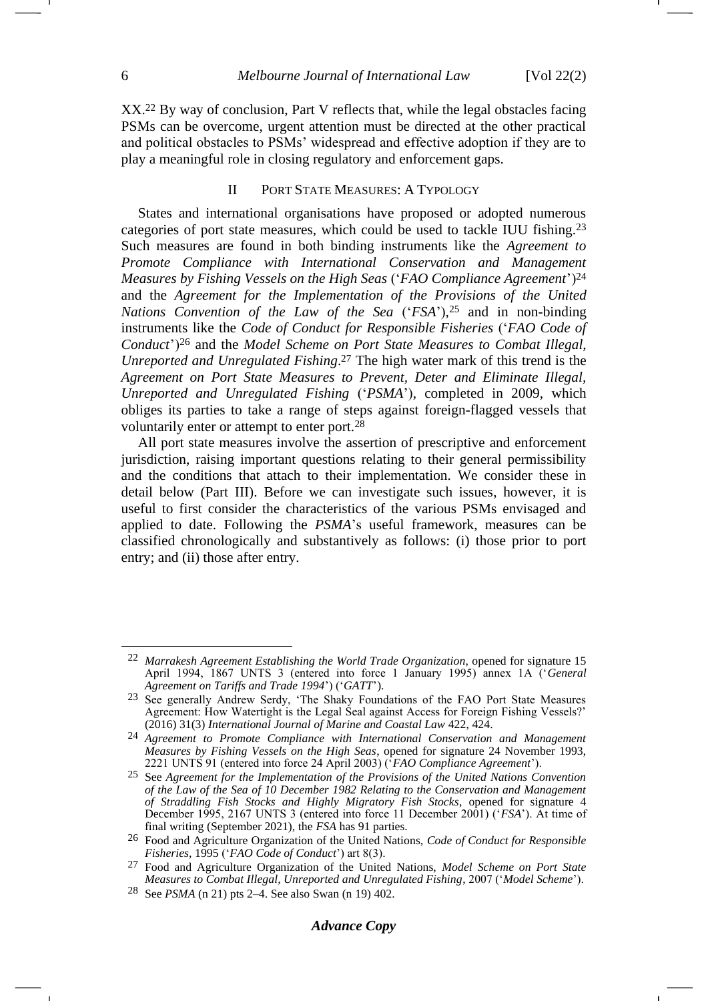<span id="page-5-5"></span>XX.<sup>22</sup> By way of conclusion, Part V reflects that, while the legal obstacles facing PSMs can be overcome, urgent attention must be directed at the other practical and political obstacles to PSMs' widespread and effective adoption if they are to play a meaningful role in closing regulatory and enforcement gaps.

#### <span id="page-5-3"></span><span id="page-5-2"></span><span id="page-5-1"></span><span id="page-5-0"></span>II PORT STATE MEASURES: A TYPOLOGY

States and international organisations have proposed or adopted numerous categories of port state measures, which could be used to tackle IUU fishing.<sup>23</sup> Such measures are found in both binding instruments like the *Agreement to Promote Compliance with International Conservation and Management Measures by Fishing Vessels on the High Seas* ('*FAO Compliance Agreement*')<sup>24</sup> and the *Agreement for the Implementation of the Provisions of the United Nations Convention of the Law of the Sea* ('*FSA*'), <sup>25</sup> and in non-binding instruments like the *Code of Conduct for Responsible Fisheries* ('*FAO Code of Conduct*')<sup>26</sup> and the *Model Scheme on Port State Measures to Combat Illegal, Unreported and Unregulated Fishing*. <sup>27</sup> The high water mark of this trend is the *Agreement on Port State Measures to Prevent, Deter and Eliminate Illegal, Unreported and Unregulated Fishing* ('*PSMA*'), completed in 2009, which obliges its parties to take a range of steps against foreign-flagged vessels that voluntarily enter or attempt to enter port.<sup>28</sup>

<span id="page-5-4"></span>All port state measures involve the assertion of prescriptive and enforcement jurisdiction, raising important questions relating to their general permissibility and the conditions that attach to their implementation. We consider these in detail below (Part III). Before we can investigate such issues, however, it is useful to first consider the characteristics of the various PSMs envisaged and applied to date. Following the *PSMA*'s useful framework, measures can be classified chronologically and substantively as follows: (i) those prior to port entry; and (ii) those after entry.

<sup>22</sup> *Marrakesh Agreement Establishing the World Trade Organization*, opened for signature 15 April 1994, 1867 UNTS 3 (entered into force 1 January 1995) annex 1A ('*General Agreement on Tariffs and Trade 1994*') ('*GATT*').

<sup>23</sup> See generally Andrew Serdy, 'The Shaky Foundations of the FAO Port State Measures Agreement: How Watertight is the Legal Seal against Access for Foreign Fishing Vessels?' (2016) 31(3) *International Journal of Marine and Coastal Law* 422, 424.

<sup>24</sup> *Agreement to Promote Compliance with International Conservation and Management Measures by Fishing Vessels on the High Seas*, opened for signature 24 November 1993, 2221 UNTS 91 (entered into force 24 April 2003) ('*FAO Compliance Agreement*').

<sup>25</sup> See *Agreement for the Implementation of the Provisions of the United Nations Convention of the Law of the Sea of 10 December 1982 Relating to the Conservation and Management of Straddling Fish Stocks and Highly Migratory Fish Stocks*, opened for signature 4 December 1995, 2167 UNTS 3 (entered into force 11 December 2001) ('*FSA*'). At time of final writing (September 2021), the *FSA* has 91 parties.

<sup>26</sup> Food and Agriculture Organization of the United Nations, *Code of Conduct for Responsible Fisheries*, 1995 ('*FAO Code of Conduct*') art 8(3).

<sup>27</sup> Food and Agriculture Organization of the United Nations, *Model Scheme on Port State Measures to Combat Illegal, Unreported and Unregulated Fishing*, 2007 ('*Model Scheme*').

<sup>28</sup> See *PSMA* ([n 21\)](#page-4-0) pts 2–4. See also Swan (n [19\)](#page-4-1) 402.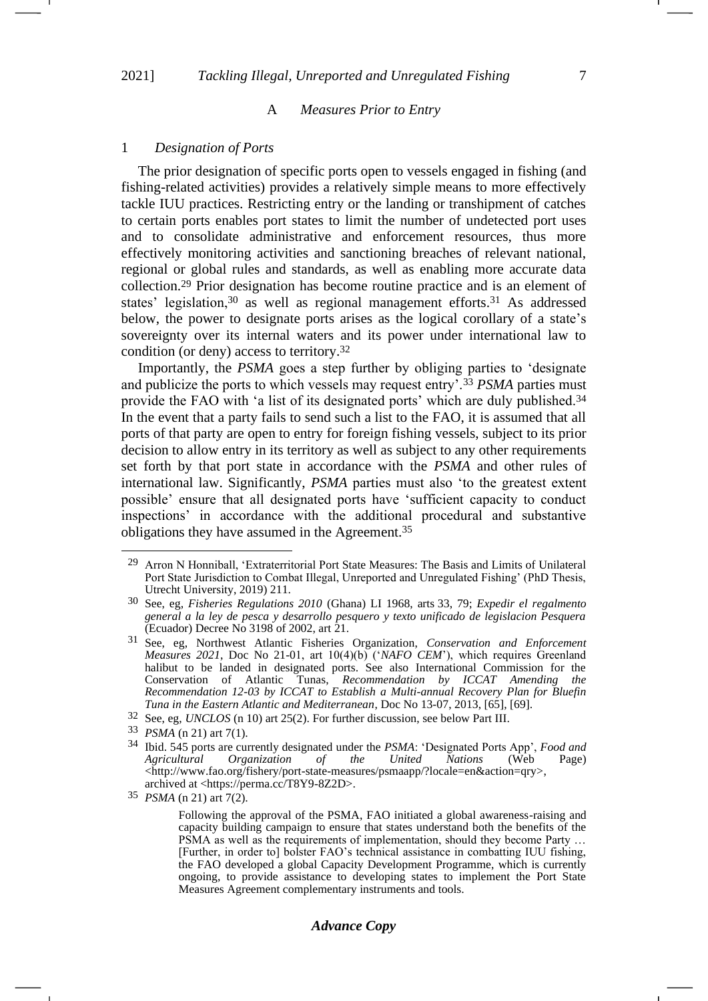#### <span id="page-6-1"></span>A *Measures Prior to Entry*

#### 1 *Designation of Ports*

The prior designation of specific ports open to vessels engaged in fishing (and fishing-related activities) provides a relatively simple means to more effectively tackle IUU practices. Restricting entry or the landing or transhipment of catches to certain ports enables port states to limit the number of undetected port uses and to consolidate administrative and enforcement resources, thus more effectively monitoring activities and sanctioning breaches of relevant national, regional or global rules and standards, as well as enabling more accurate data collection.<sup>29</sup> Prior designation has become routine practice and is an element of states' legislation,<sup>30</sup> as well as regional management efforts.<sup>31</sup> As addressed below, the power to designate ports arises as the logical corollary of a state's sovereignty over its internal waters and its power under international law to condition (or deny) access to territory.<sup>32</sup>

<span id="page-6-0"></span>Importantly, the *PSMA* goes a step further by obliging parties to 'designate and publicize the ports to which vessels may request entry'.<sup>33</sup> *PSMA* parties must provide the FAO with 'a list of its designated ports' which are duly published.<sup>34</sup> In the event that a party fails to send such a list to the FAO, it is assumed that all ports of that party are open to entry for foreign fishing vessels, subject to its prior decision to allow entry in its territory as well as subject to any other requirements set forth by that port state in accordance with the *PSMA* and other rules of international law. Significantly, *PSMA* parties must also 'to the greatest extent possible' ensure that all designated ports have 'sufficient capacity to conduct inspections' in accordance with the additional procedural and substantive obligations they have assumed in the Agreement.<sup>35</sup>

32 See, eg, *UNCLOS* (n [10\)](#page-3-0) art 25(2). For further discussion, see below Part III.

35 *PSMA* (n [21\)](#page-4-2) art 7(2).

-1

#### *Advance Copy*

<sup>&</sup>lt;sup>29</sup> Arron N Honniball, 'Extraterritorial Port State Measures: The Basis and Limits of Unilateral Port State Jurisdiction to Combat Illegal, Unreported and Unregulated Fishing' (PhD Thesis, Utrecht University, 2019) 211.

<sup>30</sup> See, eg, *Fisheries Regulations 2010* (Ghana) LI 1968, arts 33, 79; *Expedir el regalmento general a la ley de pesca y desarrollo pesquero y texto unificado de legislacion Pesquera*  (Ecuador) Decree No 3198 of 2002, art 21.

<sup>31</sup> See, eg, Northwest Atlantic Fisheries Organization, *Conservation and Enforcement Measures 2021*, Doc No 21-01, art 10(4)(b) ('*NAFO CEM*'), which requires Greenland halibut to be landed in designated ports. See also International Commission for the Conservation of Atlantic Tunas, *Recommendation by ICCAT Amending the Recommendation 12-03 by ICCAT to Establish a Multi-annual Recovery Plan for Bluefin Tuna in the Eastern Atlantic and Mediterranean*, Doc No 13-07, 2013, [65], [69].

<sup>33</sup> *PSMA* (n [21\)](#page-4-2) art 7(1).

<sup>34</sup> Ibid. 545 ports are currently designated under the *PSMA*: 'Designated Ports App', *Food and Organization of the United Nations* (Web Page) <http://www.fao.org/fishery/port-state-measures/psmaapp/?locale=en&action=qry>, archived at <https://perma.cc/T8Y9-8Z2D>.

Following the approval of the PSMA, FAO initiated a global awareness-raising and capacity building campaign to ensure that states understand both the benefits of the PSMA as well as the requirements of implementation, should they become Party ... [Further, in order to] bolster FAO's technical assistance in combatting IUU fishing, the FAO developed a global Capacity Development Programme, which is currently ongoing, to provide assistance to developing states to implement the Port State Measures Agreement complementary instruments and tools.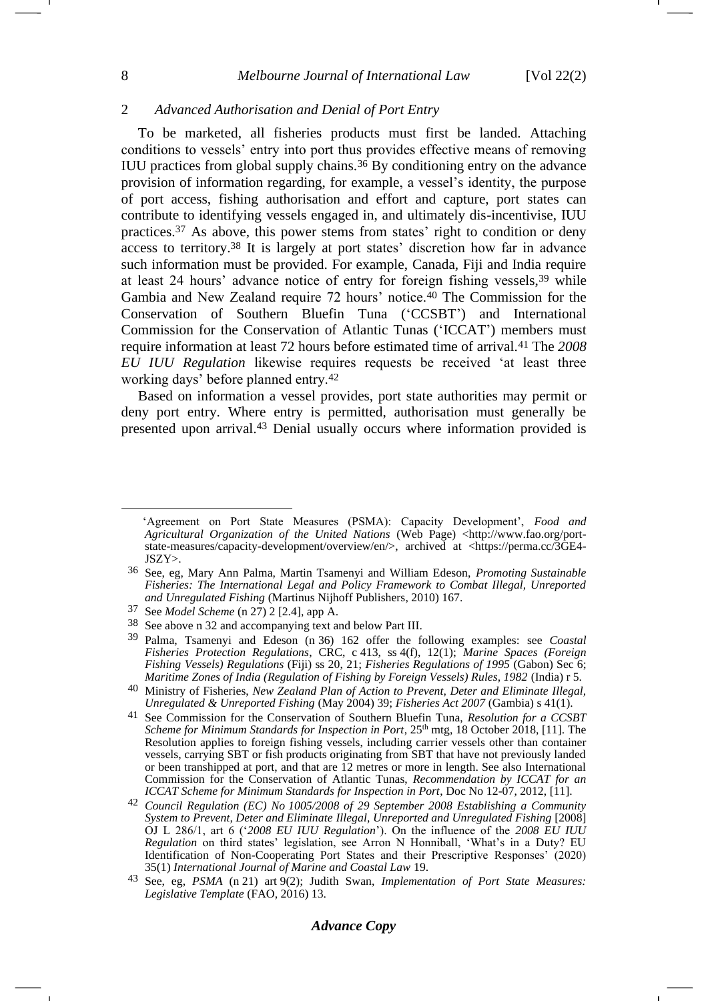### 2 *Advanced Authorisation and Denial of Port Entry*

<span id="page-7-0"></span>To be marketed, all fisheries products must first be landed. Attaching conditions to vessels' entry into port thus provides effective means of removing IUU practices from global supply chains.<sup>36</sup> By conditioning entry on the advance provision of information regarding, for example, a vessel's identity, the purpose of port access, fishing authorisation and effort and capture, port states can contribute to identifying vessels engaged in, and ultimately dis-incentivise, IUU practices.<sup>37</sup> As above, this power stems from states' right to condition or deny access to territory.<sup>38</sup> It is largely at port states' discretion how far in advance such information must be provided. For example, Canada, Fiji and India require at least 24 hours' advance notice of entry for foreign fishing vessels,<sup>39</sup> while Gambia and New Zealand require 72 hours' notice.<sup>40</sup> The Commission for the Conservation of Southern Bluefin Tuna ('CCSBT') and International Commission for the Conservation of Atlantic Tunas ('ICCAT') members must require information at least 72 hours before estimated time of arrival.<sup>41</sup> The *2008 EU IUU Regulation* likewise requires requests be received 'at least three working days' before planned entry.<sup>42</sup>

<span id="page-7-1"></span>Based on information a vessel provides, port state authorities may permit or deny port entry. Where entry is permitted, authorisation must generally be presented upon arrival.<sup>43</sup> Denial usually occurs where information provided is

<sup>&#</sup>x27;Agreement on Port State Measures (PSMA): Capacity Development', *Food and Agricultural Organization of the United Nations* (Web Page) <http://www.fao.org/portstate-measures/capacity-development/overview/en/>, archived at <https://perma.cc/3GE4- JSZY>.

<sup>36</sup> See, eg, Mary Ann Palma, Martin Tsamenyi and William Edeson, *Promoting Sustainable Fisheries: The International Legal and Policy Framework to Combat Illegal, Unreported and Unregulated Fishing* (Martinus Nijhoff Publishers, 2010) 167.

<sup>37</sup> See *Model Scheme* (n [27\)](#page-5-0) 2 [2.4], app A.

<sup>38</sup> See above [n 32](#page-6-0) and accompanying text and below Part III.

<sup>39</sup> Palma, Tsamenyi and Edeson (n [36\)](#page-7-0) 162 offer the following examples: see *Coastal Fisheries Protection Regulations*, CRC, c 413, ss 4(f), 12(1); *Marine Spaces (Foreign Fishing Vessels) Regulations* (Fiji) ss 20, 21; *Fisheries Regulations of 1995* (Gabon) Sec 6; *Maritime Zones of India (Regulation of Fishing by Foreign Vessels) Rules, 1982* (India) r 5.

<sup>40</sup> Ministry of Fisheries, *New Zealand Plan of Action to Prevent, Deter and Eliminate Illegal, Unregulated & Unreported Fishing* (May 2004) 39; *Fisheries Act 2007* (Gambia) s 41(1).

<sup>41</sup> See Commission for the Conservation of Southern Bluefin Tuna, *Resolution for a CCSBT Scheme for Minimum Standards for Inspection in Port*,  $25<sup>th</sup>$  mtg, 18 October 2018, [11]. The Resolution applies to foreign fishing vessels, including carrier vessels other than container vessels, carrying SBT or fish products originating from SBT that have not previously landed or been transhipped at port, and that are 12 metres or more in length. See also International Commission for the Conservation of Atlantic Tunas, *Recommendation by ICCAT for an ICCAT Scheme for Minimum Standards for Inspection in Port*, Doc No 12-07, 2012, [11].

<sup>42</sup> *Council Regulation (EC) No 1005/2008 of 29 September 2008 Establishing a Community System to Prevent, Deter and Eliminate Illegal, Unreported and Unregulated Fishing* [2008] OJ L 286/1, art 6 ('*2008 EU IUU Regulation*'). On the influence of the *2008 EU IUU Regulation* on third states' legislation, see Arron N Honniball, 'What's in a Duty? EU Identification of Non-Cooperating Port States and their Prescriptive Responses' (2020) 35(1) *International Journal of Marine and Coastal Law* 19.

<sup>43</sup> See, eg, *PSMA* (n [21\)](#page-4-2) art 9(2); Judith Swan, *Implementation of Port State Measures: Legislative Template* (FAO, 2016) 13.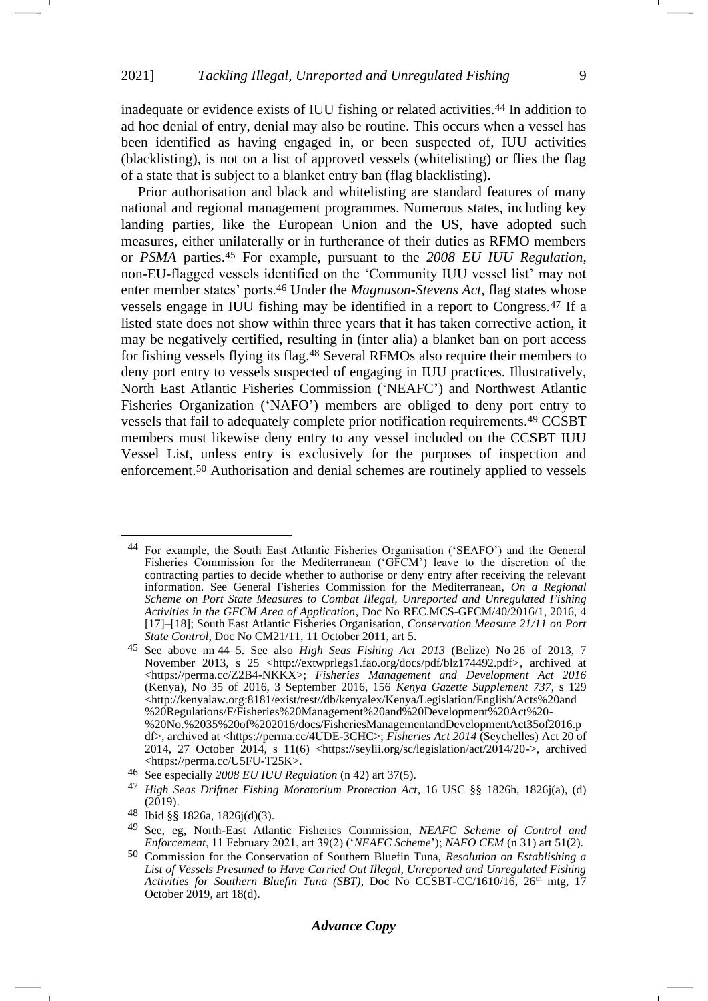inadequate or evidence exists of IUU fishing or related activities.<sup>44</sup> In addition to ad hoc denial of entry, denial may also be routine. This occurs when a vessel has been identified as having engaged in, or been suspected of, IUU activities (blacklisting), is not on a list of approved vessels (whitelisting) or flies the flag of a state that is subject to a blanket entry ban (flag blacklisting).

Prior authorisation and black and whitelisting are standard features of many national and regional management programmes. Numerous states, including key landing parties, like the European Union and the US, have adopted such measures, either unilaterally or in furtherance of their duties as RFMO members or *PSMA* parties.<sup>45</sup> For example, pursuant to the *2008 EU IUU Regulation*, non-EU-flagged vessels identified on the 'Community IUU vessel list' may not enter member states' ports.<sup>46</sup> Under the *Magnuson-Stevens Act*, flag states whose vessels engage in IUU fishing may be identified in a report to Congress.<sup>47</sup> If a listed state does not show within three years that it has taken corrective action, it may be negatively certified, resulting in (inter alia) a blanket ban on port access for fishing vessels flying its flag.<sup>48</sup> Several RFMOs also require their members to deny port entry to vessels suspected of engaging in IUU practices. Illustratively, North East Atlantic Fisheries Commission ('NEAFC') and Northwest Atlantic Fisheries Organization ('NAFO') members are obliged to deny port entry to vessels that fail to adequately complete prior notification requirements.<sup>49</sup> CCSBT members must likewise deny entry to any vessel included on the CCSBT IUU Vessel List, unless entry is exclusively for the purposes of inspection and enforcement.<sup>50</sup> Authorisation and denial schemes are routinely applied to vessels

<span id="page-8-0"></span><sup>44</sup> For example, the South East Atlantic Fisheries Organisation ('SEAFO') and the General Fisheries Commission for the Mediterranean ('GFCM') leave to the discretion of the contracting parties to decide whether to authorise or deny entry after receiving the relevant information. See General Fisheries Commission for the Mediterranean, *On a Regional Scheme on Port State Measures to Combat Illegal, Unreported and Unregulated Fishing Activities in the GFCM Area of Application*, Doc No REC.MCS-GFCM/40/2016/1, 2016, 4 [17]–[18]; South East Atlantic Fisheries Organisation, *Conservation Measure 21/11 on Port State Control*, Doc No CM21/11, 11 October 2011, art 5.

<sup>45</sup> See above nn 44–5. See also *High Seas Fishing Act 2013* (Belize) No 26 of 2013, 7 November 2013, s 25 <http://extwprlegs1.fao.org/docs/pdf/blz174492.pdf>, archived at <https://perma.cc/Z2B4-NKKX>; *Fisheries Management and Development Act 2016* (Kenya), No 35 of 2016, 3 September 2016, 156 *Kenya Gazette Supplement 737*, s 129 <http://kenyalaw.org:8181/exist/rest//db/kenyalex/Kenya/Legislation/English/Acts%20and %20Regulations/F/Fisheries%20Management%20and%20Development%20Act%20- %20No.%2035%20of%202016/docs/FisheriesManagementandDevelopmentAct35of2016.p df>, archived at <https://perma.cc/4UDE-3CHC>; *Fisheries Act 2014* (Seychelles) Act 20 of 2014, 27 October 2014, s 11(6) <https://seylii.org/sc/legislation/act/2014/20->, archived <https://perma.cc/U5FU-T25K>.

<sup>46</sup> See especially *2008 EU IUU Regulation* (n [42\)](#page-7-1) art 37(5).

<sup>47</sup> *High Seas Driftnet Fishing Moratorium Protection Act*, 16 USC §§ 1826h, 1826j(a), (d)  $(2019).$ 

<sup>48</sup> Ibid §§ 1826a, 1826j(d)(3).

<sup>49</sup> See, eg, North-East Atlantic Fisheries Commission, *NEAFC Scheme of Control and Enforcement*, 11 February 2021, art 39(2) ('*NEAFC Scheme*'); *NAFO CEM* (n [31\)](#page-6-1) art 51(2).

<sup>50</sup> Commission for the Conservation of Southern Bluefin Tuna, *Resolution on Establishing a List of Vessels Presumed to Have Carried Out Illegal, Unreported and Unregulated Fishing Activities for Southern Bluefin Tuna (SBT)*, Doc No CCSBT-CC/1610/16, 26th mtg, 17 October 2019, art 18(d).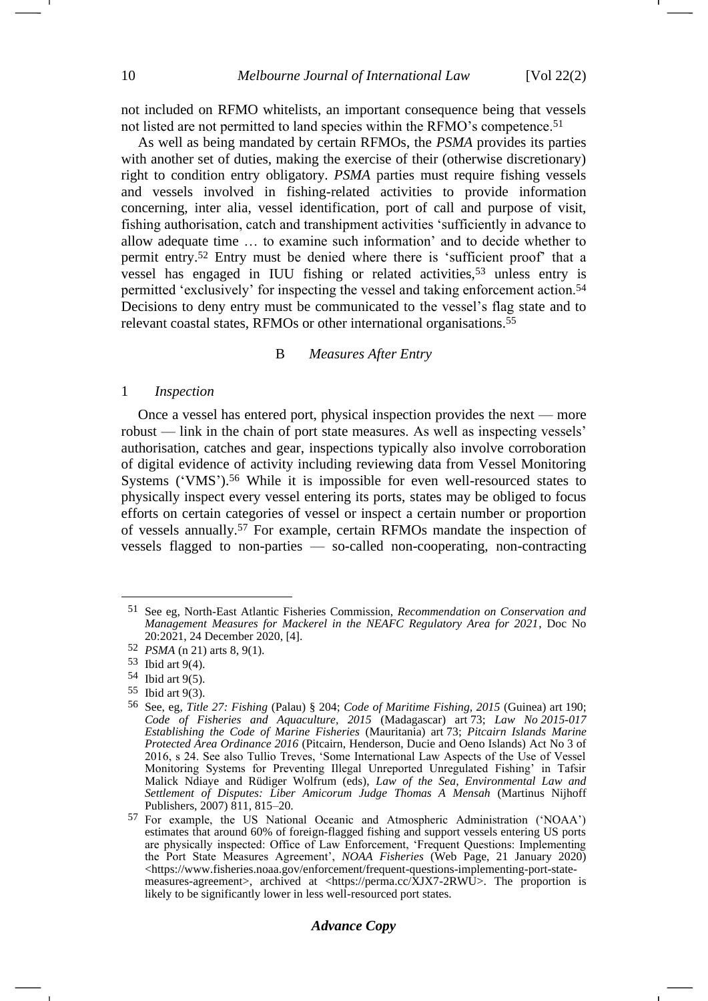not included on RFMO whitelists, an important consequence being that vessels not listed are not permitted to land species within the RFMO's competence.<sup>51</sup>

As well as being mandated by certain RFMOs, the *PSMA* provides its parties with another set of duties, making the exercise of their (otherwise discretionary) right to condition entry obligatory. *PSMA* parties must require fishing vessels and vessels involved in fishing-related activities to provide information concerning, inter alia, vessel identification, port of call and purpose of visit, fishing authorisation, catch and transhipment activities 'sufficiently in advance to allow adequate time … to examine such information' and to decide whether to permit entry.<sup>52</sup> Entry must be denied where there is 'sufficient proof' that a vessel has engaged in IUU fishing or related activities,<sup>53</sup> unless entry is permitted 'exclusively' for inspecting the vessel and taking enforcement action.<sup>54</sup> Decisions to deny entry must be communicated to the vessel's flag state and to relevant coastal states, RFMOs or other international organisations.<sup>55</sup>

#### B *Measures After Entry*

#### 1 *Inspection*

Once a vessel has entered port, physical inspection provides the next — more robust — link in the chain of port state measures. As well as inspecting vessels' authorisation, catches and gear, inspections typically also involve corroboration of digital evidence of activity including reviewing data from Vessel Monitoring Systems ('VMS').<sup>56</sup> While it is impossible for even well-resourced states to physically inspect every vessel entering its ports, states may be obliged to focus efforts on certain categories of vessel or inspect a certain number or proportion of vessels annually.<sup>57</sup> For example, certain RFMOs mandate the inspection of vessels flagged to non-parties — so-called non-cooperating, non-contracting

55 Ibid art 9(3).

<sup>51</sup> See eg, North-East Atlantic Fisheries Commission, *Recommendation on Conservation and Management Measures for Mackerel in the NEAFC Regulatory Area for 2021*, Doc No 20:2021, 24 December 2020, [4].

<sup>52</sup> *PSMA* (n [21\)](#page-4-2) arts 8, 9(1).

<sup>53</sup> Ibid art 9(4).

<sup>54</sup> Ibid art 9(5).

<sup>56</sup> See, eg, *Title 27: Fishing* (Palau) § 204; *Code of Maritime Fishing, 2015* (Guinea) art 190; *Code of Fisheries and Aquaculture, 2015* (Madagascar) art 73; *Law No 2015-017 Establishing the Code of Marine Fisheries* (Mauritania) art 73; *Pitcairn Islands Marine Protected Area Ordinance 2016* (Pitcairn, Henderson, Ducie and Oeno Islands) Act No 3 of 2016, s 24. See also Tullio Treves, 'Some International Law Aspects of the Use of Vessel Monitoring Systems for Preventing Illegal Unreported Unregulated Fishing' in Tafsir Malick Ndiaye and Rüdiger Wolfrum (eds), *Law of the Sea, Environmental Law and Settlement of Disputes: Liber Amicorum Judge Thomas A Mensah* (Martinus Nijhoff Publishers, 2007) 811, 815–20.

<sup>57</sup> For example, the US National Oceanic and Atmospheric Administration ('NOAA') estimates that around 60% of foreign-flagged fishing and support vessels entering US ports are physically inspected: Office of Law Enforcement, 'Frequent Questions: Implementing the Port State Measures Agreement', *NOAA Fisheries* (Web Page, 21 January 2020) <https://www.fisheries.noaa.gov/enforcement/frequent-questions-implementing-port-statemeasures-agreement>, archived at <https://perma.cc/XJX7-2RWU>. The proportion is likely to be significantly lower in less well-resourced port states.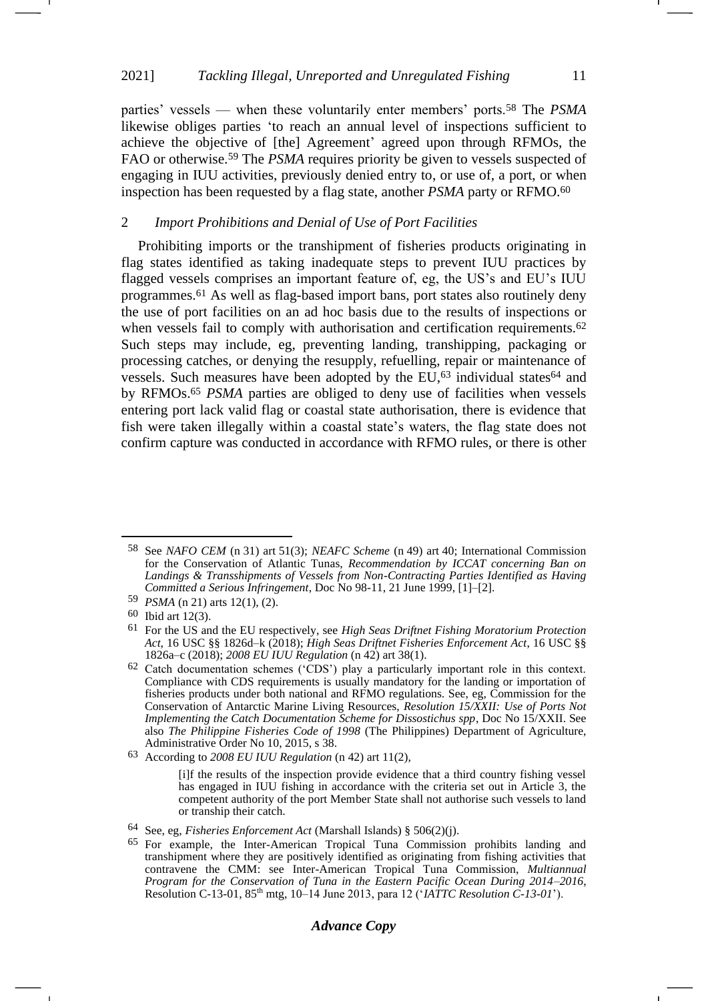parties' vessels — when these voluntarily enter members' ports.<sup>58</sup> The *PSMA* likewise obliges parties 'to reach an annual level of inspections sufficient to achieve the objective of [the] Agreement' agreed upon through RFMOs, the FAO or otherwise.<sup>59</sup> The *PSMA* requires priority be given to vessels suspected of engaging in IUU activities, previously denied entry to, or use of, a port, or when inspection has been requested by a flag state, another *PSMA* party or RFMO.<sup>60</sup>

### 2 *Import Prohibitions and Denial of Use of Port Facilities*

<span id="page-10-0"></span>Prohibiting imports or the transhipment of fisheries products originating in flag states identified as taking inadequate steps to prevent IUU practices by flagged vessels comprises an important feature of, eg, the US's and EU's IUU programmes.<sup>61</sup> As well as flag-based import bans, port states also routinely deny the use of port facilities on an ad hoc basis due to the results of inspections or when vessels fail to comply with authorisation and certification requirements.<sup>62</sup> Such steps may include, eg, preventing landing, transhipping, packaging or processing catches, or denying the resupply, refuelling, repair or maintenance of vessels. Such measures have been adopted by the EU,<sup>63</sup> individual states<sup>64</sup> and by RFMOs. <sup>65</sup> *PSMA* parties are obliged to deny use of facilities when vessels entering port lack valid flag or coastal state authorisation, there is evidence that fish were taken illegally within a coastal state's waters, the flag state does not confirm capture was conducted in accordance with RFMO rules, or there is other

<sup>58</sup> See *NAFO CEM* (n [31\)](#page-6-1) art 51(3); *NEAFC Scheme* (n [49\)](#page-8-0) art 40; International Commission for the Conservation of Atlantic Tunas, *Recommendation by ICCAT concerning Ban on Landings & Transshipments of Vessels from Non-Contracting Parties Identified as Having Committed a Serious Infringement*, Doc No 98-11, 21 June 1999, [1]–[2].

<sup>59</sup> *PSMA* (n [21\)](#page-4-2) arts 12(1), (2).

<sup>60</sup> Ibid art 12(3).

<sup>61</sup> For the US and the EU respectively, see *High Seas Driftnet Fishing Moratorium Protection Act*, 16 USC §§ 1826d–k (2018); *High Seas Driftnet Fisheries Enforcement Act*, 16 USC §§ 1826a–c (2018); *2008 EU IUU Regulation* (n [42\)](#page-7-1) art 38(1).

<sup>62</sup> Catch documentation schemes ('CDS') play a particularly important role in this context. Compliance with CDS requirements is usually mandatory for the landing or importation of fisheries products under both national and RFMO regulations. See, eg, Commission for the Conservation of Antarctic Marine Living Resources, *Resolution 15/XXII: Use of Ports Not Implementing the Catch Documentation Scheme for Dissostichus spp*, Doc No 15/XXII. See also *The Philippine Fisheries Code of 1998* (The Philippines) Department of Agriculture, Administrative Order No 10, 2015, s 38.

<sup>63</sup> According to *2008 EU IUU Regulation* (n [42\)](#page-7-1) art 11(2),

<sup>[</sup>i]f the results of the inspection provide evidence that a third country fishing vessel has engaged in IUU fishing in accordance with the criteria set out in Article 3, the competent authority of the port Member State shall not authorise such vessels to land or tranship their catch.

<sup>64</sup> See, eg, *Fisheries Enforcement Act* (Marshall Islands) § 506(2)(j).

<sup>65</sup> For example, the Inter-American Tropical Tuna Commission prohibits landing and transhipment where they are positively identified as originating from fishing activities that contravene the CMM: see Inter-American Tropical Tuna Commission, *Multiannual Program for the Conservation of Tuna in the Eastern Pacific Ocean During 2014–2016*, Resolution C-13-01, 85th mtg, 10–14 June 2013, para 12 ('*IATTC Resolution C-13-01*').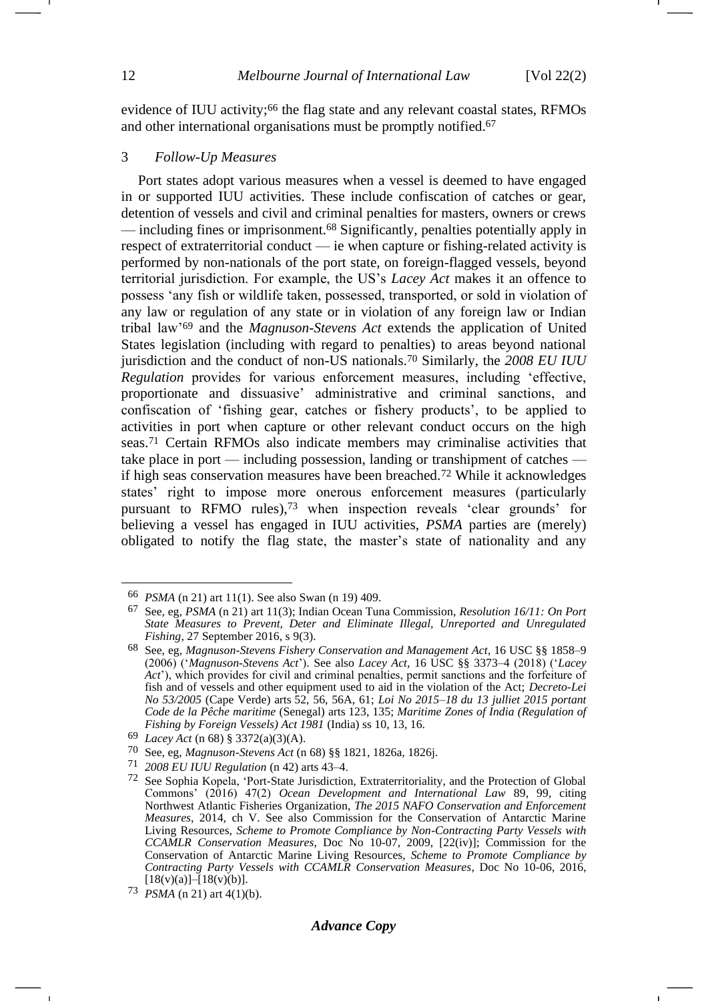evidence of IUU activity;<sup>66</sup> the flag state and any relevant coastal states, RFMOs and other international organisations must be promptly notified.<sup>67</sup>

#### 3 *Follow-Up Measures*

<span id="page-11-0"></span>Port states adopt various measures when a vessel is deemed to have engaged in or supported IUU activities. These include confiscation of catches or gear, detention of vessels and civil and criminal penalties for masters, owners or crews — including fines or imprisonment.<sup>68</sup> Significantly, penalties potentially apply in respect of extraterritorial conduct — ie when capture or fishing-related activity is performed by non-nationals of the port state, on foreign-flagged vessels, beyond territorial jurisdiction. For example, the US's *Lacey Act* makes it an offence to possess 'any fish or wildlife taken, possessed, transported, or sold in violation of any law or regulation of any state or in violation of any foreign law or Indian tribal law'<sup>69</sup> and the *Magnuson-Stevens Act* extends the application of United States legislation (including with regard to penalties) to areas beyond national jurisdiction and the conduct of non-US nationals.<sup>70</sup> Similarly, the *2008 EU IUU Regulation* provides for various enforcement measures, including 'effective, proportionate and dissuasive' administrative and criminal sanctions, and confiscation of 'fishing gear, catches or fishery products', to be applied to activities in port when capture or other relevant conduct occurs on the high seas.<sup>71</sup> Certain RFMOs also indicate members may criminalise activities that take place in port — including possession, landing or transhipment of catches if high seas conservation measures have been breached.<sup>72</sup> While it acknowledges states' right to impose more onerous enforcement measures (particularly pursuant to RFMO rules),<sup>73</sup> when inspection reveals 'clear grounds' for believing a vessel has engaged in IUU activities, *PSMA* parties are (merely) obligated to notify the flag state, the master's state of nationality and any

<span id="page-11-1"></span><sup>66</sup> *PSMA* (n [21\)](#page-4-2) art 11(1). See also Swan (n [19\)](#page-4-1) 409.

<sup>67</sup> See, eg, *PSMA* (n [21\)](#page-4-2) art 11(3); Indian Ocean Tuna Commission, *Resolution 16/11: On Port State Measures to Prevent, Deter and Eliminate Illegal, Unreported and Unregulated Fishing*, 27 September 2016, s 9(3).

<sup>68</sup> See, eg, *Magnuson-Stevens Fishery Conservation and Management Act*, 16 USC §§ 1858–9 (2006) ('*Magnuson-Stevens Act*'). See also *Lacey Act*, 16 USC §§ 3373–4 (2018) ('*Lacey Act*'), which provides for civil and criminal penalties, permit sanctions and the forfeiture of fish and of vessels and other equipment used to aid in the violation of the Act; *Decreto-Lei No 53/2005* (Cape Verde) arts 52, 56, 56A, 61; *Loi No 2015–18 du 13 julliet 2015 portant Code de la Pêche maritime* (Senegal) arts 123, 135; *Maritime Zones of India (Regulation of Fishing by Foreign Vessels) Act 1981* (India) ss 10, 13, 16.

<sup>69</sup> *Lacey Act* (n [68\)](#page-11-0) § 3372(a)(3)(A).

<sup>70</sup> See, eg, *Magnuson-Stevens Act* (n [68\)](#page-11-0) §§ 1821, 1826a, 1826j.

<sup>71</sup> *2008 EU IUU Regulation* (n [42\)](#page-7-1) arts 43–4.

<sup>72</sup> See Sophia Kopela, 'Port-State Jurisdiction, Extraterritoriality, and the Protection of Global Commons' (2016) 47(2) *Ocean Development and International Law* 89, 99, citing Northwest Atlantic Fisheries Organization, *The 2015 NAFO Conservation and Enforcement Measures*, 2014, ch V. See also Commission for the Conservation of Antarctic Marine Living Resources, *Scheme to Promote Compliance by Non-Contracting Party Vessels with CCAMLR Conservation Measures*, Doc No 10-07, 2009, [22(iv)]; Commission for the Conservation of Antarctic Marine Living Resources, *Scheme to Promote Compliance by Contracting Party Vessels with CCAMLR Conservation Measures*, Doc No 10-06, 2016,  $[18(v)(a)] - [18(v)(b)].$ 

<sup>73</sup> *PSMA* (n [21\)](#page-4-2) art 4(1)(b).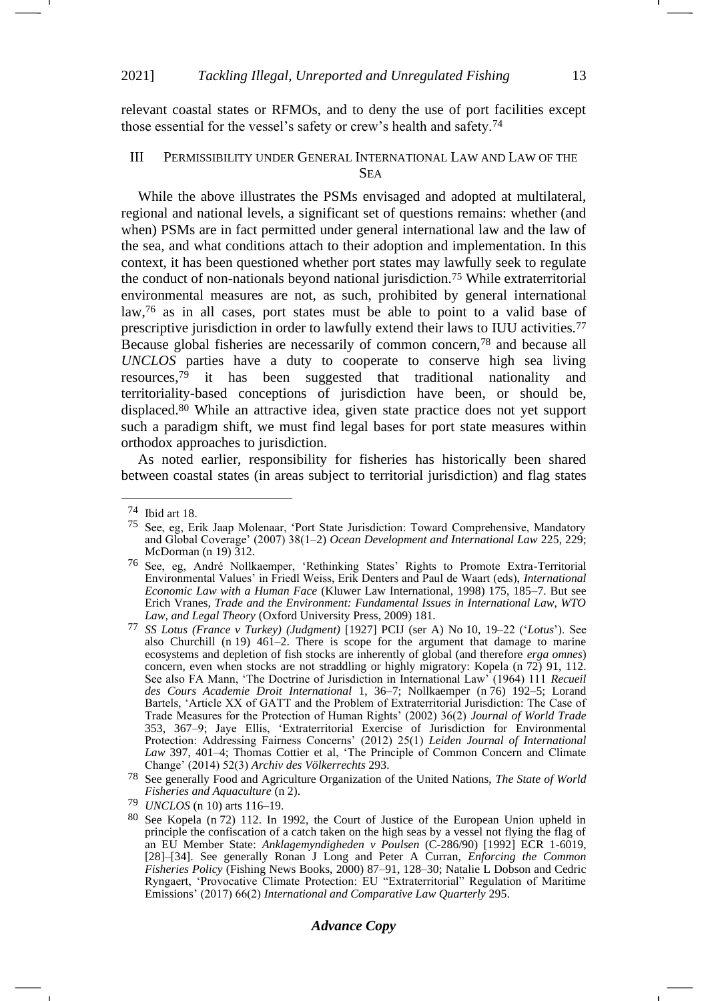relevant coastal states or RFMOs, and to deny the use of port facilities except those essential for the vessel's safety or crew's health and safety.<sup>74</sup>

### III PERMISSIBILITY UNDER GENERAL INTERNATIONAL LAW AND LAW OF THE SEA

<span id="page-12-1"></span><span id="page-12-0"></span>While the above illustrates the PSMs envisaged and adopted at multilateral, regional and national levels, a significant set of questions remains: whether (and when) PSMs are in fact permitted under general international law and the law of the sea, and what conditions attach to their adoption and implementation. In this context, it has been questioned whether port states may lawfully seek to regulate the conduct of non-nationals beyond national jurisdiction.<sup>75</sup> While extraterritorial environmental measures are not, as such, prohibited by general international law,<sup>76</sup> as in all cases, port states must be able to point to a valid base of prescriptive jurisdiction in order to lawfully extend their laws to IUU activities.<sup>77</sup> Because global fisheries are necessarily of common concern,<sup>78</sup> and because all *UNCLOS* parties have a duty to cooperate to conserve high sea living resources,<sup>79</sup> it has been suggested that traditional nationality and territoriality-based conceptions of jurisdiction have been, or should be, displaced.<sup>80</sup> While an attractive idea, given state practice does not yet support such a paradigm shift, we must find legal bases for port state measures within orthodox approaches to jurisdiction.

<span id="page-12-3"></span>As noted earlier, responsibility for fisheries has historically been shared between coastal states (in areas subject to territorial jurisdiction) and flag states <span id="page-12-2"></span>-

### *Advance Copy*

<sup>74</sup> Ibid art 18.

<sup>75</sup> See, eg, Erik Jaap Molenaar, 'Port State Jurisdiction: Toward Comprehensive, Mandatory and Global Coverage' (2007) 38(1–2) *Ocean Development and International Law* 225, 229; McDorman (n [19\)](#page-4-1)  $312.$ 

<sup>76</sup> See, eg, André Nollkaemper, 'Rethinking States' Rights to Promote Extra-Territorial Environmental Values' in Friedl Weiss, Erik Denters and Paul de Waart (eds), *International Economic Law with a Human Face* (Kluwer Law International, 1998) 175, 185–7. But see Erich Vranes, *Trade and the Environment: Fundamental Issues in International Law, WTO Law, and Legal Theory* (Oxford University Press, 2009) 181.

<sup>77</sup> *SS Lotus (France v Turkey) (Judgment)* [1927] PCIJ (ser A) No 10, 19–22 ('*Lotus*'). See also Churchill (n [19\)](#page-4-1) 461–2. There is scope for the argument that damage to marine ecosystems and depletion of fish stocks are inherently of global (and therefore *erga omnes*) concern, even when stocks are not straddling or highly migratory: Kopela (n [72\)](#page-11-1) 91, 112. See also FA Mann, 'The Doctrine of Jurisdiction in International Law' (1964) 111 *Recueil des Cours Academie Droit International* 1, 36–7; Nollkaemper (n [76\)](#page-12-0) 192–5; Lorand Bartels, 'Article XX of GATT and the Problem of Extraterritorial Jurisdiction: The Case of Trade Measures for the Protection of Human Rights' (2002) 36(2) *Journal of World Trade* 353, 367–9; Jaye Ellis, 'Extraterritorial Exercise of Jurisdiction for Environmental Protection: Addressing Fairness Concerns' (2012) 25(1) *Leiden Journal of International Law* 397, 401–4; Thomas Cottier et al, 'The Principle of Common Concern and Climate Change' (2014) 52(3) *Archiv des Völkerrechts* 293.

<sup>78</sup> See generally Food and Agriculture Organization of the United Nations, *The State of World Fisheries and Aquaculture* (n [2\)](#page-1-2).

<sup>79</sup> *UNCLOS* (n [10\)](#page-3-0) arts 116–19.

<sup>80</sup> See Kopela (n [72\)](#page-11-1) 112. In 1992, the Court of Justice of the European Union upheld in principle the confiscation of a catch taken on the high seas by a vessel not flying the flag of an EU Member State: *Anklagemyndigheden v Poulsen* (C-286/90) [1992] ECR 1-6019, [28]–[34]. See generally Ronan J Long and Peter A Curran, *Enforcing the Common Fisheries Policy* (Fishing News Books, 2000) 87–91, 128–30; Natalie L Dobson and Cedric Ryngaert, 'Provocative Climate Protection: EU "Extraterritorial" Regulation of Maritime Emissions' (2017) 66(2) *International and Comparative Law Quarterly* 295.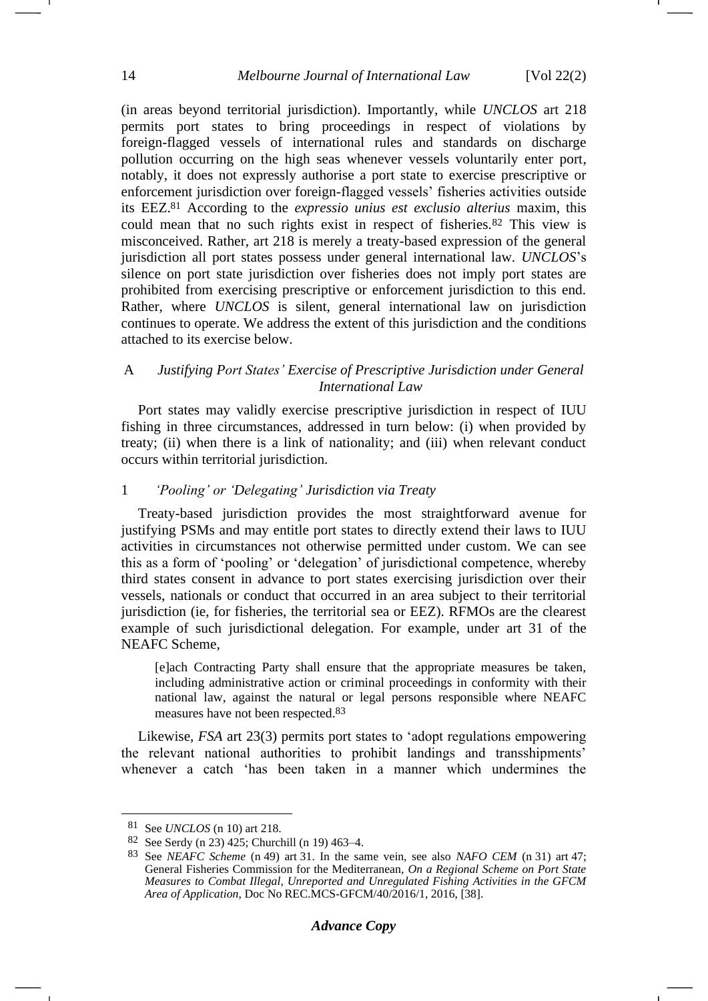(in areas beyond territorial jurisdiction). Importantly, while *UNCLOS* art 218 permits port states to bring proceedings in respect of violations by foreign-flagged vessels of international rules and standards on discharge pollution occurring on the high seas whenever vessels voluntarily enter port, notably, it does not expressly authorise a port state to exercise prescriptive or enforcement jurisdiction over foreign-flagged vessels' fisheries activities outside its EEZ.<sup>81</sup> According to the *expressio unius est exclusio alterius* maxim, this could mean that no such rights exist in respect of fisheries.<sup>82</sup> This view is misconceived. Rather, art 218 is merely a treaty-based expression of the general jurisdiction all port states possess under general international law. *UNCLOS*'s silence on port state jurisdiction over fisheries does not imply port states are prohibited from exercising prescriptive or enforcement jurisdiction to this end. Rather, where *UNCLOS* is silent, general international law on jurisdiction continues to operate. We address the extent of this jurisdiction and the conditions attached to its exercise below.

### A *Justifying Port States' Exercise of Prescriptive Jurisdiction under General International Law*

Port states may validly exercise prescriptive jurisdiction in respect of IUU fishing in three circumstances, addressed in turn below: (i) when provided by treaty; (ii) when there is a link of nationality; and (iii) when relevant conduct occurs within territorial jurisdiction.

#### 1 *'Pooling' or 'Delegating' Jurisdiction via Treaty*

Treaty-based jurisdiction provides the most straightforward avenue for justifying PSMs and may entitle port states to directly extend their laws to IUU activities in circumstances not otherwise permitted under custom. We can see this as a form of 'pooling' or 'delegation' of jurisdictional competence, whereby third states consent in advance to port states exercising jurisdiction over their vessels, nationals or conduct that occurred in an area subject to their territorial jurisdiction (ie, for fisheries, the territorial sea or EEZ). RFMOs are the clearest example of such jurisdictional delegation. For example, under art 31 of the NEAFC Scheme,

[e]ach Contracting Party shall ensure that the appropriate measures be taken, including administrative action or criminal proceedings in conformity with their national law, against the natural or legal persons responsible where NEAFC measures have not been respected.83

Likewise, *FSA* art 23(3) permits port states to 'adopt regulations empowering the relevant national authorities to prohibit landings and transshipments' whenever a catch 'has been taken in a manner which undermines the

<sup>81</sup> See *UNCLOS* (n [10\)](#page-3-2) art 218.

<sup>82</sup> See Serdy (n [23\)](#page-5-1) 425; Churchill (n [19\)](#page-4-1) 463–4.

<sup>83</sup> See *NEAFC Scheme* (n [49\)](#page-8-0) art 31. In the same vein, see also *NAFO CEM* (n [31\)](#page-6-1) art 47; General Fisheries Commission for the Mediterranean, *On a Regional Scheme on Port State Measures to Combat Illegal, Unreported and Unregulated Fishing Activities in the GFCM Area of Application*, Doc No REC.MCS-GFCM/40/2016/1, 2016, [38].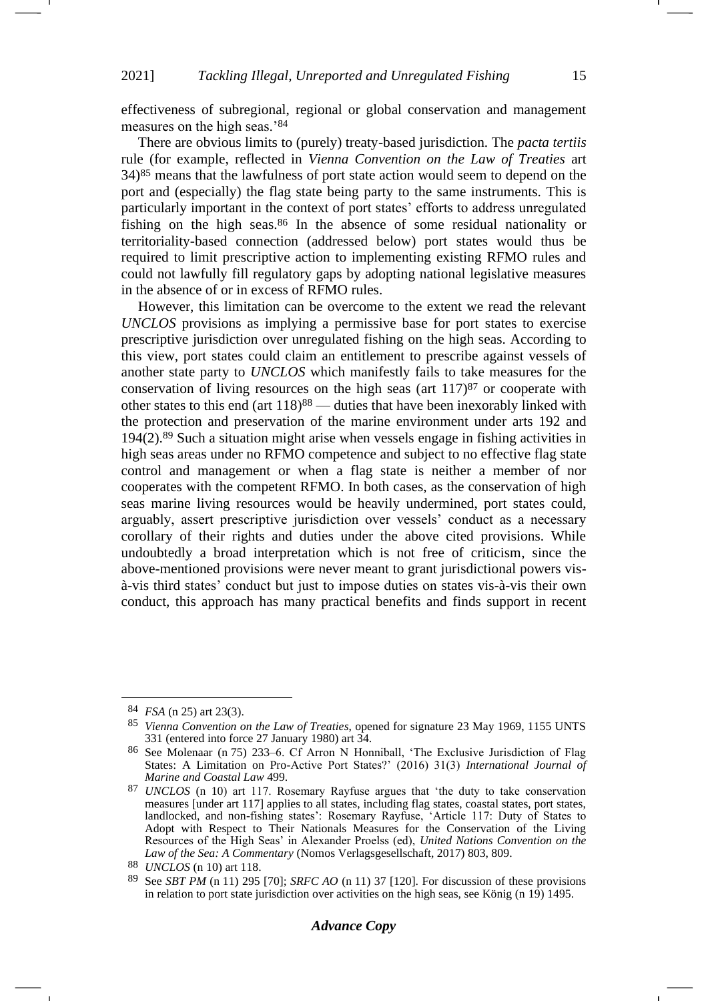effectiveness of subregional, regional or global conservation and management measures on the high seas.'<sup>84</sup>

There are obvious limits to (purely) treaty-based jurisdiction. The *pacta tertiis*  rule (for example, reflected in *Vienna Convention on the Law of Treaties* art 34) <sup>85</sup> means that the lawfulness of port state action would seem to depend on the port and (especially) the flag state being party to the same instruments. This is particularly important in the context of port states' efforts to address unregulated fishing on the high seas.<sup>86</sup> In the absence of some residual nationality or territoriality-based connection (addressed below) port states would thus be required to limit prescriptive action to implementing existing RFMO rules and could not lawfully fill regulatory gaps by adopting national legislative measures in the absence of or in excess of RFMO rules.

However, this limitation can be overcome to the extent we read the relevant *UNCLOS* provisions as implying a permissive base for port states to exercise prescriptive jurisdiction over unregulated fishing on the high seas. According to this view, port states could claim an entitlement to prescribe against vessels of another state party to *UNCLOS* which manifestly fails to take measures for the conservation of living resources on the high seas (art  $117$ )<sup>87</sup> or cooperate with other states to this end (art 118)<sup>88</sup> — duties that have been inexorably linked with the protection and preservation of the marine environment under arts 192 and 194(2).<sup>89</sup> Such a situation might arise when vessels engage in fishing activities in high seas areas under no RFMO competence and subject to no effective flag state control and management or when a flag state is neither a member of nor cooperates with the competent RFMO. In both cases, as the conservation of high seas marine living resources would be heavily undermined, port states could, arguably, assert prescriptive jurisdiction over vessels' conduct as a necessary corollary of their rights and duties under the above cited provisions. While undoubtedly a broad interpretation which is not free of criticism, since the above-mentioned provisions were never meant to grant jurisdictional powers visà-vis third states' conduct but just to impose duties on states vis-à-vis their own conduct, this approach has many practical benefits and finds support in recent

<sup>84</sup> *FSA* (n [25\)](#page-5-2) art 23(3).

<sup>85</sup> *Vienna Convention on the Law of Treaties*, opened for signature 23 May 1969, 1155 UNTS 331 (entered into force 27 January 1980) art 34.

<sup>86</sup> See Molenaar (n [75\)](#page-12-1) 233–6. Cf Arron N Honniball, 'The Exclusive Jurisdiction of Flag States: A Limitation on Pro-Active Port States?' (2016) 31(3) *International Journal of Marine and Coastal Law* 499.

<sup>87</sup> *UNCLOS* (n [10\)](#page-3-2) art 117. Rosemary Rayfuse argues that 'the duty to take conservation measures [under art 117] applies to all states, including flag states, coastal states, port states, landlocked, and non-fishing states': Rosemary Rayfuse, 'Article 117: Duty of States to Adopt with Respect to Their Nationals Measures for the Conservation of the Living Resources of the High Seas' in Alexander Proelss (ed), *United Nations Convention on the Law of the Sea: A Commentary* (Nomos Verlagsgesellschaft, 2017) 803, 809.

<sup>88</sup> *UNCLOS* (n [10\)](#page-3-2) art 118.<br>89 See SBT PM (n 11) 295

<sup>89</sup> See *SBT PM* (n [11\)](#page-3-1) 295 [70]; *SRFC AO* (n [11\)](#page-3-1) 37 [120]. For discussion of these provisions in relation to port state jurisdiction over activities on the high seas, see König  $(n 19)$  $(n 19)$  1495.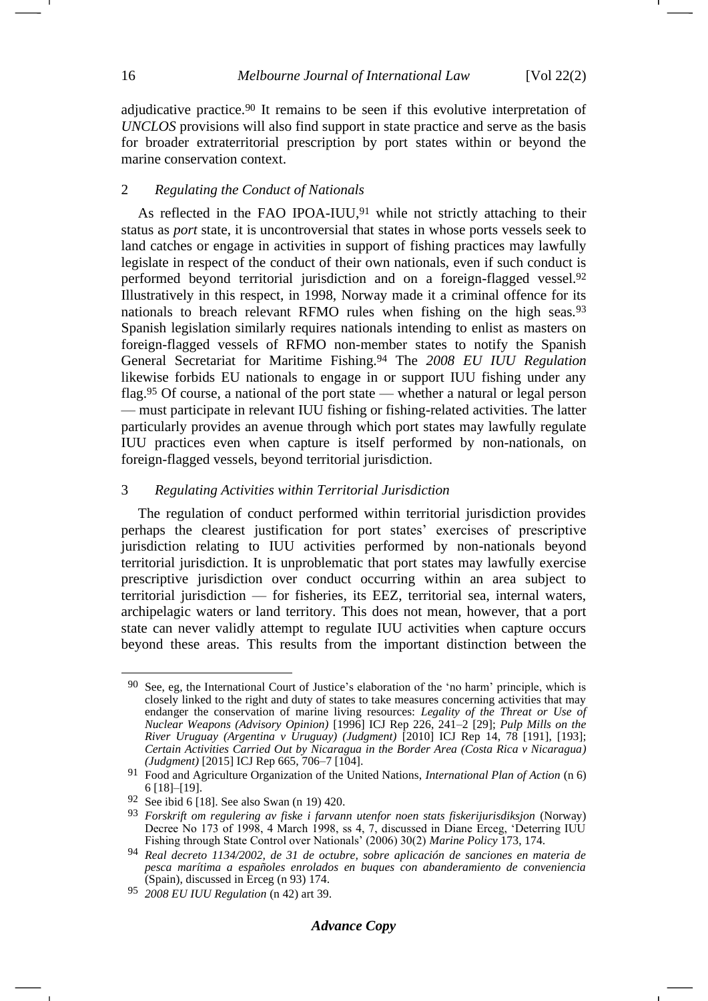adjudicative practice.<sup>90</sup> It remains to be seen if this evolutive interpretation of *UNCLOS* provisions will also find support in state practice and serve as the basis for broader extraterritorial prescription by port states within or beyond the marine conservation context.

### 2 *Regulating the Conduct of Nationals*

<span id="page-15-0"></span>As reflected in the FAO IPOA-IUU, $91$  while not strictly attaching to their status as *port* state, it is uncontroversial that states in whose ports vessels seek to land catches or engage in activities in support of fishing practices may lawfully legislate in respect of the conduct of their own nationals, even if such conduct is performed beyond territorial jurisdiction and on a foreign-flagged vessel.<sup>92</sup> Illustratively in this respect, in 1998, Norway made it a criminal offence for its nationals to breach relevant RFMO rules when fishing on the high seas.<sup>93</sup> Spanish legislation similarly requires nationals intending to enlist as masters on foreign-flagged vessels of RFMO non-member states to notify the Spanish General Secretariat for Maritime Fishing.<sup>94</sup> The *2008 EU IUU Regulation* likewise forbids EU nationals to engage in or support IUU fishing under any flag.<sup>95</sup> Of course, a national of the port state — whether a natural or legal person — must participate in relevant IUU fishing or fishing-related activities. The latter particularly provides an avenue through which port states may lawfully regulate IUU practices even when capture is itself performed by non-nationals, on foreign-flagged vessels, beyond territorial jurisdiction.

#### 3 *Regulating Activities within Territorial Jurisdiction*

The regulation of conduct performed within territorial jurisdiction provides perhaps the clearest justification for port states' exercises of prescriptive jurisdiction relating to IUU activities performed by non-nationals beyond territorial jurisdiction. It is unproblematic that port states may lawfully exercise prescriptive jurisdiction over conduct occurring within an area subject to territorial jurisdiction — for fisheries, its EEZ, territorial sea, internal waters, archipelagic waters or land territory. This does not mean, however, that a port state can never validly attempt to regulate IUU activities when capture occurs beyond these areas. This results from the important distinction between the

<sup>90</sup> See, eg, the International Court of Justice's elaboration of the 'no harm' principle, which is closely linked to the right and duty of states to take measures concerning activities that may endanger the conservation of marine living resources: *Legality of the Threat or Use of Nuclear Weapons (Advisory Opinion)* [1996] ICJ Rep 226, 241–2 [29]; *Pulp Mills on the River Uruguay (Argentina v Uruguay) (Judgment)* [2010] ICJ Rep 14, 78 [191], [193]; *Certain Activities Carried Out by Nicaragua in the Border Area (Costa Rica v Nicaragua) (Judgment)* [2015] ICJ Rep 665, 706–7 [104].

<sup>91</sup> Food and Agriculture Organization of the United Nations, *International Plan of Action* (n [6\)](#page-2-0) 6 [18]–[19].

<sup>92</sup> See ibid 6 [18]. See also Swan (n [19\)](#page-4-1) 420.

<sup>93</sup> *Forskrift om regulering av fiske i farvann utenfor noen stats fiskerijurisdiksjon* (Norway) Decree No 173 of 1998, 4 March 1998, ss 4, 7, discussed in Diane Erceg, 'Deterring IUU Fishing through State Control over Nationals' (2006) 30(2) *Marine Policy* 173, 174.

<sup>94</sup> *Real decreto 1134/2002, de 31 de octubre, sobre aplicación de sanciones en materia de pesca marítima a españoles enrolados en buques con abanderamiento de conveniencia* (Spain), discussed in Erceg (n [93\)](#page-15-0) 174.

<sup>95</sup> *2008 EU IUU Regulation* (n [42\)](#page-7-1) art 39.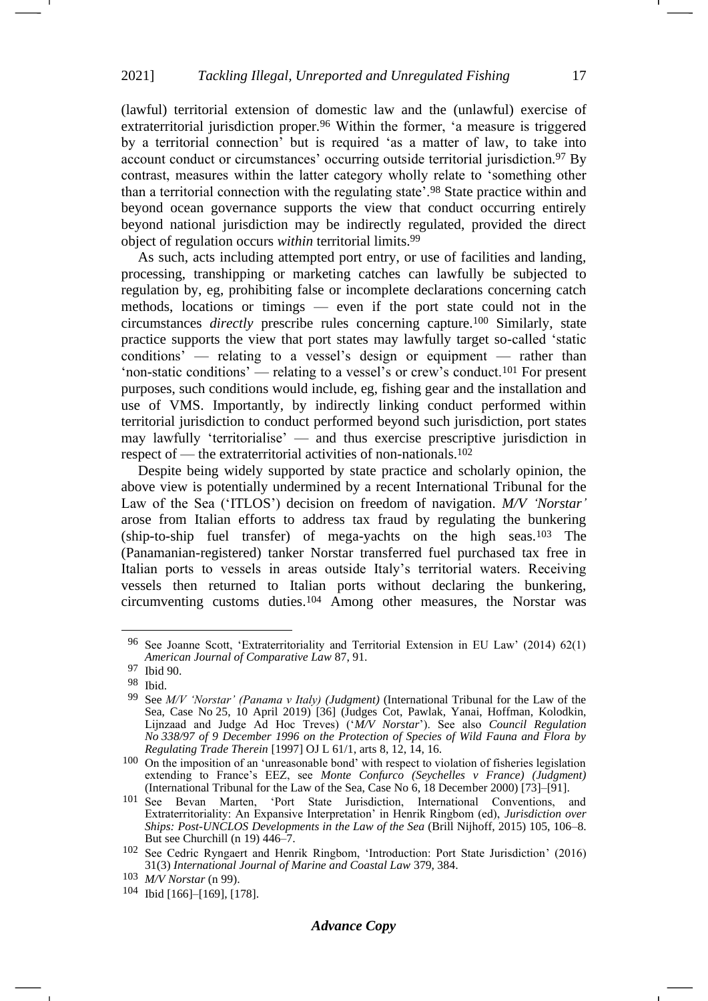(lawful) territorial extension of domestic law and the (unlawful) exercise of extraterritorial jurisdiction proper.<sup>96</sup> Within the former, 'a measure is triggered by a territorial connection' but is required 'as a matter of law, to take into account conduct or circumstances' occurring outside territorial jurisdiction.<sup>97</sup> By contrast, measures within the latter category wholly relate to 'something other than a territorial connection with the regulating state'.<sup>98</sup> State practice within and beyond ocean governance supports the view that conduct occurring entirely beyond national jurisdiction may be indirectly regulated, provided the direct object of regulation occurs *within* territorial limits.<sup>99</sup>

<span id="page-16-0"></span>As such, acts including attempted port entry, or use of facilities and landing, processing, transhipping or marketing catches can lawfully be subjected to regulation by, eg, prohibiting false or incomplete declarations concerning catch methods, locations or timings — even if the port state could not in the circumstances *directly* prescribe rules concerning capture.<sup>100</sup> Similarly, state practice supports the view that port states may lawfully target so-called 'static conditions' — relating to a vessel's design or equipment — rather than 'non-static conditions' — relating to a vessel's or crew's conduct.<sup>101</sup> For present purposes, such conditions would include, eg, fishing gear and the installation and use of VMS. Importantly, by indirectly linking conduct performed within territorial jurisdiction to conduct performed beyond such jurisdiction, port states may lawfully 'territorialise' — and thus exercise prescriptive jurisdiction in respect of — the extraterritorial activities of non-nationals.<sup>102</sup>

<span id="page-16-1"></span>Despite being widely supported by state practice and scholarly opinion, the above view is potentially undermined by a recent International Tribunal for the Law of the Sea ('ITLOS') decision on freedom of navigation. *M/V 'Norstar'* arose from Italian efforts to address tax fraud by regulating the bunkering (ship-to-ship fuel transfer) of mega-yachts on the high seas.<sup>103</sup> The (Panamanian-registered) tanker Norstar transferred fuel purchased tax free in Italian ports to vessels in areas outside Italy's territorial waters. Receiving vessels then returned to Italian ports without declaring the bunkering, circumventing customs duties.<sup>104</sup> Among other measures, the Norstar was

<sup>96</sup> See Joanne Scott, 'Extraterritoriality and Territorial Extension in EU Law' (2014) 62(1) *American Journal of Comparative Law* 87, 91.

<sup>97</sup> Ibid 90.

<sup>98</sup> Ibid.

<sup>99</sup> See *M/V 'Norstar' (Panama v Italy) (Judgment)* (International Tribunal for the Law of the Sea, Case No 25, 10 April 2019) [36] (Judges Cot, Pawlak, Yanai, Hoffman, Kolodkin, Lijnzaad and Judge Ad Hoc Treves) ('*M/V Norstar*'). See also *Council Regulation No 338/97 of 9 December 1996 on the Protection of Species of Wild Fauna and Flora by Regulating Trade Therein* [1997] OJ L 61/1, arts 8, 12, 14, 16.

<sup>100</sup> On the imposition of an 'unreasonable bond' with respect to violation of fisheries legislation extending to France's EEZ, see *Monte Confurco (Seychelles v France) (Judgment)* (International Tribunal for the Law of the Sea, Case No 6, 18 December 2000) [73]–[91].

<sup>101</sup> See Bevan Marten, 'Port State Jurisdiction, International Conventions, and Extraterritoriality: An Expansive Interpretation' in Henrik Ringbom (ed), *Jurisdiction over Ships: Post-UNCLOS Developments in the Law of the Sea* (Brill Nijhoff, 2015) 105, 106–8. But see Churchill (n [19\)](#page-4-1) 446–7.

<sup>102</sup> See Cedric Ryngaert and Henrik Ringbom, 'Introduction: Port State Jurisdiction' (2016) 31(3) *International Journal of Marine and Coastal Law* 379, 384.

<sup>103</sup> *M/V Norstar* (n [99\)](#page-16-0).

<sup>104</sup> Ibid [166]–[169], [178].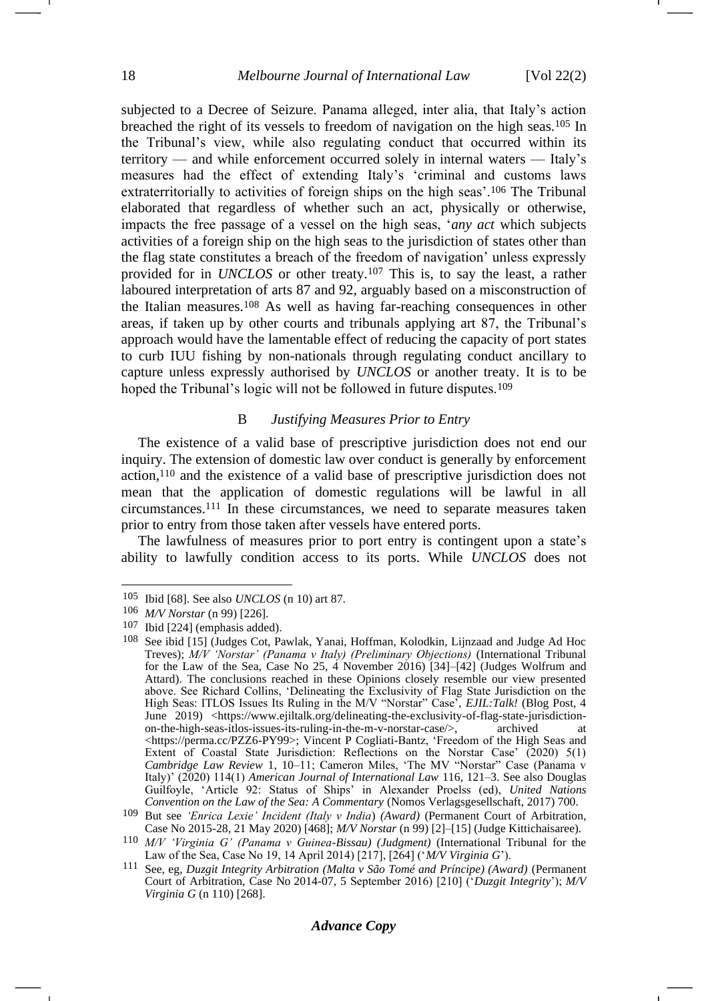subjected to a Decree of Seizure. Panama alleged, inter alia, that Italy's action breached the right of its vessels to freedom of navigation on the high seas.<sup>105</sup> In the Tribunal's view, while also regulating conduct that occurred within its territory — and while enforcement occurred solely in internal waters — Italy's measures had the effect of extending Italy's 'criminal and customs laws extraterritorially to activities of foreign ships on the high seas'.<sup>106</sup> The Tribunal elaborated that regardless of whether such an act, physically or otherwise, impacts the free passage of a vessel on the high seas, '*any act* which subjects activities of a foreign ship on the high seas to the jurisdiction of states other than the flag state constitutes a breach of the freedom of navigation' unless expressly provided for in *UNCLOS* or other treaty.<sup>107</sup> This is, to say the least, a rather laboured interpretation of arts 87 and 92, arguably based on a misconstruction of the Italian measures.<sup>108</sup> As well as having far-reaching consequences in other areas, if taken up by other courts and tribunals applying art 87, the Tribunal's approach would have the lamentable effect of reducing the capacity of port states to curb IUU fishing by non-nationals through regulating conduct ancillary to capture unless expressly authorised by *UNCLOS* or another treaty. It is to be hoped the Tribunal's logic will not be followed in future disputes.<sup>109</sup>

### B *Justifying Measures Prior to Entry*

<span id="page-17-0"></span>The existence of a valid base of prescriptive jurisdiction does not end our inquiry. The extension of domestic law over conduct is generally by enforcement action,<sup>110</sup> and the existence of a valid base of prescriptive jurisdiction does not mean that the application of domestic regulations will be lawful in all circumstances.<sup>111</sup> In these circumstances, we need to separate measures taken prior to entry from those taken after vessels have entered ports.

<span id="page-17-1"></span>The lawfulness of measures prior to port entry is contingent upon a state's ability to lawfully condition access to its ports. While *UNCLOS* does not

<sup>105</sup> Ibid [68]. See also *UNCLOS* (n [10\)](#page-3-0) art 87.

<sup>106</sup> *M/V Norstar* (n [99\)](#page-16-0) [226].

<sup>107</sup> Ibid [224] (emphasis added).

<sup>108</sup> See ibid [15] (Judges Cot, Pawlak, Yanai, Hoffman, Kolodkin, Lijnzaad and Judge Ad Hoc Treves); *M/V 'Norstar' (Panama v Italy) (Preliminary Objections)* (International Tribunal for the Law of the Sea, Case No 25, 4 November 2016) [34]–[42] (Judges Wolfrum and Attard). The conclusions reached in these Opinions closely resemble our view presented above. See Richard Collins, 'Delineating the Exclusivity of Flag State Jurisdiction on the High Seas: ITLOS Issues Its Ruling in the M/V "Norstar" Case', *EJIL:Talk!* (Blog Post, 4 June 2019) <https://www.ejiltalk.org/delineating-the-exclusivity-of-flag-state-jurisdiction-<br>on-the-high-seas-itlos-issues-its-ruling-in-the-m-v-norstar-case/> archived at on-the-high-seas-itlos-issues-its-ruling-in-the-m-v-norstar-case/>, archived at <https://perma.cc/PZZ6-PY99>; Vincent P Cogliati-Bantz, 'Freedom of the High Seas and Extent of Coastal State Jurisdiction: Reflections on the Norstar Case' (2020) 5(1) *Cambridge Law Review* 1, 10–11; Cameron Miles, 'The MV "Norstar" Case (Panama v Italy)' (2020) 114(1) *American Journal of International Law* 116, 121–3. See also Douglas Guilfoyle, 'Article 92: Status of Ships' in Alexander Proelss (ed), *United Nations Convention on the Law of the Sea: A Commentary* (Nomos Verlagsgesellschaft, 2017) 700.

<sup>109</sup> But see *'Enrica Lexie' Incident (Italy v India*) *(Award)* (Permanent Court of Arbitration, Case No 2015-28, 21 May 2020) [468]; *M/V Norstar* (n [99\)](#page-16-0) [2]–[15] (Judge Kittichaisaree).

<sup>110</sup> *M/V 'Virginia G' (Panama v Guinea-Bissau) (Judgment)* (International Tribunal for the Law of the Sea, Case No 19, 14 April 2014) [217], [264] ('*M/V Virginia G*').

<sup>111</sup> See, eg, *Duzgit Integrity Arbitration (Malta v São Tomé and Príncipe) (Award)* (Permanent Court of Arbitration, Case No 2014-07, 5 September 2016) [210] ('*Duzgit Integrity*'); *M/V Virginia G* (n [110\)](#page-17-0) [268].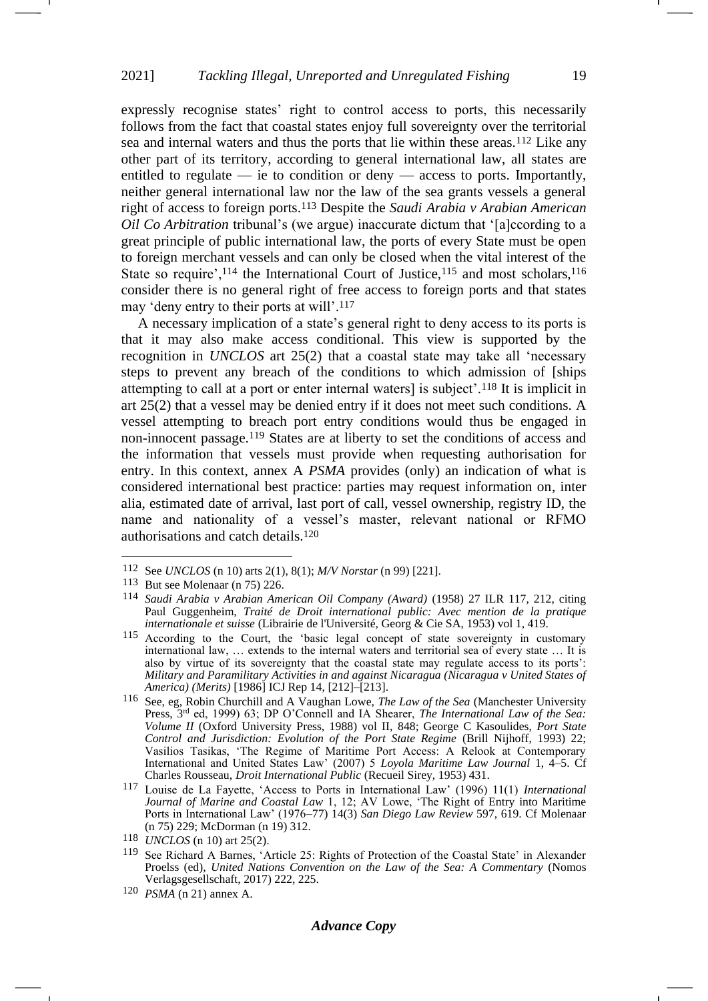expressly recognise states' right to control access to ports, this necessarily follows from the fact that coastal states enjoy full sovereignty over the territorial sea and internal waters and thus the ports that lie within these areas.<sup>112</sup> Like any other part of its territory, according to general international law, all states are entitled to regulate — ie to condition or deny — access to ports. Importantly, neither general international law nor the law of the sea grants vessels a general right of access to foreign ports.<sup>113</sup> Despite the *Saudi Arabia v Arabian American Oil Co Arbitration* tribunal's (we argue) inaccurate dictum that '[a]ccording to a great principle of public international law, the ports of every State must be open to foreign merchant vessels and can only be closed when the vital interest of the State so require',<sup>114</sup> the International Court of Justice,<sup>115</sup> and most scholars,<sup>116</sup> consider there is no general right of free access to foreign ports and that states may 'deny entry to their ports at will'.<sup>117</sup>

<span id="page-18-1"></span><span id="page-18-0"></span>A necessary implication of a state's general right to deny access to its ports is that it may also make access conditional. This view is supported by the recognition in *UNCLOS* art 25(2) that a coastal state may take all 'necessary steps to prevent any breach of the conditions to which admission of [ships attempting to call at a port or enter internal waters] is subject'.<sup>118</sup> It is implicit in art 25(2) that a vessel may be denied entry if it does not meet such conditions. A vessel attempting to breach port entry conditions would thus be engaged in non-innocent passage.<sup>119</sup> States are at liberty to set the conditions of access and the information that vessels must provide when requesting authorisation for entry. In this context, annex A *PSMA* provides (only) an indication of what is considered international best practice: parties may request information on, inter alia, estimated date of arrival, last port of call, vessel ownership, registry ID, the name and nationality of a vessel's master, relevant national or RFMO authorisations and catch details.<sup>120</sup>

<sup>112</sup> See *UNCLOS* (n [10\)](#page-3-0) arts 2(1), 8(1); *M/V Norstar* (n [99\)](#page-16-0) [221].

<sup>113</sup> But see Molenaar (n [75\)](#page-12-1) 226.

<sup>114</sup> *Saudi Arabia v Arabian American Oil Company (Award)* (1958) 27 ILR 117, 212, citing Paul Guggenheim, *Traité de Droit international public: Avec mention de la pratique internationale et suisse* (Librairie de l'Université, Georg & Cie SA, 1953) vol 1, 419.

<sup>115</sup> According to the Court, the 'basic legal concept of state sovereignty in customary international law, … extends to the internal waters and territorial sea of every state … It is also by virtue of its sovereignty that the coastal state may regulate access to its ports': *Military and Paramilitary Activities in and against Nicaragua (Nicaragua v United States of America) (Merits)* [1986] ICJ Rep 14, [212]–[213].

<sup>116</sup> See, eg, Robin Churchill and A Vaughan Lowe, *The Law of the Sea* (Manchester University Press, 3rd ed, 1999) 63; DP O'Connell and IA Shearer, *The International Law of the Sea: Volume II* (Oxford University Press, 1988) vol II, 848; George C Kasoulides, *Port State Control and Jurisdiction: Evolution of the Port State Regime* (Brill Nijhoff, 1993) 22; Vasilios Tasikas, 'The Regime of Maritime Port Access: A Relook at Contemporary International and United States Law' (2007) 5 *Loyola Maritime Law Journal* 1, 4–5. Cf Charles Rousseau, *Droit International Public* (Recueil Sirey, 1953) 431.

<sup>117</sup> Louise de La Fayette, 'Access to Ports in International Law' (1996) 11(1) *International Journal of Marine and Coastal Law* 1, 12; AV Lowe, 'The Right of Entry into Maritime Ports in International Law' (1976–77) 14(3) *San Diego Law Review* 597, 619. Cf Molenaar (n [75\)](#page-12-1) 229; McDorman (n [19\)](#page-4-1) 312.

<sup>118</sup> *UNCLOS* (n [10\)](#page-3-2) art 25(2).

<sup>119</sup> See Richard A Barnes, 'Article 25: Rights of Protection of the Coastal State' in Alexander Proelss (ed), *United Nations Convention on the Law of the Sea: A Commentary* (Nomos Verlagsgesellschaft, 2017) 222, 225.

<sup>120</sup> *PSMA* (n [21\)](#page-4-2) annex A.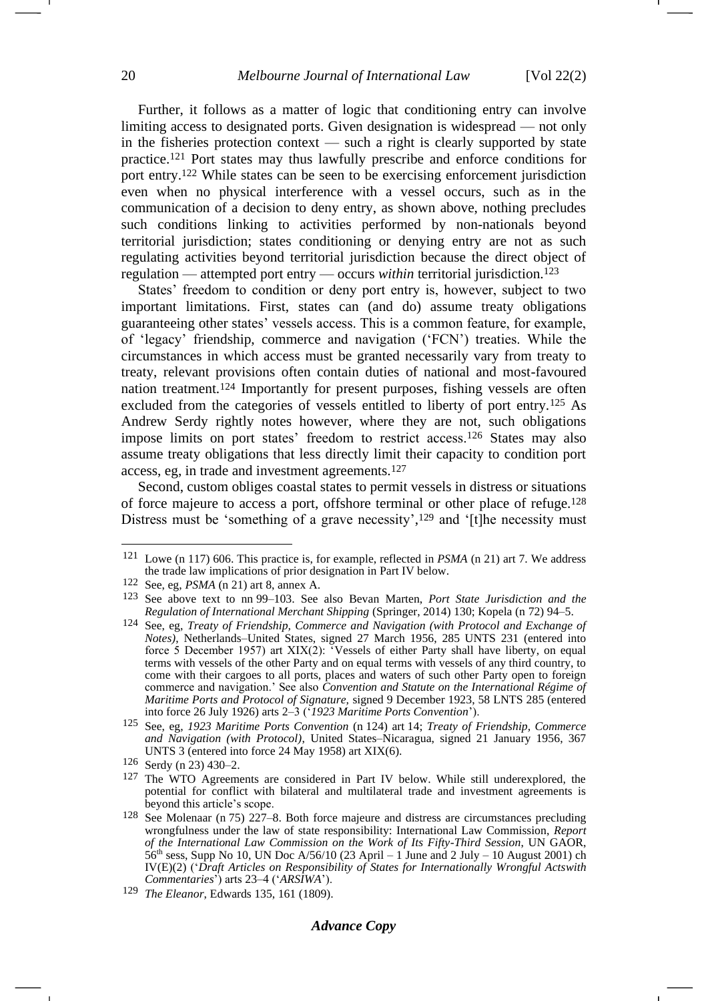Further, it follows as a matter of logic that conditioning entry can involve limiting access to designated ports. Given designation is widespread — not only in the fisheries protection context — such a right is clearly supported by state practice.<sup>121</sup> Port states may thus lawfully prescribe and enforce conditions for port entry.<sup>122</sup> While states can be seen to be exercising enforcement jurisdiction even when no physical interference with a vessel occurs, such as in the communication of a decision to deny entry, as shown above, nothing precludes such conditions linking to activities performed by non-nationals beyond territorial jurisdiction; states conditioning or denying entry are not as such regulating activities beyond territorial jurisdiction because the direct object of regulation — attempted port entry — occurs *within* territorial jurisdiction.<sup>123</sup>

<span id="page-19-0"></span>States' freedom to condition or deny port entry is, however, subject to two important limitations. First, states can (and do) assume treaty obligations guaranteeing other states' vessels access. This is a common feature, for example, of 'legacy' friendship, commerce and navigation ('FCN') treaties. While the circumstances in which access must be granted necessarily vary from treaty to treaty, relevant provisions often contain duties of national and most-favoured nation treatment.<sup>124</sup> Importantly for present purposes, fishing vessels are often excluded from the categories of vessels entitled to liberty of port entry.<sup>125</sup> As Andrew Serdy rightly notes however, where they are not, such obligations impose limits on port states' freedom to restrict access.<sup>126</sup> States may also assume treaty obligations that less directly limit their capacity to condition port access, eg, in trade and investment agreements.<sup>127</sup>

<span id="page-19-1"></span>Second, custom obliges coastal states to permit vessels in distress or situations of force majeure to access a port, offshore terminal or other place of refuge.<sup>128</sup> Distress must be 'something of a grave necessity',<sup>129</sup> and '[t]he necessity must

<sup>121</sup> Lowe (n [117\)](#page-18-0) 606. This practice is, for example, reflected in *PSMA* (n [21\)](#page-4-0) art 7. We address the trade law implications of prior designation in Part IV below.

<sup>122</sup> See, eg, *PSMA* (n [21\)](#page-4-2) art 8, annex A.

<sup>123</sup> See above text to nn [99](#page-16-0)[–103.](#page-16-1) See also Bevan Marten, *Port State Jurisdiction and the Regulation of International Merchant Shipping* (Springer, 2014) 130; Kopela (n [72\)](#page-11-1) 94–5.

<sup>124</sup> See, eg, *Treaty of Friendship, Commerce and Navigation (with Protocol and Exchange of Notes)*, Netherlands–United States, signed 27 March 1956, 285 UNTS 231 (entered into force 5 December 1957) art  $XIX(2)$ : Vessels of either Party shall have liberty, on equal terms with vessels of the other Party and on equal terms with vessels of any third country, to come with their cargoes to all ports, places and waters of such other Party open to foreign commerce and navigation.' See also *Convention and Statute on the International Régime of Maritime Ports and Protocol of Signature,* signed 9 December 1923, 58 LNTS 285 (entered into force 26 July 1926) arts 2–3 ('*1923 Maritime Ports Convention*').

<sup>125</sup> See, eg, *1923 Maritime Ports Convention* (n [124\)](#page-19-0) art 14; *Treaty of Friendship, Commerce and Navigation (with Protocol)*, United States–Nicaragua, signed 21 January 1956, 367 UNTS 3 (entered into force 24 May 1958) art XIX(6).

<sup>126</sup> Serdy (n [23\)](#page-5-1) 430–2.

<sup>127</sup> The WTO Agreements are considered in Part IV below. While still underexplored, the potential for conflict with bilateral and multilateral trade and investment agreements is beyond this article's scope.

<sup>128</sup> See Molenaar (n [75\)](#page-12-1) 227–8. Both force majeure and distress are circumstances precluding wrongfulness under the law of state responsibility: International Law Commission, *Report of the International Law Commission on the Work of Its Fifty-Third Session*, UN GAOR, 56<sup>th</sup> sess, Supp No 10, UN Doc A/56/10 (23 April – 1 June and 2 July – 10 August 2001) ch IV(E)(2) ('*Draft Articles on Responsibility of States for Internationally Wrongful Actswith Commentaries*') arts 23–4 ('*ARSIWA*').

<sup>129</sup> *The Eleanor*, Edwards 135, 161 (1809).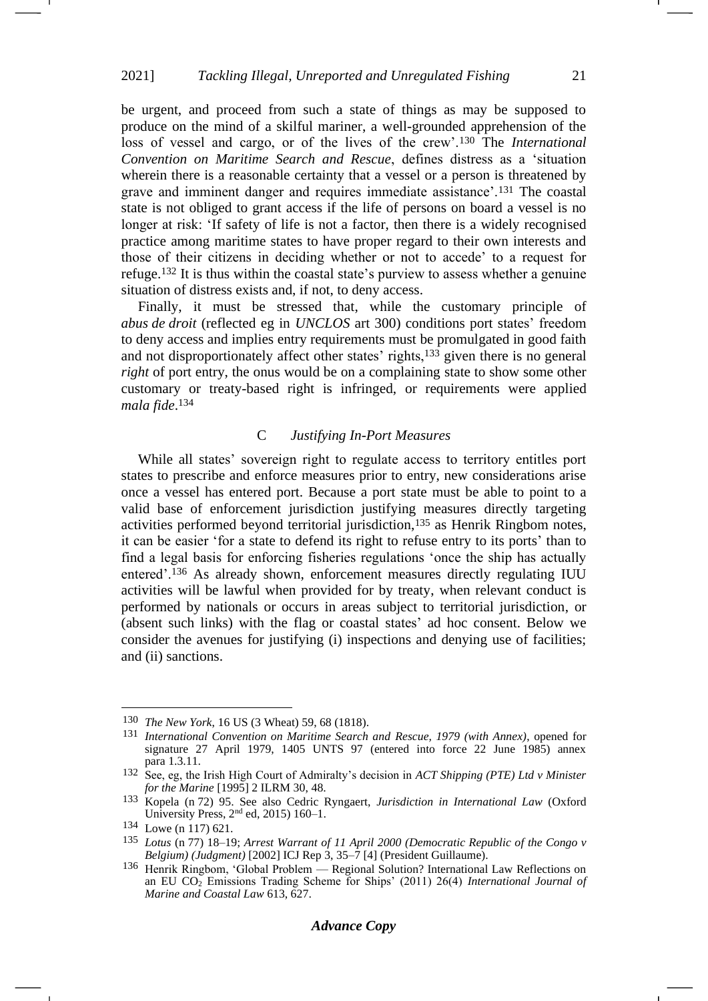be urgent, and proceed from such a state of things as may be supposed to produce on the mind of a skilful mariner, a well-grounded apprehension of the loss of vessel and cargo, or of the lives of the crew'.<sup>130</sup> The *International Convention on Maritime Search and Rescue*, defines distress as a 'situation wherein there is a reasonable certainty that a vessel or a person is threatened by grave and imminent danger and requires immediate assistance'.<sup>131</sup> The coastal state is not obliged to grant access if the life of persons on board a vessel is no longer at risk: 'If safety of life is not a factor, then there is a widely recognised practice among maritime states to have proper regard to their own interests and those of their citizens in deciding whether or not to accede' to a request for refuge.<sup>132</sup> It is thus within the coastal state's purview to assess whether a genuine situation of distress exists and, if not, to deny access.

Finally, it must be stressed that, while the customary principle of *abus de droit* (reflected eg in *UNCLOS* art 300) conditions port states' freedom to deny access and implies entry requirements must be promulgated in good faith and not disproportionately affect other states' rights,<sup>133</sup> given there is no general *right* of port entry, the onus would be on a complaining state to show some other customary or treaty-based right is infringed, or requirements were applied *mala fide*. 134

### <span id="page-20-0"></span>C *Justifying In-Port Measures*

While all states' sovereign right to regulate access to territory entitles port states to prescribe and enforce measures prior to entry, new considerations arise once a vessel has entered port. Because a port state must be able to point to a valid base of enforcement jurisdiction justifying measures directly targeting activities performed beyond territorial jurisdiction,<sup>135</sup> as Henrik Ringbom notes, it can be easier 'for a state to defend its right to refuse entry to its ports' than to find a legal basis for enforcing fisheries regulations 'once the ship has actually entered'.<sup>136</sup> As already shown, enforcement measures directly regulating IUU activities will be lawful when provided for by treaty, when relevant conduct is performed by nationals or occurs in areas subject to territorial jurisdiction, or (absent such links) with the flag or coastal states' ad hoc consent. Below we consider the avenues for justifying (i) inspections and denying use of facilities; and (ii) sanctions.

<sup>130</sup> *The New York*, 16 US (3 Wheat) 59, 68 (1818).

<sup>131</sup> *International Convention on Maritime Search and Rescue, 1979 (with Annex)*, opened for signature 27 April 1979, 1405 UNTS 97 (entered into force 22 June 1985) annex para 1.3.11.

<sup>132</sup> See, eg, the Irish High Court of Admiralty's decision in *ACT Shipping (PTE) Ltd v Minister for the Marine* [1995] 2 ILRM 30, 48.

<sup>133</sup> Kopela (n [72\)](#page-11-1) 95. See also Cedric Ryngaert, *Jurisdiction in International Law* (Oxford University Press,  $2<sup>nd</sup>$  ed, 2015) 160–1.

<sup>134</sup> Lowe (n [117\)](#page-18-0) 621.

<sup>135</sup> *Lotus* (n [77\)](#page-12-2) 18–19; *Arrest Warrant of 11 April 2000 (Democratic Republic of the Congo v Belgium) (Judgment)* [2002] ICJ Rep 3, 35–7 [4] (President Guillaume).

<sup>136</sup> Henrik Ringbom, 'Global Problem — Regional Solution? International Law Reflections on an EU CO<sup>2</sup> Emissions Trading Scheme for Ships' (2011) 26(4) *International Journal of Marine and Coastal Law* 613, 627.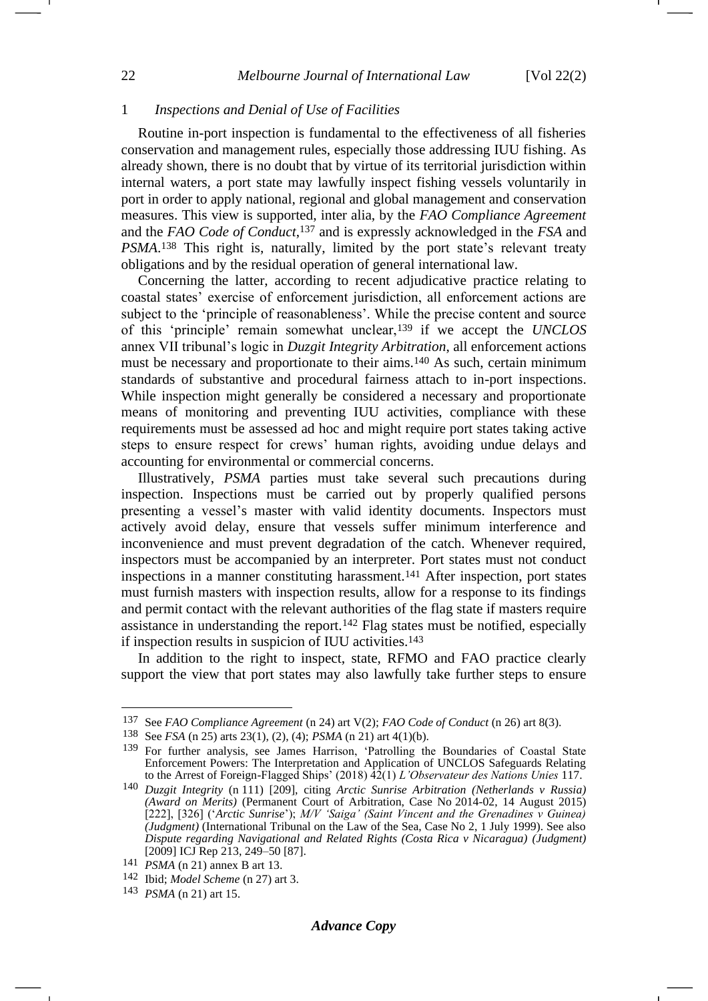### 1 *Inspections and Denial of Use of Facilities*

Routine in-port inspection is fundamental to the effectiveness of all fisheries conservation and management rules, especially those addressing IUU fishing. As already shown, there is no doubt that by virtue of its territorial jurisdiction within internal waters, a port state may lawfully inspect fishing vessels voluntarily in port in order to apply national, regional and global management and conservation measures. This view is supported, inter alia, by the *FAO Compliance Agreement*  and the *FAO Code of Conduct*, <sup>137</sup> and is expressly acknowledged in the *FSA* and *PSMA*. <sup>138</sup> This right is, naturally, limited by the port state's relevant treaty obligations and by the residual operation of general international law.

<span id="page-21-0"></span>Concerning the latter, according to recent adjudicative practice relating to coastal states' exercise of enforcement jurisdiction, all enforcement actions are subject to the 'principle of reasonableness'. While the precise content and source of this 'principle' remain somewhat unclear,<sup>139</sup> if we accept the *UNCLOS* annex VII tribunal's logic in *Duzgit Integrity Arbitration*, all enforcement actions must be necessary and proportionate to their aims.<sup>140</sup> As such, certain minimum standards of substantive and procedural fairness attach to in-port inspections. While inspection might generally be considered a necessary and proportionate means of monitoring and preventing IUU activities, compliance with these requirements must be assessed ad hoc and might require port states taking active steps to ensure respect for crews' human rights, avoiding undue delays and accounting for environmental or commercial concerns.

Illustratively, *PSMA* parties must take several such precautions during inspection. Inspections must be carried out by properly qualified persons presenting a vessel's master with valid identity documents. Inspectors must actively avoid delay, ensure that vessels suffer minimum interference and inconvenience and must prevent degradation of the catch. Whenever required, inspectors must be accompanied by an interpreter. Port states must not conduct inspections in a manner constituting harassment.<sup>141</sup> After inspection, port states must furnish masters with inspection results, allow for a response to its findings and permit contact with the relevant authorities of the flag state if masters require assistance in understanding the report.<sup>142</sup> Flag states must be notified, especially if inspection results in suspicion of IUU activities.<sup>143</sup>

<span id="page-21-3"></span><span id="page-21-2"></span><span id="page-21-1"></span>In addition to the right to inspect, state, RFMO and FAO practice clearly support the view that port states may also lawfully take further steps to ensure

<sup>137</sup> See *FAO Compliance Agreement* (n [24\)](#page-5-3) art V(2); *FAO Code of Conduct* (n [26\)](#page-5-4) art 8(3).

<sup>138</sup> See *FSA* (n [25\)](#page-5-2) arts 23(1), (2), (4); *PSMA* (n [21\)](#page-4-2) art 4(1)(b).

<sup>139</sup> For further analysis, see James Harrison, 'Patrolling the Boundaries of Coastal State Enforcement Powers: The Interpretation and Application of UNCLOS Safeguards Relating to the Arrest of Foreign-Flagged Ships' (2018) 42(1) *L'Observateur des Nations Unies* 117.

<sup>140</sup> *Duzgit Integrity* (n [111\)](#page-17-1) [209], citing *Arctic Sunrise Arbitration (Netherlands v Russia) (Award on Merits)* (Permanent Court of Arbitration, Case No 2014-02, 14 August 2015) [222], [326] ('*Arctic Sunrise*'); *M/V 'Saiga' (Saint Vincent and the Grenadines v Guinea) (Judgment)* (International Tribunal on the Law of the Sea, Case No 2, 1 July 1999). See also *Dispute regarding Navigational and Related Rights (Costa Rica v Nicaragua) (Judgment)* [2009] ICJ Rep 213, 249–50 [87].

<sup>141</sup> *PSMA* (n [21\)](#page-4-2) annex B art 13.

<sup>142</sup> Ibid; *Model Scheme* (n [27\)](#page-5-0) art 3.

<sup>143</sup> *PSMA* (n [21\)](#page-4-2) art 15.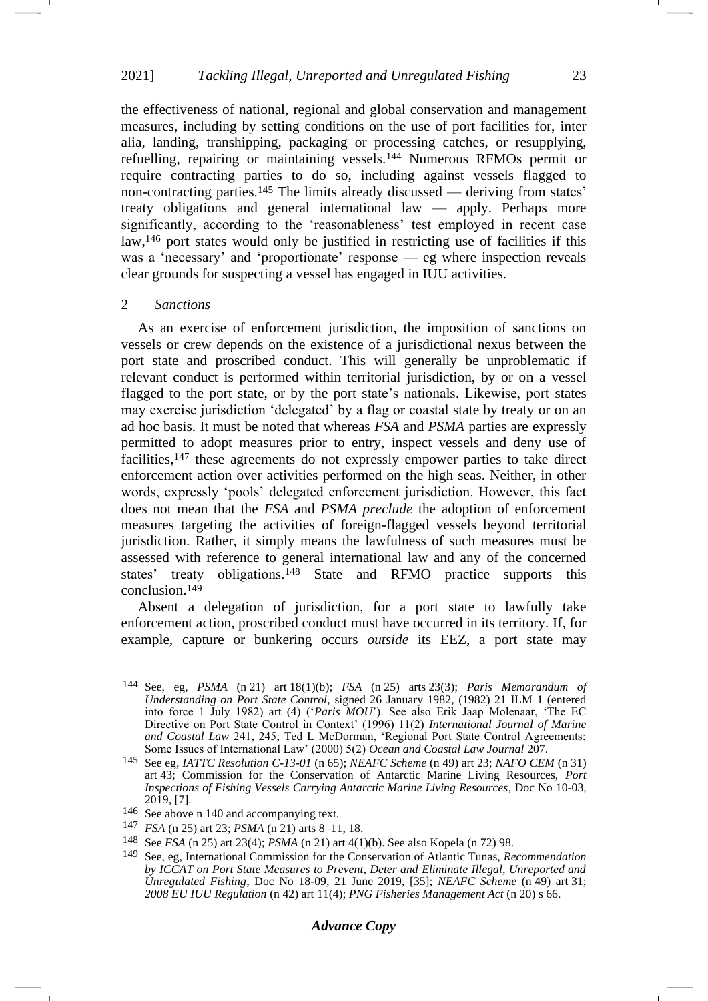the effectiveness of national, regional and global conservation and management measures, including by setting conditions on the use of port facilities for, inter alia, landing, transhipping, packaging or processing catches, or resupplying, refuelling, repairing or maintaining vessels.<sup>144</sup> Numerous RFMOs permit or require contracting parties to do so, including against vessels flagged to non-contracting parties.<sup>145</sup> The limits already discussed — deriving from states' treaty obligations and general international law — apply. Perhaps more significantly, according to the 'reasonableness' test employed in recent case law,<sup>146</sup> port states would only be justified in restricting use of facilities if this was a 'necessary' and 'proportionate' response — eg where inspection reveals clear grounds for suspecting a vessel has engaged in IUU activities.

#### 2 *Sanctions*

As an exercise of enforcement jurisdiction, the imposition of sanctions on vessels or crew depends on the existence of a jurisdictional nexus between the port state and proscribed conduct. This will generally be unproblematic if relevant conduct is performed within territorial jurisdiction, by or on a vessel flagged to the port state, or by the port state's nationals. Likewise, port states may exercise jurisdiction 'delegated' by a flag or coastal state by treaty or on an ad hoc basis. It must be noted that whereas *FSA* and *PSMA* parties are expressly permitted to adopt measures prior to entry, inspect vessels and deny use of facilities,<sup>147</sup> these agreements do not expressly empower parties to take direct enforcement action over activities performed on the high seas. Neither, in other words, expressly 'pools' delegated enforcement jurisdiction. However, this fact does not mean that the *FSA* and *PSMA preclude* the adoption of enforcement measures targeting the activities of foreign-flagged vessels beyond territorial jurisdiction. Rather, it simply means the lawfulness of such measures must be assessed with reference to general international law and any of the concerned states' treaty obligations.<sup>148</sup> State and RFMO practice supports this conclusion.<sup>149</sup>

Absent a delegation of jurisdiction, for a port state to lawfully take enforcement action, proscribed conduct must have occurred in its territory. If, for example, capture or bunkering occurs *outside* its EEZ, a port state may

<sup>144</sup> See, eg, *PSMA* (n [21\)](#page-4-2) art 18(1)(b); *FSA* (n [25\)](#page-5-2) arts 23(3); *Paris Memorandum of Understanding on Port State Control*, signed 26 January 1982, (1982) 21 ILM 1 (entered into force 1 July 1982) art (4) ('*Paris MOU*'). See also Erik Jaap Molenaar, 'The EC Directive on Port State Control in Context' (1996) 11(2) *International Journal of Marine and Coastal Law* 241, 245; Ted L McDorman, 'Regional Port State Control Agreements: Some Issues of International Law' (2000) 5(2) *Ocean and Coastal Law Journal* 207.

<sup>145</sup> See eg, *IATTC Resolution C-13-01* (n [65\)](#page-10-0); *NEAFC Scheme* (n [49\)](#page-8-0) art 23; *NAFO CEM* (n [31\)](#page-6-1) art 43; Commission for the Conservation of Antarctic Marine Living Resources, *Port Inspections of Fishing Vessels Carrying Antarctic Marine Living Resources*, Doc No 10-03, 2019, [7].

<sup>146</sup> See above n [140](#page-21-0) and accompanying text.

<sup>147</sup> *FSA* (n [25\)](#page-5-2) art 23; *PSMA* (n [21\)](#page-4-2) arts 8–11, 18.

<sup>148</sup> See *FSA* (n [25\)](#page-5-2) art 23(4); *PSMA* (n [21\)](#page-4-2) art 4(1)(b). See also Kopela (n [72\)](#page-11-1) 98.

<sup>149</sup> See, eg, International Commission for the Conservation of Atlantic Tunas, *Recommendation by ICCAT on Port State Measures to Prevent, Deter and Eliminate Illegal, Unreported and Unregulated Fishing*, Doc No 18-09, 21 June 2019, [35]; *NEAFC Scheme* (n [49\)](#page-8-0) art 31; *2008 EU IUU Regulation* (n [42\)](#page-7-1) art 11(4); *PNG Fisheries Management Act* (n [20\)](#page-4-3) s 66.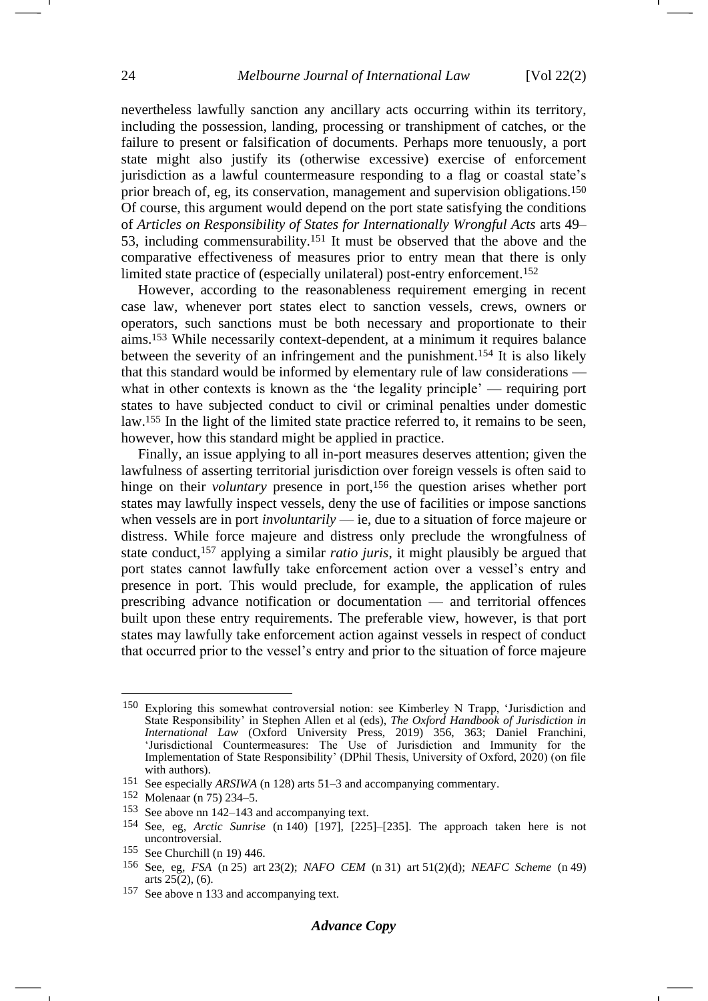nevertheless lawfully sanction any ancillary acts occurring within its territory, including the possession, landing, processing or transhipment of catches, or the failure to present or falsification of documents. Perhaps more tenuously, a port state might also justify its (otherwise excessive) exercise of enforcement jurisdiction as a lawful countermeasure responding to a flag or coastal state's prior breach of, eg, its conservation, management and supervision obligations.<sup>150</sup> Of course, this argument would depend on the port state satisfying the conditions of *Articles on Responsibility of States for Internationally Wrongful Acts* arts 49– 53, including commensurability.<sup>151</sup> It must be observed that the above and the comparative effectiveness of measures prior to entry mean that there is only limited state practice of (especially unilateral) post-entry enforcement.<sup>152</sup>

However, according to the reasonableness requirement emerging in recent case law, whenever port states elect to sanction vessels, crews, owners or operators, such sanctions must be both necessary and proportionate to their aims.<sup>153</sup> While necessarily context-dependent, at a minimum it requires balance between the severity of an infringement and the punishment.<sup>154</sup> It is also likely that this standard would be informed by elementary rule of law considerations what in other contexts is known as the 'the legality principle' — requiring port states to have subjected conduct to civil or criminal penalties under domestic law.<sup>155</sup> In the light of the limited state practice referred to, it remains to be seen, however, how this standard might be applied in practice.

Finally, an issue applying to all in-port measures deserves attention; given the lawfulness of asserting territorial jurisdiction over foreign vessels is often said to hinge on their *voluntary* presence in port,<sup>156</sup> the question arises whether port states may lawfully inspect vessels, deny the use of facilities or impose sanctions when vessels are in port *involuntarily* — ie, due to a situation of force majeure or distress. While force majeure and distress only preclude the wrongfulness of state conduct,<sup>157</sup> applying a similar *ratio juris*, it might plausibly be argued that port states cannot lawfully take enforcement action over a vessel's entry and presence in port. This would preclude, for example, the application of rules prescribing advance notification or documentation — and territorial offences built upon these entry requirements. The preferable view, however, is that port states may lawfully take enforcement action against vessels in respect of conduct that occurred prior to the vessel's entry and prior to the situation of force majeure

<sup>150</sup> Exploring this somewhat controversial notion: see Kimberley N Trapp, 'Jurisdiction and State Responsibility' in Stephen Allen et al (eds), *The Oxford Handbook of Jurisdiction in International Law* (Oxford University Press, 2019) 356, 363; Daniel Franchini, 'Jurisdictional Countermeasures: The Use of Jurisdiction and Immunity for the Implementation of State Responsibility' (DPhil Thesis, University of Oxford, 2020) (on file with authors).

<sup>151</sup> See especially *ARSIWA* (n [128\)](#page-19-1) arts 51–3 and accompanying commentary.

<sup>152</sup> Molenaar (n [75\)](#page-12-1) 234–5.

<sup>153</sup> See above nn [142](#page-21-1)[–143](#page-21-2) and accompanying text.

<sup>154</sup> See, eg, *Arctic Sunrise* (n [140\)](#page-21-0) [197], [225]–[235]. The approach taken here is not uncontroversial.

<sup>155</sup> See Churchill (n [19\)](#page-4-1) 446.

<sup>156</sup> See, eg, *FSA* (n [25\)](#page-5-2) art 23(2); *NAFO CEM* (n [31\)](#page-6-1) art 51(2)(d); *NEAFC Scheme* (n [49\)](#page-8-0) arts  $25(2)$ , (6).

<sup>157</sup> See above n [133](#page-20-0) and accompanying text.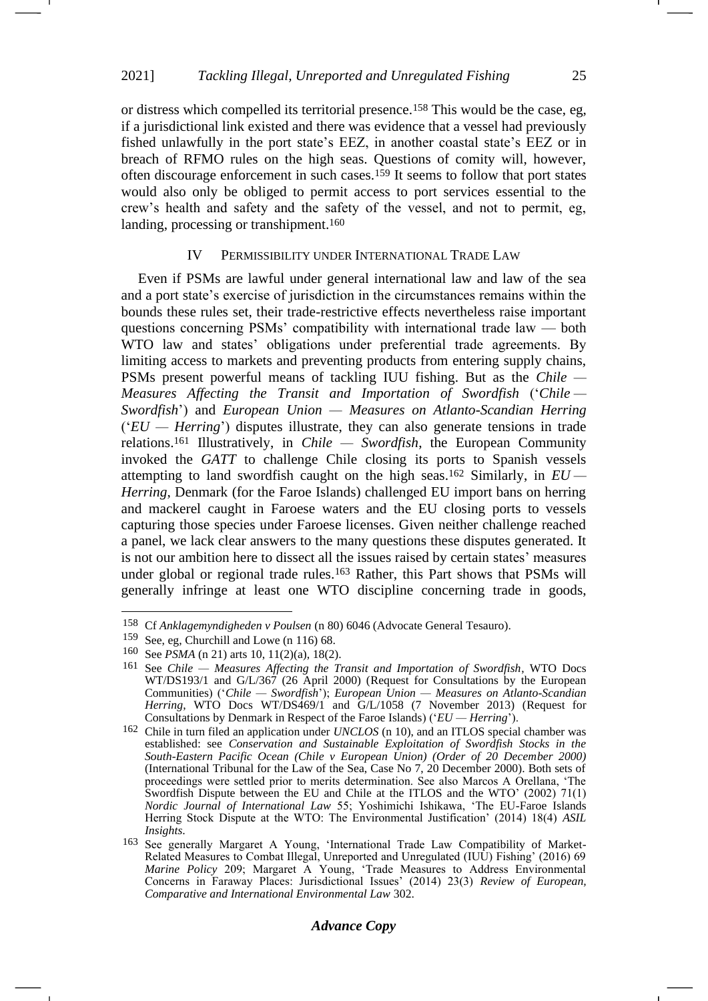or distress which compelled its territorial presence.<sup>158</sup> This would be the case, eg, if a jurisdictional link existed and there was evidence that a vessel had previously fished unlawfully in the port state's EEZ, in another coastal state's EEZ or in breach of RFMO rules on the high seas. Questions of comity will, however, often discourage enforcement in such cases.<sup>159</sup> It seems to follow that port states would also only be obliged to permit access to port services essential to the crew's health and safety and the safety of the vessel, and not to permit, eg, landing, processing or transhipment.<sup>160</sup>

# IV PERMISSIBILITY UNDER INTERNATIONAL TRADE LAW

<span id="page-24-0"></span>Even if PSMs are lawful under general international law and law of the sea and a port state's exercise of jurisdiction in the circumstances remains within the bounds these rules set, their trade-restrictive effects nevertheless raise important questions concerning PSMs' compatibility with international trade law — both WTO law and states' obligations under preferential trade agreements. By limiting access to markets and preventing products from entering supply chains, PSMs present powerful means of tackling IUU fishing. But as the *Chile — Measures Affecting the Transit and Importation of Swordfish* ('*Chile — Swordfish*') and *European Union — Measures on Atlanto-Scandian Herring*  ('*EU — Herring*') disputes illustrate, they can also generate tensions in trade relations.<sup>161</sup> Illustratively, in *Chile — Swordfish*, the European Community invoked the *GATT* to challenge Chile closing its ports to Spanish vessels attempting to land swordfish caught on the high seas.<sup>162</sup> Similarly, in *EU — Herring*, Denmark (for the Faroe Islands) challenged EU import bans on herring and mackerel caught in Faroese waters and the EU closing ports to vessels capturing those species under Faroese licenses. Given neither challenge reached a panel, we lack clear answers to the many questions these disputes generated. It is not our ambition here to dissect all the issues raised by certain states' measures under global or regional trade rules.<sup>163</sup> Rather, this Part shows that PSMs will generally infringe at least one WTO discipline concerning trade in goods,

<sup>158</sup> Cf *Anklagemyndigheden v Poulsen* (n [80\)](#page-12-3) 6046 (Advocate General Tesauro).

<sup>159</sup> See, eg, Churchill and Lowe (n [116\)](#page-18-1) 68.

<sup>160</sup> See *PSMA* (n [21\)](#page-4-2) arts 10, 11(2)(a), 18(2).

<sup>161</sup> See *Chile — Measures Affecting the Transit and Importation of Swordfish*, WTO Docs WT/DS193/1 and G/L/367 (26 April 2000) (Request for Consultations by the European Communities) ('*Chile — Swordfish*'); *European Union — Measures on Atlanto-Scandian Herring*, WTO Docs WT/DS469/1 and G/L/1058 (7 November 2013) (Request for Consultations by Denmark in Respect of the Faroe Islands) ('*EU — Herring*').

<sup>162</sup> Chile in turn filed an application under *UNCLOS* (n [10\)](#page-3-2), and an ITLOS special chamber was established: see *Conservation and Sustainable Exploitation of Swordfish Stocks in the South-Eastern Pacific Ocean (Chile v European Union) (Order of 20 December 2000)*  (International Tribunal for the Law of the Sea, Case No 7, 20 December 2000). Both sets of proceedings were settled prior to merits determination. See also Marcos A Orellana, 'The Swordfish Dispute between the EU and Chile at the ITLOS and the WTO' (2002) 71(1) *Nordic Journal of International Law* 55; Yoshimichi Ishikawa, 'The EU-Faroe Islands Herring Stock Dispute at the WTO: The Environmental Justification' (2014) 18(4) *ASIL Insights*.

<sup>163</sup> See generally Margaret A Young, 'International Trade Law Compatibility of Market-Related Measures to Combat Illegal, Unreported and Unregulated (IUU) Fishing' (2016) 69 *Marine Policy* 209; Margaret A Young, 'Trade Measures to Address Environmental Concerns in Faraway Places: Jurisdictional Issues' (2014) 23(3) *Review of European, Comparative and International Environmental Law* 302.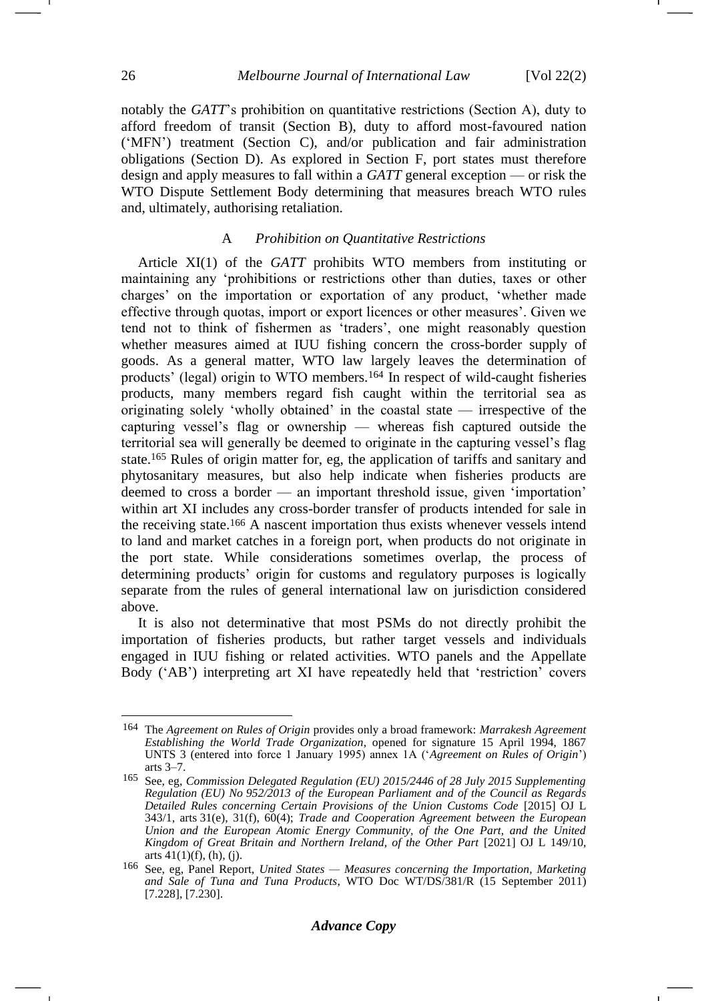notably the *GATT*'s prohibition on quantitative restrictions (Section A), duty to afford freedom of transit (Section B), duty to afford most-favoured nation ('MFN') treatment (Section C), and/or publication and fair administration obligations (Section D). As explored in Section F, port states must therefore design and apply measures to fall within a *GATT* general exception — or risk the WTO Dispute Settlement Body determining that measures breach WTO rules and, ultimately, authorising retaliation.

### A *Prohibition on Quantitative Restrictions*

Article XI(1) of the *GATT* prohibits WTO members from instituting or maintaining any 'prohibitions or restrictions other than duties, taxes or other charges' on the importation or exportation of any product, 'whether made effective through quotas, import or export licences or other measures'. Given we tend not to think of fishermen as 'traders', one might reasonably question whether measures aimed at IUU fishing concern the cross-border supply of goods. As a general matter, WTO law largely leaves the determination of products' (legal) origin to WTO members.<sup>164</sup> In respect of wild-caught fisheries products, many members regard fish caught within the territorial sea as originating solely 'wholly obtained' in the coastal state — irrespective of the capturing vessel's flag or ownership — whereas fish captured outside the territorial sea will generally be deemed to originate in the capturing vessel's flag state.<sup>165</sup> Rules of origin matter for, eg, the application of tariffs and sanitary and phytosanitary measures, but also help indicate when fisheries products are deemed to cross a border — an important threshold issue, given 'importation' within art XI includes any cross-border transfer of products intended for sale in the receiving state.<sup>166</sup> A nascent importation thus exists whenever vessels intend to land and market catches in a foreign port, when products do not originate in the port state. While considerations sometimes overlap, the process of determining products' origin for customs and regulatory purposes is logically separate from the rules of general international law on jurisdiction considered above.

It is also not determinative that most PSMs do not directly prohibit the importation of fisheries products, but rather target vessels and individuals engaged in IUU fishing or related activities. WTO panels and the Appellate Body ('AB') interpreting art XI have repeatedly held that 'restriction' covers

<sup>164</sup> The *Agreement on Rules of Origin* provides only a broad framework: *Marrakesh Agreement Establishing the World Trade Organization*, opened for signature 15 April 1994, 1867 UNTS 3 (entered into force 1 January 1995) annex 1A ('*Agreement on Rules of Origin*') arts 3–7.

<sup>165</sup> See, eg, *Commission Delegated Regulation (EU) 2015/2446 of 28 July 2015 Supplementing Regulation (EU) No 952/2013 of the European Parliament and of the Council as Regards Detailed Rules concerning Certain Provisions of the Union Customs Code* [2015] OJ L 343/1, arts 31(e), 31(f), 60(4); *Trade and Cooperation Agreement between the European Union and the European Atomic Energy Community, of the One Part, and the United Kingdom of Great Britain and Northern Ireland, of the Other Part* [2021] OJ L 149/10, arts  $41(1)(f)$ ,  $(h)$ ,  $(j)$ .

<sup>166</sup> See, eg, Panel Report, *United States — Measures concerning the Importation, Marketing and Sale of Tuna and Tuna Products*, WTO Doc WT/DS/381/R (15 September 2011) [7.228], [7.230].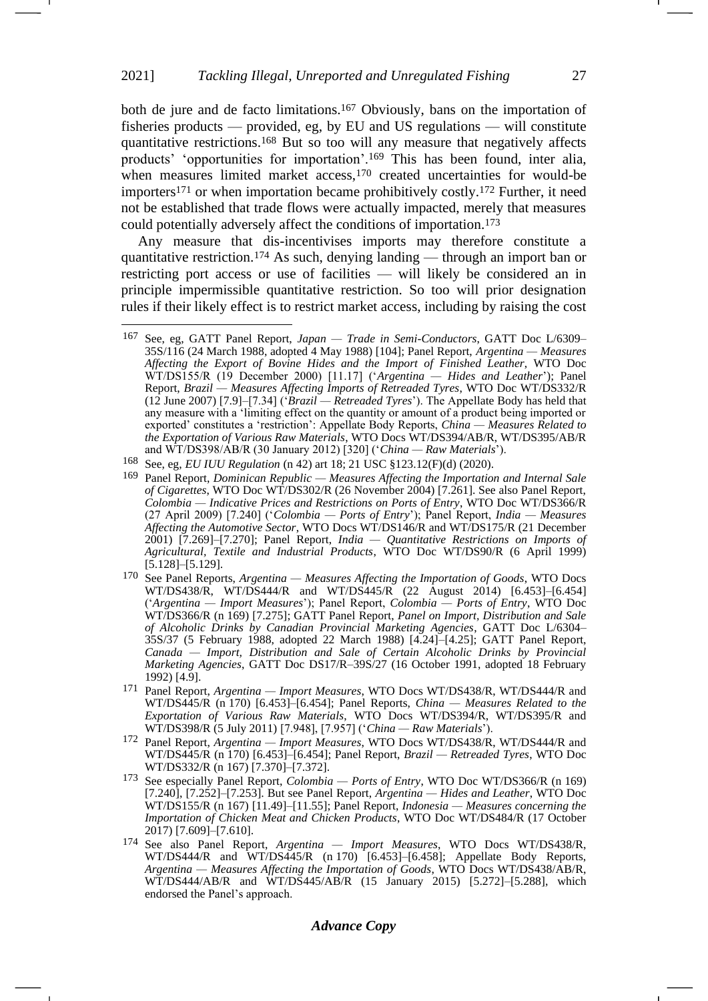<span id="page-26-2"></span><span id="page-26-0"></span>both de jure and de facto limitations.<sup>167</sup> Obviously, bans on the importation of fisheries products — provided, eg, by EU and US regulations — will constitute quantitative restrictions.<sup>168</sup> But so too will any measure that negatively affects products' 'opportunities for importation'.<sup>169</sup> This has been found, inter alia, when measures limited market access,<sup>170</sup> created uncertainties for would-be importers<sup>171</sup> or when importation became prohibitively costly.<sup>172</sup> Further, it need not be established that trade flows were actually impacted, merely that measures could potentially adversely affect the conditions of importation.<sup>173</sup>

<span id="page-26-3"></span><span id="page-26-1"></span>Any measure that dis-incentivises imports may therefore constitute a quantitative restriction.<sup>174</sup> As such, denying landing — through an import ban or restricting port access or use of facilities — will likely be considered an in principle impermissible quantitative restriction. So too will prior designation rules if their likely effect is to restrict market access, including by raising the cost

<sup>167</sup> See, eg, GATT Panel Report, *Japan — Trade in Semi-Conductors*, GATT Doc L/6309– 35S/116 (24 March 1988, adopted 4 May 1988) [104]; Panel Report, *Argentina — Measures Affecting the Export of Bovine Hides and the Import of Finished Leather*, WTO Doc WT/DS155/R (19 December 2000) [11.17] ('*Argentina — Hides and Leather*'); Panel Report, *Brazil — Measures Affecting Imports of Retreaded Tyres*, WTO Doc WT/DS332/R (12 June 2007) [7.9]–[7.34] ('*Brazil — Retreaded Tyres*'). The Appellate Body has held that any measure with a 'limiting effect on the quantity or amount of a product being imported or exported' constitutes a 'restriction': Appellate Body Reports, *China — Measures Related to the Exportation of Various Raw Materials*, WTO Docs WT/DS394/AB/R, WT/DS395/AB/R and WT/DS398/AB/R (30 January 2012) [320] ('*China — Raw Materials*').

<sup>168</sup> See, eg, *EU IUU Regulation* (n [42\)](#page-7-1) art 18; 21 USC §123.12(F)(d) (2020).

<sup>169</sup> Panel Report, *Dominican Republic — Measures Affecting the Importation and Internal Sale of Cigarettes*, WTO Doc WT/DS302/R (26 November 2004) [7.261]. See also Panel Report, *Colombia — Indicative Prices and Restrictions on Ports of Entry*, WTO Doc WT/DS366/R (27 April 2009) [7.240] ('*Colombia — Ports of Entry*'); Panel Report, *India — Measures Affecting the Automotive Sector*, WTO Docs WT/DS146/R and WT/DS175/R (21 December 2001) [7.269]–[7.270]; Panel Report, *India — Quantitative Restrictions on Imports of Agricultural, Textile and Industrial Products*, WTO Doc WT/DS90/R (6 April 1999) [5.128]–[5.129].

<sup>170</sup> See Panel Reports, *Argentina — Measures Affecting the Importation of Goods*, WTO Docs WT/DS438/R, WT/DS444/R and WT/DS445/R (22 August 2014) [6.453]–[6.454] ('*Argentina — Import Measures*'); Panel Report, *Colombia — Ports of Entry*, WTO Doc WT/DS366/R (n [169\)](#page-26-0) [7.275]; GATT Panel Report, *Panel on Import, Distribution and Sale of Alcoholic Drinks by Canadian Provincial Marketing Agencies*, GATT Doc L/6304– 35S/37 (5 February 1988, adopted 22 March 1988) [4.24]–[4.25]; GATT Panel Report, *Canada — Import, Distribution and Sale of Certain Alcoholic Drinks by Provincial Marketing Agencies*, GATT Doc DS17/R–39S/27 (16 October 1991, adopted 18 February 1992) [4.9].

<sup>171</sup> Panel Report, *Argentina — Import Measures*, WTO Docs WT/DS438/R, WT/DS444/R and WT/DS445/R (n [170\)](#page-26-1) [6.453]–[6.454]; Panel Reports, *China — Measures Related to the Exportation of Various Raw Materials*, WTO Docs WT/DS394/R, WT/DS395/R and WT/DS398/R (5 July 2011) [7.948], [7.957] ('*China — Raw Materials*').

<sup>172</sup> Panel Report, *Argentina — Import Measures*, WTO Docs WT/DS438/R, WT/DS444/R and WT/DS445/R (n [170\)](#page-26-1) [6.453]–[6.454]; Panel Report, *Brazil — Retreaded Tyres*, WTO Doc WT/DS332/R (n [167\)](#page-26-2) [7.370]–[7.372].

<sup>173</sup> See especially Panel Report, *Colombia — Ports of Entry*, WTO Doc WT/DS366/R (n [169\)](#page-26-0) [7.240], [7.252]–[7.253]. But see Panel Report, *Argentina — Hides and Leather*, WTO Doc WT/DS155/R (n [167\)](#page-26-2) [11.49]–[11.55]; Panel Report, *Indonesia — Measures concerning the Importation of Chicken Meat and Chicken Products*, WTO Doc WT/DS484/R (17 October 2017) [7.609]–[7.610].

<sup>174</sup> See also Panel Report, *Argentina — Import Measures*, WTO Docs WT/DS438/R, WT/DS444/R and WT/DS445/R (n [170\)](#page-26-1) [6.453]-[6.458]; Appellate Body Reports, *Argentina — Measures Affecting the Importation of Goods*, WTO Docs WT/DS438/AB/R, WT/DS444/AB/R and WT/DS445/AB/R (15 January 2015) [5.272]–[5.288], which endorsed the Panel's approach.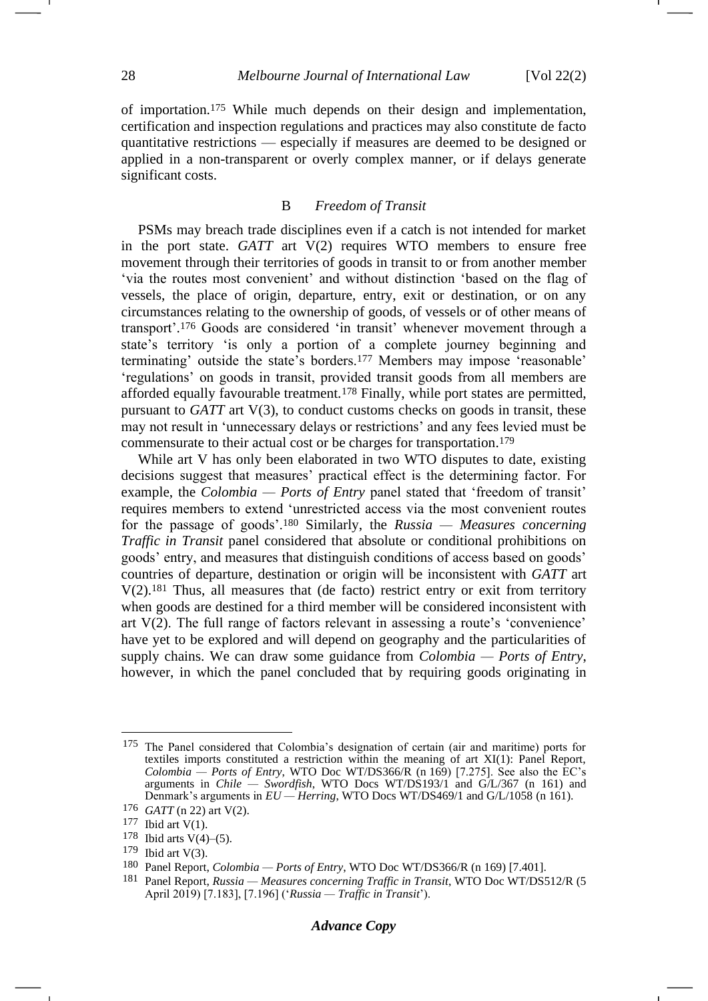of importation.<sup>175</sup> While much depends on their design and implementation, certification and inspection regulations and practices may also constitute de facto quantitative restrictions — especially if measures are deemed to be designed or applied in a non-transparent or overly complex manner, or if delays generate significant costs.

## B *Freedom of Transit*

PSMs may breach trade disciplines even if a catch is not intended for market in the port state. *GATT* art V(2) requires WTO members to ensure free movement through their territories of goods in transit to or from another member 'via the routes most convenient' and without distinction 'based on the flag of vessels, the place of origin, departure, entry, exit or destination, or on any circumstances relating to the ownership of goods, of vessels or of other means of transport'. <sup>176</sup> Goods are considered 'in transit' whenever movement through a state's territory 'is only a portion of a complete journey beginning and terminating' outside the state's borders.<sup>177</sup> Members may impose 'reasonable' 'regulations' on goods in transit, provided transit goods from all members are afforded equally favourable treatment.<sup>178</sup> Finally, while port states are permitted, pursuant to *GATT* art V(3), to conduct customs checks on goods in transit, these may not result in 'unnecessary delays or restrictions' and any fees levied must be commensurate to their actual cost or be charges for transportation. 179

While art V has only been elaborated in two WTO disputes to date, existing decisions suggest that measures' practical effect is the determining factor. For example, the *Colombia* — *Ports of Entry* panel stated that 'freedom of transit' requires members to extend 'unrestricted access via the most convenient routes for the passage of goods'.<sup>180</sup> Similarly, the *Russia — Measures concerning Traffic in Transit* panel considered that absolute or conditional prohibitions on goods' entry, and measures that distinguish conditions of access based on goods' countries of departure, destination or origin will be inconsistent with *GATT* art V(2). <sup>181</sup> Thus, all measures that (de facto) restrict entry or exit from territory when goods are destined for a third member will be considered inconsistent with art V(2). The full range of factors relevant in assessing a route's 'convenience' have yet to be explored and will depend on geography and the particularities of supply chains. We can draw some guidance from *Colombia — Ports of Entry*, however, in which the panel concluded that by requiring goods originating in

<sup>175</sup> The Panel considered that Colombia's designation of certain (air and maritime) ports for textiles imports constituted a restriction within the meaning of art XI(1): Panel Report, *Colombia — Ports of Entry*, WTO Doc WT/DS366/R (n [169\)](#page-26-0) [7.275]. See also the EC's arguments in *Chile — Swordfish*, WTO Docs WT/DS193/1 and G/L/367 (n [161\)](#page-24-0) and Denmark's arguments in *EU — Herring*, WTO Docs WT/DS469/1 and G/L/1058 (n [161\)](#page-24-0).

<sup>176</sup> *GATT* ([n 22\)](#page-5-5) art V(2).

 $177$  Ibid art V(1).

<sup>178</sup> Ibid arts  $V(4)$ –(5).

 $179$  Ibid art V(3).

<sup>180</sup> Panel Report, *Colombia — Ports of Entry*, WTO Doc WT/DS366/R (n [169\)](#page-26-0) [7.401].

<sup>181</sup> Panel Report, *Russia — Measures concerning Traffic in Transit*, WTO Doc WT/DS512/R (5 April 2019) [7.183], [7.196] ('*Russia — Traffic in Transit*').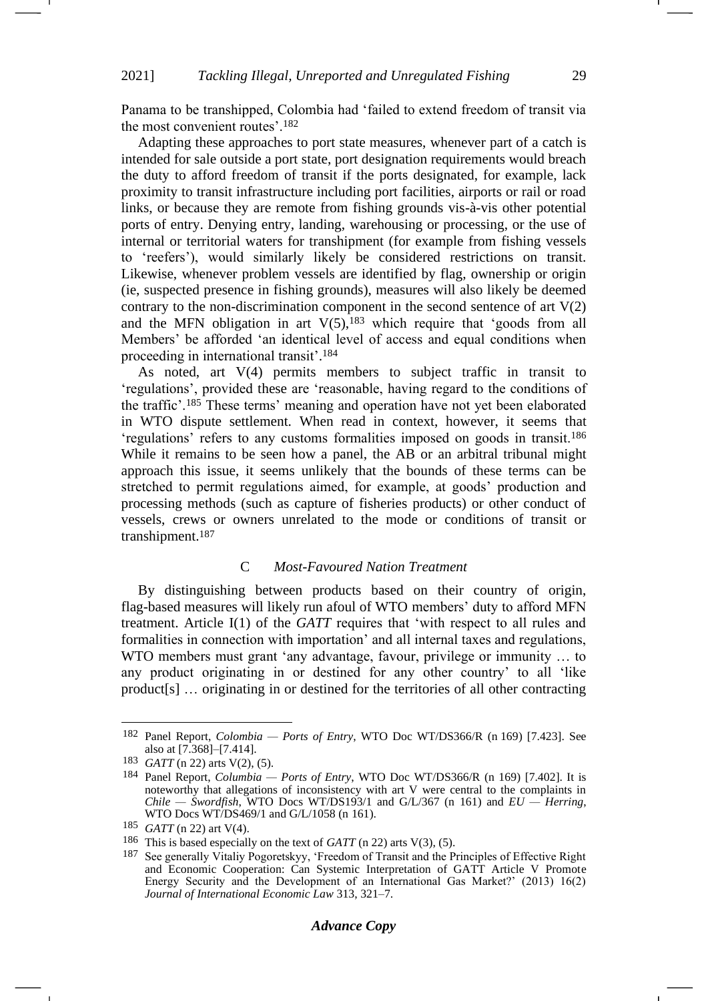Panama to be transhipped, Colombia had 'failed to extend freedom of transit via the most convenient routes'.<sup>182</sup>

Adapting these approaches to port state measures, whenever part of a catch is intended for sale outside a port state, port designation requirements would breach the duty to afford freedom of transit if the ports designated, for example, lack proximity to transit infrastructure including port facilities, airports or rail or road links, or because they are remote from fishing grounds vis-à-vis other potential ports of entry. Denying entry, landing, warehousing or processing, or the use of internal or territorial waters for transhipment (for example from fishing vessels to 'reefers'), would similarly likely be considered restrictions on transit. Likewise, whenever problem vessels are identified by flag, ownership or origin (ie, suspected presence in fishing grounds), measures will also likely be deemed contrary to the non-discrimination component in the second sentence of art  $V(2)$ and the MFN obligation in art  $V(5)$ ,  $^{183}$  which require that 'goods from all Members' be afforded 'an identical level of access and equal conditions when proceeding in international transit'. 184

As noted, art V(4) permits members to subject traffic in transit to 'regulations', provided these are 'reasonable, having regard to the conditions of the traffic'.<sup>185</sup> These terms' meaning and operation have not yet been elaborated in WTO dispute settlement. When read in context, however, it seems that 'regulations' refers to any customs formalities imposed on goods in transit.<sup>186</sup> While it remains to be seen how a panel, the AB or an arbitral tribunal might approach this issue, it seems unlikely that the bounds of these terms can be stretched to permit regulations aimed, for example, at goods' production and processing methods (such as capture of fisheries products) or other conduct of vessels, crews or owners unrelated to the mode or conditions of transit or transhipment.<sup>187</sup>

# C *Most-Favoured Nation Treatment*

By distinguishing between products based on their country of origin, flag-based measures will likely run afoul of WTO members' duty to afford MFN treatment. Article I(1) of the *GATT* requires that 'with respect to all rules and formalities in connection with importation' and all internal taxes and regulations, WTO members must grant 'any advantage, favour, privilege or immunity … to any product originating in or destined for any other country' to all 'like product[s] … originating in or destined for the territories of all other contracting

#### *Advance Copy*

<sup>182</sup> Panel Report, *Colombia — Ports of Entry*, WTO Doc WT/DS366/R (n [169\)](#page-26-0) [7.423]. See also at [7.368]–[7.414].

<sup>183</sup> *GATT* ([n 22\)](#page-5-5) arts V(2), (5).

<sup>184</sup> Panel Report, *Columbia — Ports of Entry*, WTO Doc WT/DS366/R (n [169\)](#page-26-0) [7.402]. It is noteworthy that allegations of inconsistency with art V were central to the complaints in *Chile — Swordfish*, WTO Docs WT/DS193/1 and G/L/367 (n [161\)](#page-24-0) and *EU — Herring*, WTO Docs WT/DS469/1 and G/L/1058 (n [161\)](#page-24-0).

<sup>185</sup> *GATT* ([n 22\)](#page-5-5) art V(4).

<sup>186</sup> This is based especially on the text of *GATT* (n [22\)](#page-4-4) arts V(3), (5).

<sup>&</sup>lt;sup>187</sup> See generally Vitaliy Pogoretskyy, 'Freedom of Transit and the Principles of Effective Right and Economic Cooperation: Can Systemic Interpretation of GATT Article V Promote Energy Security and the Development of an International Gas Market?' (2013) 16(2) *Journal of International Economic Law* 313, 321–7.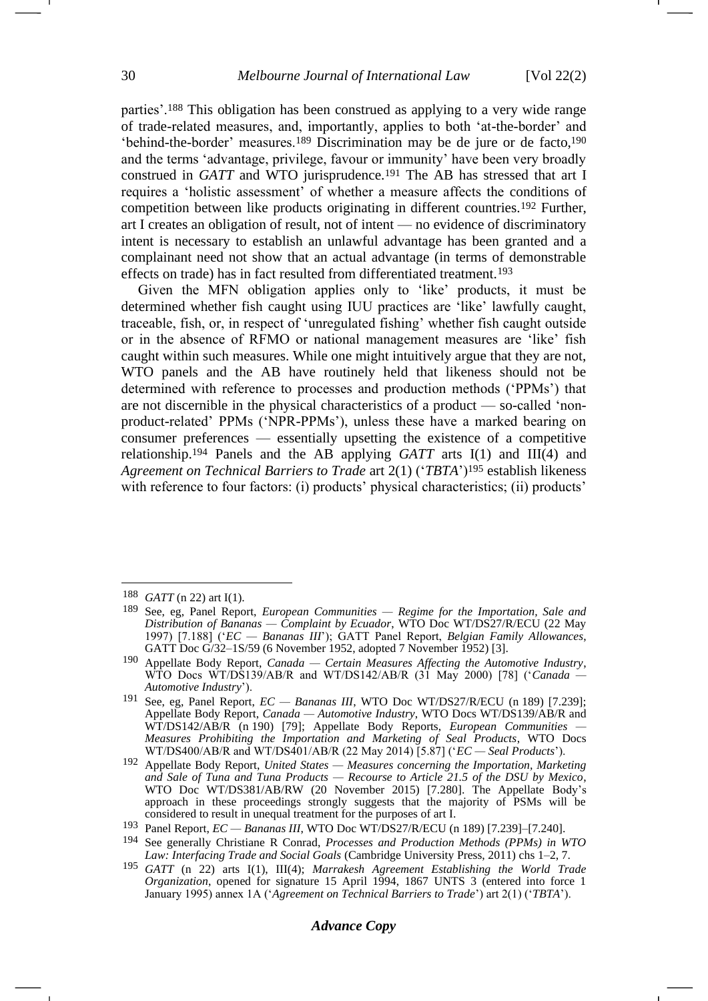<span id="page-29-2"></span><span id="page-29-1"></span><span id="page-29-0"></span>parties'.<sup>188</sup> This obligation has been construed as applying to a very wide range of trade-related measures, and, importantly, applies to both 'at-the-border' and 'behind-the-border' measures.<sup>189</sup> Discrimination may be de jure or de facto, 190 and the terms 'advantage, privilege, favour or immunity' have been very broadly construed in *GATT* and WTO jurisprudence.<sup>191</sup> The AB has stressed that art I requires a 'holistic assessment' of whether a measure affects the conditions of competition between like products originating in different countries.<sup>192</sup> Further, art I creates an obligation of result, not of intent — no evidence of discriminatory intent is necessary to establish an unlawful advantage has been granted and a complainant need not show that an actual advantage (in terms of demonstrable effects on trade) has in fact resulted from differentiated treatment.<sup>193</sup>

Given the MFN obligation applies only to 'like' products, it must be determined whether fish caught using IUU practices are 'like' lawfully caught, traceable, fish, or, in respect of 'unregulated fishing' whether fish caught outside or in the absence of RFMO or national management measures are 'like' fish caught within such measures. While one might intuitively argue that they are not, WTO panels and the AB have routinely held that likeness should not be determined with reference to processes and production methods ('PPMs') that are not discernible in the physical characteristics of a product — so-called 'nonproduct-related' PPMs ('NPR-PPMs'), unless these have a marked bearing on consumer preferences — essentially upsetting the existence of a competitive relationship.<sup>194</sup> Panels and the AB applying *GATT* arts I(1) and III(4) and *Agreement on Technical Barriers to Trade* art 2(1) ('*TBTA*')<sup>195</sup> establish likeness with reference to four factors: (i) products' physical characteristics; (ii) products'

<span id="page-29-3"></span><sup>188</sup> *GATT* ([n 22\)](#page-5-5) art I(1).

<sup>189</sup> See, eg, Panel Report, *European Communities — Regime for the Importation, Sale and Distribution of Bananas — Complaint by Ecuador*, WTO Doc WT/DS27/R/ECU (22 May 1997) [7.188] ('*EC — Bananas III*'); GATT Panel Report, *Belgian Family Allowances*, GATT Doc G/32–1S/59 (6 November 1952, adopted 7 November 1952) [3].

<sup>190</sup> Appellate Body Report, *Canada — Certain Measures Affecting the Automotive Industry*, WTO Docs WT/DS139/AB/R and WT/DS142/AB/R (31 May 2000) [78] ('*Canada — Automotive Industry*').

<sup>&</sup>lt;sup>191</sup> See, eg. Panel Report,  $EC -$  *Bananas III*, WTO Doc WT/DS27/R/ECU (n [189\)](#page-29-0) [7.239]; Appellate Body Report, *Canada — Automotive Industry*, WTO Docs WT/DS139/AB/R and WT/DS142/AB/R (n [190\)](#page-29-1) [79]; Appellate Body Reports, *European Communities — Measures Prohibiting the Importation and Marketing of Seal Products*, WTO Docs WT/DS400/AB/R and WT/DS401/AB/R (22 May 2014) [5.87] ('*EC — Seal Products*').

<sup>192</sup> Appellate Body Report, *United States — Measures concerning the Importation, Marketing and Sale of Tuna and Tuna Products — Recourse to Article 21.5 of the DSU by Mexico*, WTO Doc WT/DS381/AB/RW (20 November 2015) [7.280]. The Appellate Body's approach in these proceedings strongly suggests that the majority of PSMs will be considered to result in unequal treatment for the purposes of art I.

<sup>193</sup> Panel Report, *EC — Bananas III*, WTO Doc WT/DS27/R/ECU (n [189\)](#page-29-0) [7.239]–[7.240].

<sup>194</sup> See generally Christiane R Conrad, *Processes and Production Methods (PPMs) in WTO Law: Interfacing Trade and Social Goals* (Cambridge University Press, 2011) chs 1–2, 7.

<sup>195</sup> *GATT* (n [22\)](#page-5-5) arts I(1), III(4); *Marrakesh Agreement Establishing the World Trade Organization*, opened for signature 15 April 1994, 1867 UNTS 3 (entered into force 1 January 1995) annex 1A ('*Agreement on Technical Barriers to Trade*') art 2(1) ('*TBTA*').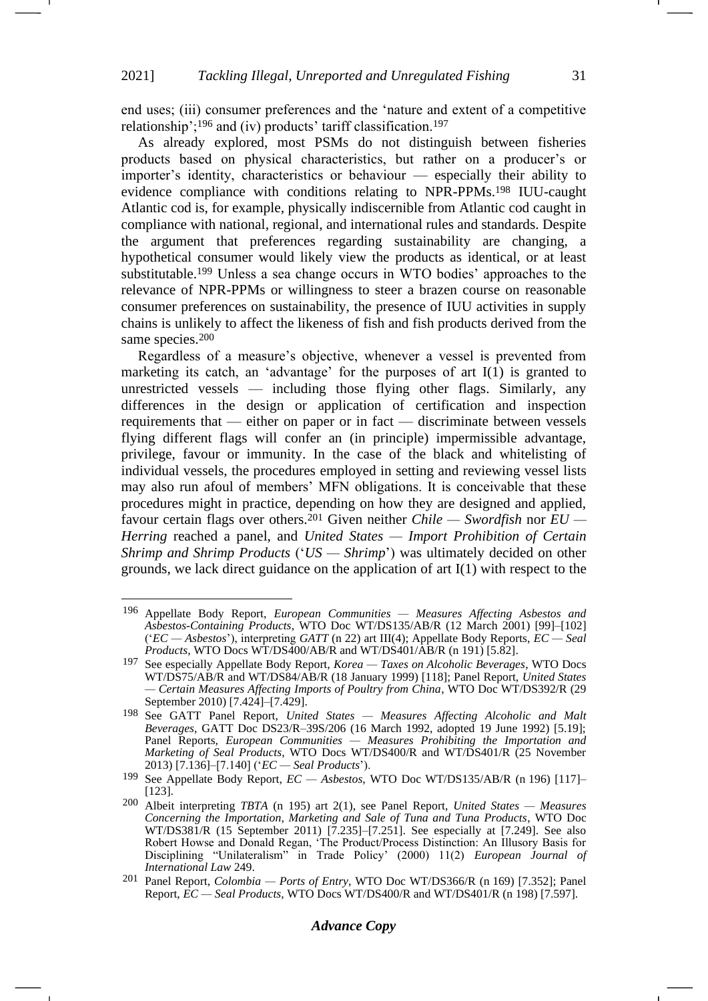<span id="page-30-0"></span>end uses; (iii) consumer preferences and the 'nature and extent of a competitive relationship';<sup>196</sup> and (iv) products' tariff classification.<sup>197</sup>

<span id="page-30-1"></span>As already explored, most PSMs do not distinguish between fisheries products based on physical characteristics, but rather on a producer's or importer's identity, characteristics or behaviour — especially their ability to evidence compliance with conditions relating to NPR-PPMs.<sup>198</sup> IUU-caught Atlantic cod is, for example, physically indiscernible from Atlantic cod caught in compliance with national, regional, and international rules and standards. Despite the argument that preferences regarding sustainability are changing, a hypothetical consumer would likely view the products as identical, or at least substitutable.<sup>199</sup> Unless a sea change occurs in WTO bodies' approaches to the relevance of NPR-PPMs or willingness to steer a brazen course on reasonable consumer preferences on sustainability, the presence of IUU activities in supply chains is unlikely to affect the likeness of fish and fish products derived from the same species.<sup>200</sup>

Regardless of a measure's objective, whenever a vessel is prevented from marketing its catch, an 'advantage' for the purposes of art I(1) is granted to unrestricted vessels — including those flying other flags. Similarly, any differences in the design or application of certification and inspection requirements that — either on paper or in fact — discriminate between vessels flying different flags will confer an (in principle) impermissible advantage, privilege, favour or immunity. In the case of the black and whitelisting of individual vessels, the procedures employed in setting and reviewing vessel lists may also run afoul of members' MFN obligations. It is conceivable that these procedures might in practice, depending on how they are designed and applied, favour certain flags over others.<sup>201</sup> Given neither *Chile — Swordfish* nor *EU — Herring* reached a panel, and *United States — Import Prohibition of Certain Shrimp and Shrimp Products* ('*US — Shrimp*') was ultimately decided on other grounds, we lack direct guidance on the application of art I(1) with respect to the

<sup>196</sup> Appellate Body Report, *European Communities — Measures Affecting Asbestos and Asbestos-Containing Products*, WTO Doc WT/DS135/AB/R (12 March 2001) [99]–[102] ('*EC — Asbestos*'), interpreting *GATT* (n [22\)](#page-5-5) art III(4); Appellate Body Reports, *EC — Seal Products*, WTO Docs WT/DS400/AB/R and WT/DS401/AB/R (n [191\)](#page-29-2) [5.82].

<sup>197</sup> See especially Appellate Body Report, *Korea — Taxes on Alcoholic Beverages*, WTO Docs WT/DS75/AB/R and WT/DS84/AB/R (18 January 1999) [118]; Panel Report, *United States — Certain Measures Affecting Imports of Poultry from China*, WTO Doc WT/DS392/R (29 September 2010) [7.424]–[7.429].

<sup>198</sup> See GATT Panel Report, *United States — Measures Affecting Alcoholic and Malt Beverages*, GATT Doc DS23/R–39S/206 (16 March 1992, adopted 19 June 1992) [5.19]; Panel Reports, *European Communities — Measures Prohibiting the Importation and Marketing of Seal Products*, WTO Docs WT/DS400/R and WT/DS401/R (25 November 2013) [7.136]–[7.140] ('*EC — Seal Products*').

<sup>199</sup> See Appellate Body Report, *EC — Asbestos*, WTO Doc WT/DS135/AB/R (n [196\)](#page-30-0) [117]– [123].

<sup>200</sup> Albeit interpreting *TBTA* (n [195\)](#page-29-3) art 2(1), see Panel Report, *United States — Measures Concerning the Importation, Marketing and Sale of Tuna and Tuna Products*, WTO Doc WT/DS381/R (15 September 2011) [7.235]–[7.251]. See especially at [7.249]. See also Robert Howse and Donald Regan, 'The Product/Process Distinction: An Illusory Basis for Disciplining "Unilateralism" in Trade Policy' (2000) 11(2) *European Journal of International Law* 249.

<sup>201</sup> Panel Report, *Colombia — Ports of Entry*, WTO Doc WT/DS366/R (n [169\)](#page-26-0) [7.352]; Panel Report, *EC — Seal Products*, WTO Docs WT/DS400/R and WT/DS401/R (n [198\)](#page-30-1) [7.597].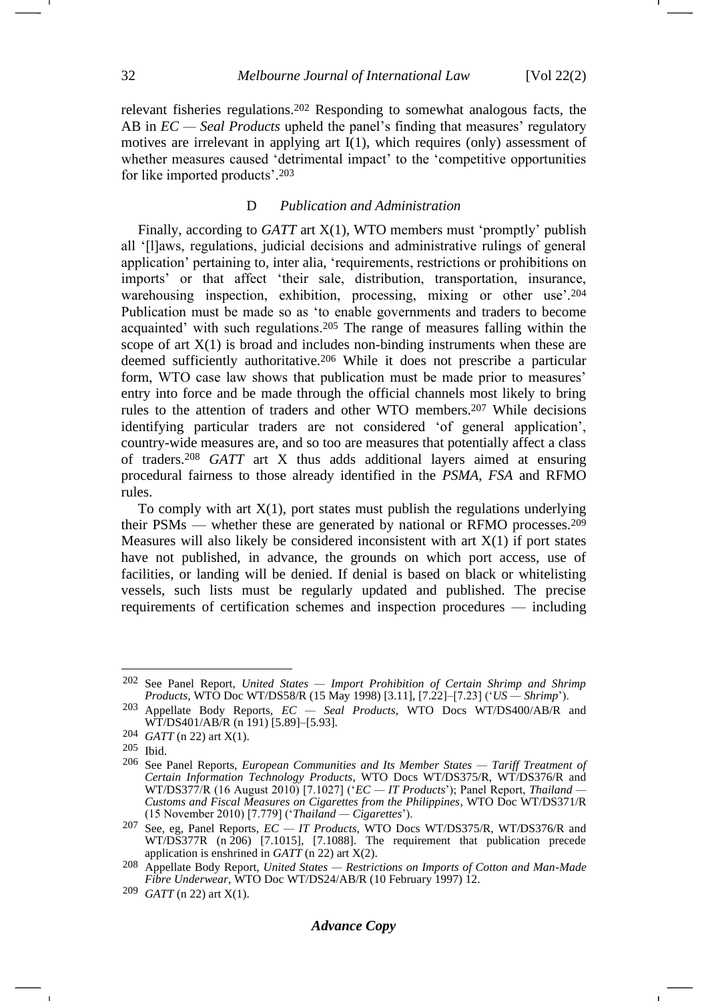relevant fisheries regulations.<sup>202</sup> Responding to somewhat analogous facts, the AB in *EC — Seal Products* upheld the panel's finding that measures' regulatory motives are irrelevant in applying art I(1), which requires (only) assessment of whether measures caused 'detrimental impact' to the 'competitive opportunities for like imported products'.<sup>203</sup>

### <span id="page-31-0"></span>D *Publication and Administration*

Finally, according to *GATT* art X(1), WTO members must 'promptly' publish all '[l]aws, regulations, judicial decisions and administrative rulings of general application' pertaining to, inter alia, 'requirements, restrictions or prohibitions on imports' or that affect 'their sale, distribution, transportation, insurance, warehousing inspection, exhibition, processing, mixing or other use<sup>'.204</sup> Publication must be made so as 'to enable governments and traders to become acquainted' with such regulations.<sup>205</sup> The range of measures falling within the scope of art  $X(1)$  is broad and includes non-binding instruments when these are deemed sufficiently authoritative.<sup>206</sup> While it does not prescribe a particular form, WTO case law shows that publication must be made prior to measures' entry into force and be made through the official channels most likely to bring rules to the attention of traders and other WTO members.<sup>207</sup> While decisions identifying particular traders are not considered 'of general application', country-wide measures are, and so too are measures that potentially affect a class of traders.<sup>208</sup> *GATT* art X thus adds additional layers aimed at ensuring procedural fairness to those already identified in the *PSMA*, *FSA* and RFMO rules.

To comply with art  $X(1)$ , port states must publish the regulations underlying their PSMs — whether these are generated by national or RFMO processes.<sup>209</sup> Measures will also likely be considered inconsistent with art  $X(1)$  if port states have not published, in advance, the grounds on which port access, use of facilities, or landing will be denied. If denial is based on black or whitelisting vessels, such lists must be regularly updated and published. The precise requirements of certification schemes and inspection procedures — including

<sup>202</sup> See Panel Report, *United States — Import Prohibition of Certain Shrimp and Shrimp Products*, WTO Doc WT/DS58/R (15 May 1998) [3.11], [7.22]–[7.23] ('*US — Shrimp*').

<sup>203</sup> Appellate Body Reports, *EC — Seal Products*, WTO Docs WT/DS400/AB/R and WT/DS401/AB/R (n [191\)](#page-29-2) [5.89]-[5.93].

<sup>204</sup> *GATT* ([n 22\)](#page-5-5) art X(1).

<sup>205</sup> Ibid.

<sup>206</sup> See Panel Reports, *European Communities and Its Member States — Tariff Treatment of Certain Information Technology Products*, WTO Docs WT/DS375/R, WT/DS376/R and WT/DS377/R (16 August 2010) [7.1027] ('*EC — IT Products*'); Panel Report, *Thailand — Customs and Fiscal Measures on Cigarettes from the Philippines*, WTO Doc WT/DS371/R (15 November 2010) [7.779] ('*Thailand — Cigarettes*').

<sup>207</sup> See, eg, Panel Reports, *EC — IT Products*, WTO Docs WT/DS375/R, WT/DS376/R and WT/DS377R (n [206\)](#page-31-0) [7.1015], [7.1088]. The requirement that publication precede application is enshrined in *GATT* (n [22\)](#page-4-4) art X(2).

<sup>208</sup> Appellate Body Report, *United States — Restrictions on Imports of Cotton and Man-Made Fibre Underwear*, WTO Doc WT/DS24/AB/R (10 February 1997) 12.

<sup>209</sup> *GATT* ([n 22\)](#page-5-5) art X(1).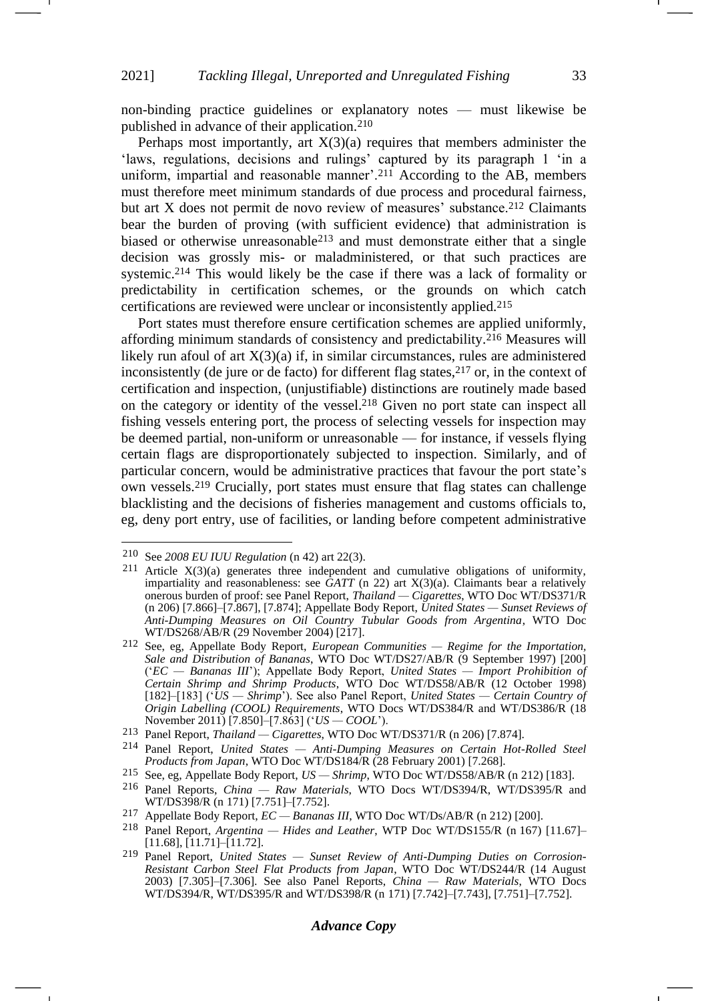non-binding practice guidelines or explanatory notes — must likewise be published in advance of their application.<sup>210</sup>

Perhaps most importantly, art  $X(3)(a)$  requires that members administer the 'laws, regulations, decisions and rulings' captured by its paragraph 1 'in a uniform, impartial and reasonable manner'.<sup>211</sup> According to the AB, members must therefore meet minimum standards of due process and procedural fairness, but art X does not permit de novo review of measures' substance.<sup>212</sup> Claimants bear the burden of proving (with sufficient evidence) that administration is biased or otherwise unreasonable<sup>213</sup> and must demonstrate either that a single decision was grossly mis- or maladministered, or that such practices are systemic.<sup>214</sup> This would likely be the case if there was a lack of formality or predictability in certification schemes, or the grounds on which catch certifications are reviewed were unclear or inconsistently applied.<sup>215</sup>

Port states must therefore ensure certification schemes are applied uniformly, affording minimum standards of consistency and predictability.<sup>216</sup> Measures will likely run afoul of art  $X(3)(a)$  if, in similar circumstances, rules are administered inconsistently (de jure or de facto) for different flag states,  $217$  or, in the context of certification and inspection, (unjustifiable) distinctions are routinely made based on the category or identity of the vessel.<sup>218</sup> Given no port state can inspect all fishing vessels entering port, the process of selecting vessels for inspection may be deemed partial, non-uniform or unreasonable — for instance, if vessels flying certain flags are disproportionately subjected to inspection. Similarly, and of particular concern, would be administrative practices that favour the port state's own vessels.<sup>219</sup> Crucially, port states must ensure that flag states can challenge blacklisting and the decisions of fisheries management and customs officials to, eg, deny port entry, use of facilities, or landing before competent administrative

215 See, eg, Appellate Body Report, *US — Shrimp*, WTO Doc WT/DS58/AB/R (n [212\)](#page-32-0) [183].

<span id="page-32-0"></span>-1

### *Advance Copy*

<sup>210</sup> See *2008 EU IUU Regulation* (n [42\)](#page-7-1) art 22(3).

<sup>&</sup>lt;sup>211</sup> Article  $X(3)(a)$  generates three independent and cumulative obligations of uniformity, impartiality and reasonableness: see  $\tilde{G}ATT$  (n [22\)](#page-5-5) art  $X(3)(a)$ . Claimants bear a relatively onerous burden of proof: see Panel Report, *Thailand — Cigarettes*, WTO Doc WT/DS371/R (n [206\)](#page-31-0) [7.866]–[7.867], [7.874]; Appellate Body Report, *United States — Sunset Reviews of Anti-Dumping Measures on Oil Country Tubular Goods from Argentina*, WTO Doc WT/DS268/AB/R (29 November 2004) [217].

<sup>212</sup> See, eg, Appellate Body Report, *European Communities — Regime for the Importation, Sale and Distribution of Bananas*, WTO Doc WT/DS27/AB/R (9 September 1997) [200] ('*EC — Bananas III*'); Appellate Body Report, *United States — Import Prohibition of Certain Shrimp and Shrimp Products*, WTO Doc WT/DS58/AB/R (12 October 1998) [182]–[183] ('*US — Shrimp*'). See also Panel Report, *United States — Certain Country of Origin Labelling (COOL) Requirements*, WTO Docs WT/DS384/R and WT/DS386/R (18 November 2011) [7.850]–[7.863] ('*US — COOL*').

<sup>213</sup> Panel Report, *Thailand — Cigarettes*, WTO Doc WT/DS371/R (n [206\)](#page-31-0) [7.874].

<sup>214</sup> Panel Report, *United States — Anti-Dumping Measures on Certain Hot-Rolled Steel Products from Japan*, WTO Doc WT/DS184/R (28 February 2001) [7.268].

<sup>216</sup> Panel Reports, *China — Raw Materials*, WTO Docs WT/DS394/R, WT/DS395/R and WT/DS398/R (n [171\)](#page-26-3) [7.751]–[7.752].

<sup>217</sup> Appellate Body Report, *EC — Bananas III*, WTO Doc WT/Ds/AB/R (n [212\)](#page-32-0) [200].

<sup>218</sup> Panel Report, *Argentina — Hides and Leather*, WTP Doc WT/DS155/R (n [167\)](#page-26-2) [11.67]– [11.68], [11.71]–[11.72].

<sup>219</sup> Panel Report, *United States — Sunset Review of Anti-Dumping Duties on Corrosion-Resistant Carbon Steel Flat Products from Japan*, WTO Doc WT/DS244/R (14 August 2003) [7.305]–[7.306]. See also Panel Reports, *China — Raw Materials*, WTO Docs WT/DS394/R, WT/DS395/R and WT/DS398/R (n [171\)](#page-26-3) [7.742]–[7.743], [7.751]–[7.752].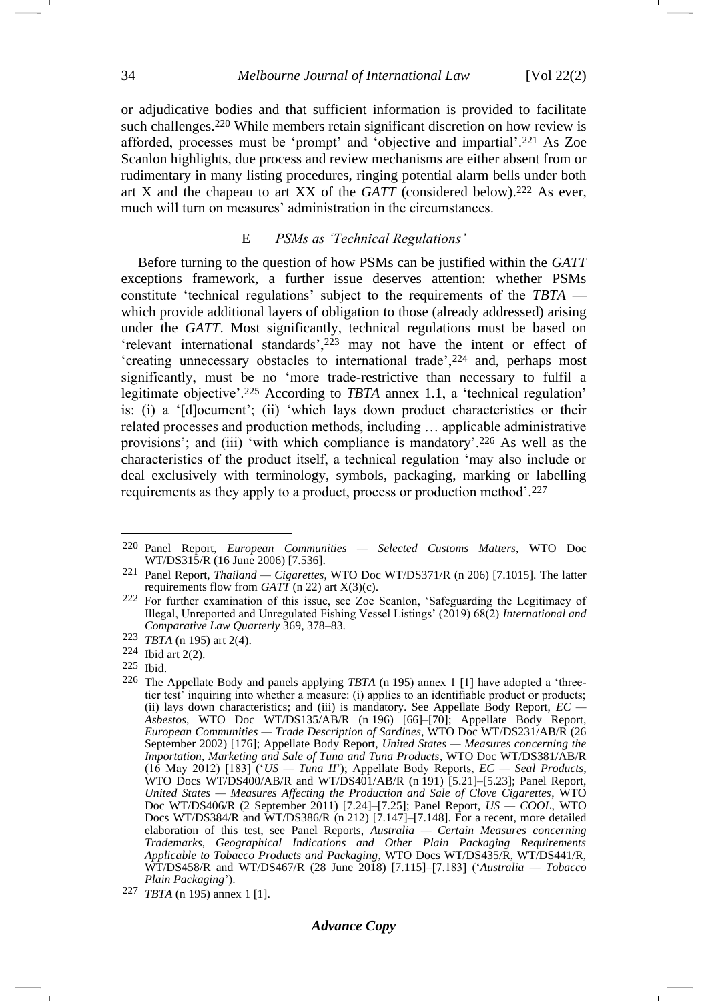or adjudicative bodies and that sufficient information is provided to facilitate such challenges.<sup>220</sup> While members retain significant discretion on how review is afforded, processes must be 'prompt' and 'objective and impartial'.<sup>221</sup> As Zoe Scanlon highlights, due process and review mechanisms are either absent from or rudimentary in many listing procedures, ringing potential alarm bells under both art X and the chapeau to art XX of the *GATT* (considered below).<sup>222</sup> As ever, much will turn on measures' administration in the circumstances.

### <span id="page-33-0"></span>E *PSMs as 'Technical Regulations'*

Before turning to the question of how PSMs can be justified within the *GATT* exceptions framework, a further issue deserves attention: whether PSMs constitute 'technical regulations' subject to the requirements of the *TBTA* which provide additional layers of obligation to those (already addressed) arising under the *GATT*. Most significantly, technical regulations must be based on 'relevant international standards',<sup>223</sup> may not have the intent or effect of 'creating unnecessary obstacles to international trade',<sup>224</sup> and, perhaps most significantly, must be no 'more trade-restrictive than necessary to fulfil a legitimate objective'.<sup>225</sup> According to *TBTA* annex 1.1, a 'technical regulation' is: (i) a '[d]ocument'; (ii) 'which lays down product characteristics or their related processes and production methods, including … applicable administrative provisions'; and (iii) 'with which compliance is mandatory'.<sup>226</sup> As well as the characteristics of the product itself, a technical regulation 'may also include or deal exclusively with terminology, symbols, packaging, marking or labelling requirements as they apply to a product, process or production method'. 227

225 Ibid.

<sup>220</sup> Panel Report, *European Communities — Selected Customs Matters*, WTO Doc WT/DS315/R (16 June 2006) [7.536].

<sup>221</sup> Panel Report, *Thailand — Cigarettes*, WTO Doc WT/DS371/R (n [206\)](#page-31-0) [7.1015]. The latter requirements flow from *GATT* (n [22\)](#page-4-4) art X(3)(c).

<sup>222</sup> For further examination of this issue, see Zoe Scanlon, 'Safeguarding the Legitimacy of Illegal, Unreported and Unregulated Fishing Vessel Listings' (2019) 68(2) *International and Comparative Law Quarterly* 369, 378–83.

<sup>223</sup> *TBTA* (n [195\)](#page-29-3) art 2(4).

<sup>224</sup> Ibid art 2(2).

<sup>226</sup> The Appellate Body and panels applying *TBTA* (n [195\)](#page-29-3) annex 1 [1] have adopted a 'threetier test' inquiring into whether a measure: (i) applies to an identifiable product or products; (ii) lays down characteristics; and (iii) is mandatory. See Appellate Body Report, *EC — Asbestos*, WTO Doc WT/DS135/AB/R (n [196\)](#page-30-0) [66]–[70]; Appellate Body Report, *European Communities — Trade Description of Sardines*, WTO Doc WT/DS231/AB/R (26 September 2002) [176]; Appellate Body Report, *United States — Measures concerning the Importation, Marketing and Sale of Tuna and Tuna Products*, WTO Doc WT/DS381/AB/R (16 May 2012) [183] ('*US — Tuna II*'); Appellate Body Reports, *EC — Seal Products*, WTO Docs WT/DS400/AB/R and WT/DS401/AB/R (n [191\)](#page-29-2) [5.21]–[5.23]; Panel Report, *United States — Measures Affecting the Production and Sale of Clove Cigarettes*, WTO Doc WT/DS406/R (2 September 2011) [7.24]–[7.25]; Panel Report, *US — COOL*, WTO Docs WT/DS384/R and WT/DS386/R (n [212\)](#page-32-0) [7.147]-[7.148]. For a recent, more detailed elaboration of this test, see Panel Reports, *Australia — Certain Measures concerning Trademarks, Geographical Indications and Other Plain Packaging Requirements Applicable to Tobacco Products and Packaging*, WTO Docs WT/DS435/R, WT/DS441/R, WT/DS458/R and WT/DS467/R (28 June 2018) [7.115]–[7.183] ('*Australia — Tobacco Plain Packaging*').

<sup>227</sup> *TBTA* (n [195\)](#page-29-3) annex 1 [1].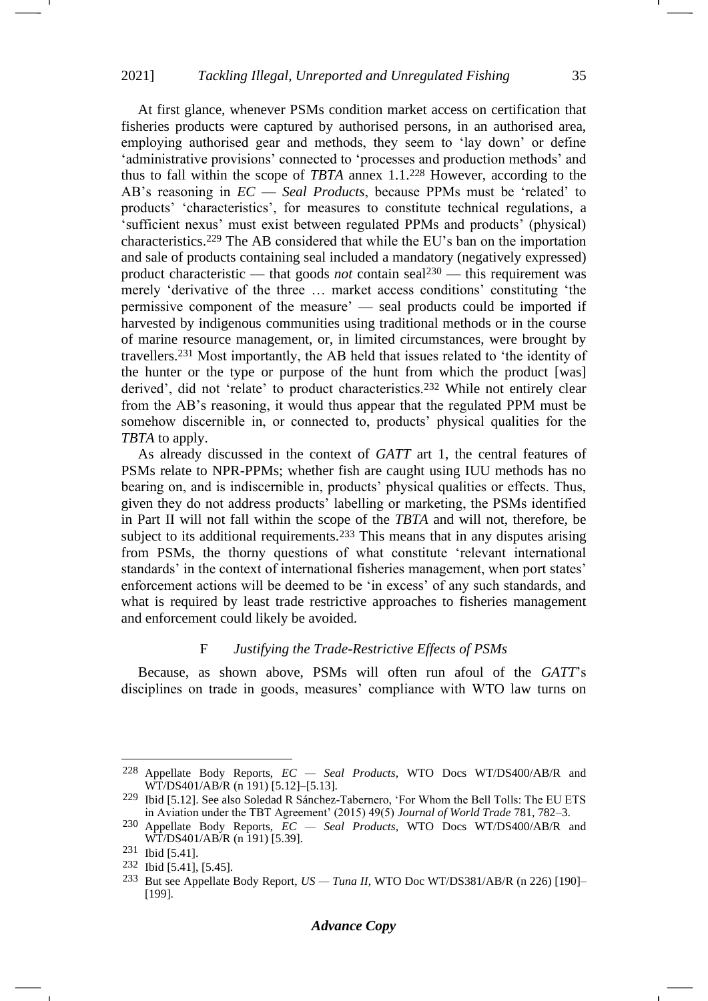At first glance, whenever PSMs condition market access on certification that fisheries products were captured by authorised persons, in an authorised area, employing authorised gear and methods, they seem to 'lay down' or define 'administrative provisions' connected to 'processes and production methods' and thus to fall within the scope of *TBTA* annex 1.1. <sup>228</sup> However, according to the AB's reasoning in *EC* — *Seal Products*, because PPMs must be 'related' to products' 'characteristics', for measures to constitute technical regulations, a 'sufficient nexus' must exist between regulated PPMs and products' (physical) characteristics.<sup>229</sup> The AB considered that while the EU's ban on the importation and sale of products containing seal included a mandatory (negatively expressed) product characteristic — that goods *not* contain seal<sup>230</sup> — this requirement was merely 'derivative of the three … market access conditions' constituting 'the permissive component of the measure' — seal products could be imported if harvested by indigenous communities using traditional methods or in the course of marine resource management, or, in limited circumstances, were brought by travellers.<sup>231</sup> Most importantly, the AB held that issues related to 'the identity of the hunter or the type or purpose of the hunt from which the product [was] derived', did not 'relate' to product characteristics.<sup>232</sup> While not entirely clear from the AB's reasoning, it would thus appear that the regulated PPM must be somehow discernible in, or connected to, products' physical qualities for the *TBTA* to apply.

As already discussed in the context of *GATT* art 1, the central features of PSMs relate to NPR-PPMs; whether fish are caught using IUU methods has no bearing on, and is indiscernible in, products' physical qualities or effects. Thus, given they do not address products' labelling or marketing, the PSMs identified in Part II will not fall within the scope of the *TBTA* and will not, therefore, be subject to its additional requirements.<sup>233</sup> This means that in any disputes arising from PSMs, the thorny questions of what constitute 'relevant international standards' in the context of international fisheries management, when port states' enforcement actions will be deemed to be 'in excess' of any such standards, and what is required by least trade restrictive approaches to fisheries management and enforcement could likely be avoided.

# F *Justifying the Trade-Restrictive Effects of PSMs*

Because, as shown above, PSMs will often run afoul of the *GATT*'s disciplines on trade in goods, measures' compliance with WTO law turns on

<sup>228</sup> Appellate Body Reports, *EC — Seal Products*, WTO Docs WT/DS400/AB/R and WT/DS401/AB/R (n [191\)](#page-29-2) [5.12]–[5.13].

<sup>229</sup> Ibid [5.12]. See also Soledad R Sánchez-Tabernero, 'For Whom the Bell Tolls: The EU ETS in Aviation under the TBT Agreement' (2015) 49(5) *Journal of World Trade* 781, 782–3.

<sup>230</sup> Appellate Body Reports, *EC — Seal Products*, WTO Docs WT/DS400/AB/R and WT/DS401/AB/R (n [191\)](#page-29-2) [5.39].

<sup>231</sup> Ibid [5.41].

<sup>232</sup> Ibid [5.41], [5.45].

<sup>233</sup> But see Appellate Body Report, *US — Tuna II*, WTO Doc WT/DS381/AB/R (n [226\)](#page-33-0) [190]– [199].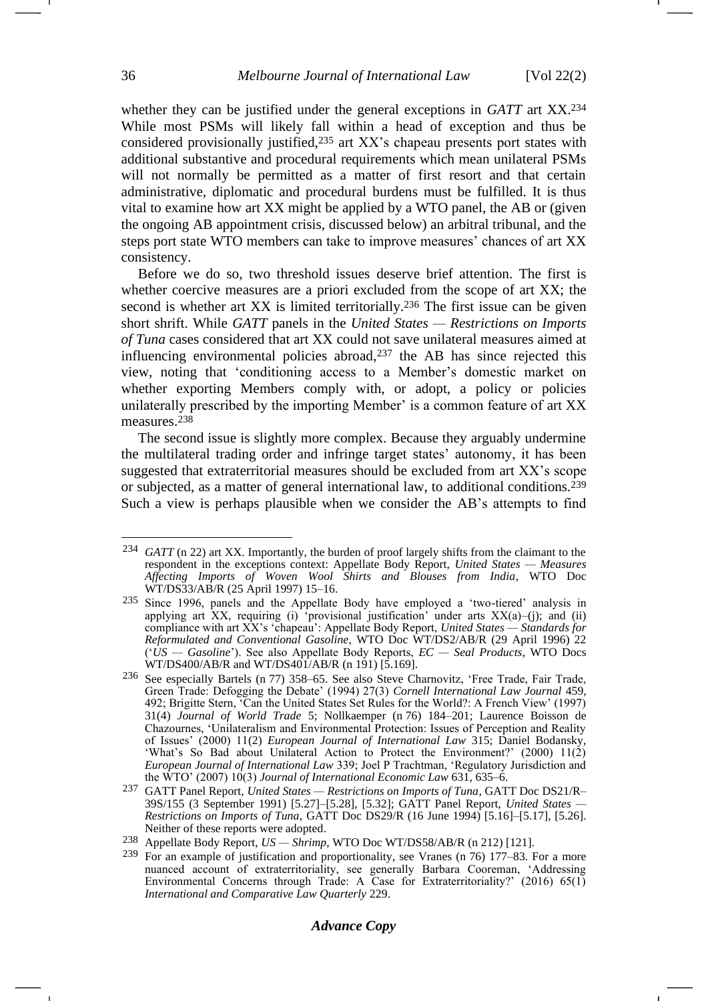<span id="page-35-1"></span>whether they can be justified under the general exceptions in *GATT* art XX.<sup>234</sup> While most PSMs will likely fall within a head of exception and thus be considered provisionally justified,<sup>235</sup> art XX's chapeau presents port states with additional substantive and procedural requirements which mean unilateral PSMs will not normally be permitted as a matter of first resort and that certain administrative, diplomatic and procedural burdens must be fulfilled. It is thus vital to examine how art XX might be applied by a WTO panel, the AB or (given the ongoing AB appointment crisis, discussed below) an arbitral tribunal, and the steps port state WTO members can take to improve measures' chances of art XX consistency.

Before we do so, two threshold issues deserve brief attention. The first is whether coercive measures are a priori excluded from the scope of art XX; the second is whether art XX is limited territorially.<sup>236</sup> The first issue can be given short shrift. While *GATT* panels in the *United States — Restrictions on Imports of Tuna* cases considered that art XX could not save unilateral measures aimed at influencing environmental policies abroad, $237$  the AB has since rejected this view, noting that 'conditioning access to a Member's domestic market on whether exporting Members comply with, or adopt, a policy or policies unilaterally prescribed by the importing Member' is a common feature of art XX measures.<sup>238</sup>

<span id="page-35-0"></span>The second issue is slightly more complex. Because they arguably undermine the multilateral trading order and infringe target states' autonomy, it has been suggested that extraterritorial measures should be excluded from art XX's scope or subjected, as a matter of general international law, to additional conditions.<sup>239</sup> Such a view is perhaps plausible when we consider the AB's attempts to find

<sup>234</sup> *GATT* (n [22\)](#page-5-5) art XX. Importantly, the burden of proof largely shifts from the claimant to the respondent in the exceptions context: Appellate Body Report, *United States — Measures Affecting Imports of Woven Wool Shirts and Blouses from India*, WTO Doc WT/DS33/AB/R (25 April 1997) 15–16.

<sup>235</sup> Since 1996, panels and the Appellate Body have employed a 'two-tiered' analysis in applying art XX, requiring (i) 'provisional justification' under arts  $XX(a)$ -(j); and (ii) compliance with art XX's 'chapeau': Appellate Body Report, *United States — Standards for Reformulated and Conventional Gasoline*, WTO Doc WT/DS2/AB/R (29 April 1996) 22 ('*US — Gasoline*'). See also Appellate Body Reports, *EC — Seal Products*, WTO Docs WT/DS400/AB/R and WT/DS401/AB/R (n [191\)](#page-29-2) [5.169].

<sup>236</sup> See especially Bartels (n [77\)](#page-12-2) 358–65. See also Steve Charnovitz, 'Free Trade, Fair Trade, Green Trade: Defogging the Debate' (1994) 27(3) *Cornell International Law Journal* 459, 492; Brigitte Stern, 'Can the United States Set Rules for the World?: A French View' (1997) 31(4) *Journal of World Trade* 5; Nollkaemper (n [76\)](#page-12-0) 184–201; Laurence Boisson de Chazournes, 'Unilateralism and Environmental Protection: Issues of Perception and Reality of Issues' (2000) 11(2) *European Journal of International Law* 315; Daniel Bodansky, 'What's So Bad about Unilateral Action to Protect the Environment?' (2000) 11(2) *European Journal of International Law* 339; Joel P Trachtman, 'Regulatory Jurisdiction and the WTO' (2007) 10(3) *Journal of International Economic Law* 631, 635–6.

<sup>237</sup> GATT Panel Report, *United States — Restrictions on Imports of Tuna*, GATT Doc DS21/R– 39S/155 (3 September 1991) [5.27]–[5.28], [5.32]; GATT Panel Report, *United States — Restrictions on Imports of Tuna*, GATT Doc DS29/R (16 June 1994) [5.16]–[5.17], [5.26]. Neither of these reports were adopted.

<sup>238</sup> Appellate Body Report, *US — Shrimp*, WTO Doc WT/DS58/AB/R (n [212\)](#page-32-0) [121].

<sup>239</sup> For an example of justification and proportionality, see Vranes (n [76\)](#page-12-0) 177–83. For a more nuanced account of extraterritoriality, see generally Barbara Cooreman, 'Addressing Environmental Concerns through Trade: A Case for Extraterritoriality?' (2016) 65(1) *International and Comparative Law Quarterly* 229.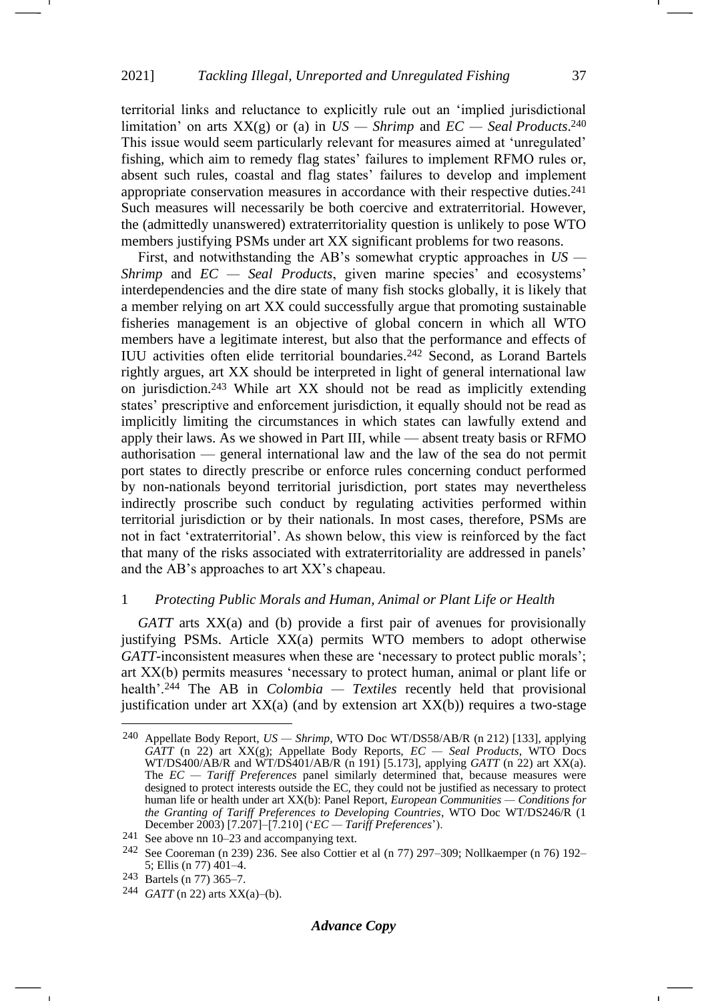<span id="page-36-0"></span>territorial links and reluctance to explicitly rule out an 'implied jurisdictional limitation' on arts XX(g) or (a) in *US — Shrimp* and *EC — Seal Products*. 240 This issue would seem particularly relevant for measures aimed at 'unregulated' fishing, which aim to remedy flag states' failures to implement RFMO rules or, absent such rules, coastal and flag states' failures to develop and implement appropriate conservation measures in accordance with their respective duties.<sup>241</sup> Such measures will necessarily be both coercive and extraterritorial. However, the (admittedly unanswered) extraterritoriality question is unlikely to pose WTO members justifying PSMs under art XX significant problems for two reasons.

First, and notwithstanding the AB's somewhat cryptic approaches in *US — Shrimp* and *EC — Seal Products*, given marine species' and ecosystems' interdependencies and the dire state of many fish stocks globally, it is likely that a member relying on art XX could successfully argue that promoting sustainable fisheries management is an objective of global concern in which all WTO members have a legitimate interest, but also that the performance and effects of IUU activities often elide territorial boundaries.<sup>242</sup> Second, as Lorand Bartels rightly argues, art XX should be interpreted in light of general international law on jurisdiction.<sup>243</sup> While art XX should not be read as implicitly extending states' prescriptive and enforcement jurisdiction, it equally should not be read as implicitly limiting the circumstances in which states can lawfully extend and apply their laws. As we showed in Part III, while — absent treaty basis or RFMO authorisation — general international law and the law of the sea do not permit port states to directly prescribe or enforce rules concerning conduct performed by non-nationals beyond territorial jurisdiction, port states may nevertheless indirectly proscribe such conduct by regulating activities performed within territorial jurisdiction or by their nationals. In most cases, therefore, PSMs are not in fact 'extraterritorial'. As shown below, this view is reinforced by the fact that many of the risks associated with extraterritoriality are addressed in panels' and the AB's approaches to art XX's chapeau.

### 1 *Protecting Public Morals and Human, Animal or Plant Life or Health*

*GATT* arts XX(a) and (b) provide a first pair of avenues for provisionally justifying PSMs. Article XX(a) permits WTO members to adopt otherwise *GATT*-inconsistent measures when these are 'necessary to protect public morals'; art XX(b) permits measures 'necessary to protect human, animal or plant life or health'.<sup>244</sup> The AB in *Colombia — Textiles* recently held that provisional justification under art  $XX(a)$  (and by extension art  $XX(b)$ ) requires a two-stage

<sup>240</sup> Appellate Body Report, *US — Shrimp*, WTO Doc WT/DS58/AB/R (n [212\)](#page-32-0) [133], applying *GATT* (n [22\)](#page-5-5) art XX(g); Appellate Body Reports, *EC — Seal Products*, WTO Docs WT/DS400/AB/R and WT/DS401/AB/R (n [191\)](#page-29-2) [5.173], applying *GATT* (n [22\)](#page-5-5) art XX(a). The *EC — Tariff Preferences* panel similarly determined that, because measures were designed to protect interests outside the EC, they could not be justified as necessary to protect human life or health under art XX(b): Panel Report, *European Communities — Conditions for the Granting of Tariff Preferences to Developing Countries*, WTO Doc WT/DS246/R (1 December 2003) [7.207]–[7.210] ('*EC — Tariff Preferences*').

<sup>241</sup> See above nn [10](#page-3-0)[–23](#page-5-1) and accompanying text.

<sup>242</sup> See Cooreman (n [239\)](#page-35-0) 236. See also Cottier et al (n [77\)](#page-12-2) 297–309; Nollkaemper (n [76\)](#page-12-0) 192– 5; Ellis (n [77\)](#page-12-2) 401–4.

<sup>243</sup> Bartels (n [77\)](#page-12-2) 365–7.

<sup>244</sup> *GATT* ([n 22\)](#page-5-5) arts XX(a)–(b).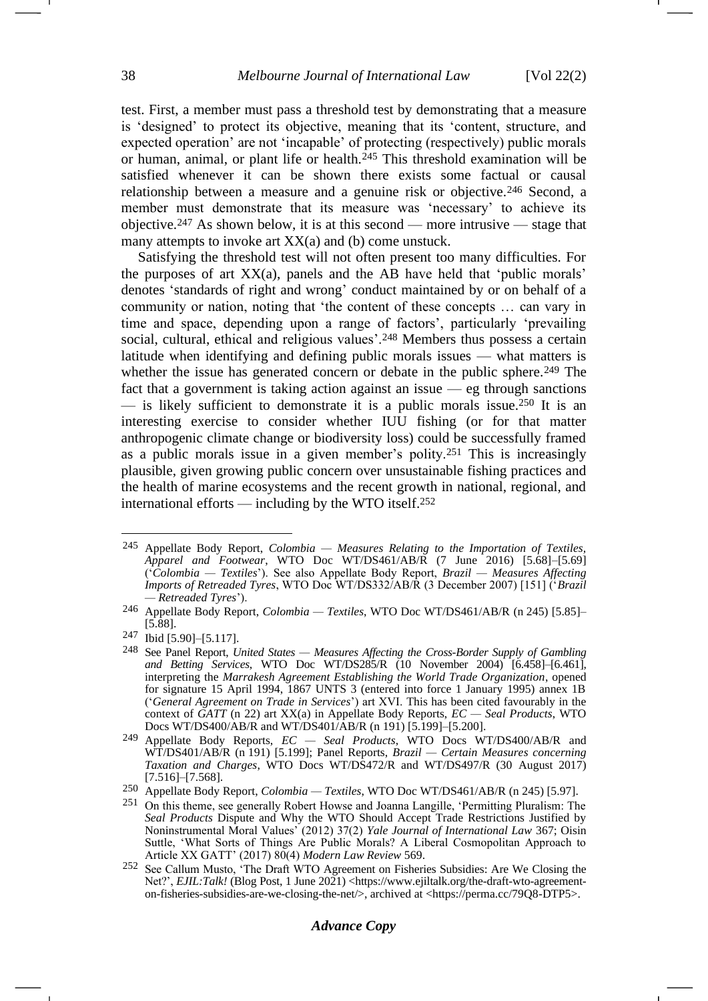<span id="page-37-0"></span>test. First, a member must pass a threshold test by demonstrating that a measure is 'designed' to protect its objective, meaning that its 'content, structure, and expected operation' are not 'incapable' of protecting (respectively) public morals or human, animal, or plant life or health.<sup>245</sup> This threshold examination will be satisfied whenever it can be shown there exists some factual or causal relationship between a measure and a genuine risk or objective.<sup>246</sup> Second, a member must demonstrate that its measure was 'necessary' to achieve its objective.<sup>247</sup> As shown below, it is at this second — more intrusive — stage that many attempts to invoke art XX(a) and (b) come unstuck.

Satisfying the threshold test will not often present too many difficulties. For the purposes of art XX(a), panels and the AB have held that 'public morals' denotes 'standards of right and wrong' conduct maintained by or on behalf of a community or nation, noting that 'the content of these concepts … can vary in time and space, depending upon a range of factors', particularly 'prevailing social, cultural, ethical and religious values'.<sup>248</sup> Members thus possess a certain latitude when identifying and defining public morals issues — what matters is whether the issue has generated concern or debate in the public sphere.<sup>249</sup> The fact that a government is taking action against an issue — eg through sanctions — is likely sufficient to demonstrate it is a public morals issue.<sup>250</sup> It is an interesting exercise to consider whether IUU fishing (or for that matter anthropogenic climate change or biodiversity loss) could be successfully framed as a public morals issue in a given member's polity.<sup>251</sup> This is increasingly plausible, given growing public concern over unsustainable fishing practices and the health of marine ecosystems and the recent growth in national, regional, and international efforts — including by the WTO itself.<sup>252</sup>

<span id="page-37-1"></span><sup>245</sup> Appellate Body Report, *Colombia — Measures Relating to the Importation of Textiles, Apparel and Footwear*, WTO Doc WT/DS461/AB/R (7 June 2016) [5.68]–[5.69] ('*Colombia — Textiles*'). See also Appellate Body Report, *Brazil — Measures Affecting Imports of Retreaded Tyres*, WTO Doc WT/DS332/AB/R (3 December 2007) [151] ('*Brazil — Retreaded Tyres*').

<sup>246</sup> Appellate Body Report, *Colombia — Textiles*, WTO Doc WT/DS461/AB/R (n [245\)](#page-37-0) [5.85]– [5.88].

<sup>247</sup> Ibid [5.90]–[5.117].

<sup>248</sup> See Panel Report, *United States — Measures Affecting the Cross-Border Supply of Gambling and Betting Services*, WTO Doc WT/DS285/R (10 November 2004) [6.458]–[6.461], interpreting the *Marrakesh Agreement Establishing the World Trade Organization*, opened for signature 15 April 1994, 1867 UNTS 3 (entered into force 1 January 1995) annex 1B ('*General Agreement on Trade in Services*') art XVI. This has been cited favourably in the context of *GATT* (n [22\)](#page-5-5) art XX(a) in Appellate Body Reports, *EC — Seal Products*, WTO Docs WT/DS400/AB/R and WT/DS401/AB/R (n [191\)](#page-29-2) [5.199]–[5.200].

<sup>249</sup> Appellate Body Reports, *EC — Seal Products*, WTO Docs WT/DS400/AB/R and WT/DS401/AB/R (n [191\)](#page-29-2) [5.199]; Panel Reports, *Brazil — Certain Measures concerning Taxation and Charges*, WTO Docs WT/DS472/R and WT/DS497/R (30 August 2017)  $[7.516]$ – $[7.568]$ .

<sup>250</sup> Appellate Body Report, *Colombia — Textiles*, WTO Doc WT/DS461/AB/R (n [245\)](#page-37-0) [5.97].

<sup>251</sup> On this theme, see generally Robert Howse and Joanna Langille, 'Permitting Pluralism: The *Seal Products* Dispute and Why the WTO Should Accept Trade Restrictions Justified by Noninstrumental Moral Values' (2012) 37(2) *Yale Journal of International Law* 367; Oisin Suttle, 'What Sorts of Things Are Public Morals? A Liberal Cosmopolitan Approach to Article XX GATT' (2017) 80(4) *Modern Law Review* 569.

<sup>252</sup> See Callum Musto, 'The Draft WTO Agreement on Fisheries Subsidies: Are We Closing the Net?', *EJIL:Talk!* (Blog Post, 1 June 2021) <https://www.ejiltalk.org/the-draft-wto-agreementon-fisheries-subsidies-are-we-closing-the-net/>, archived at <https://perma.cc/79Q8-DTP5>.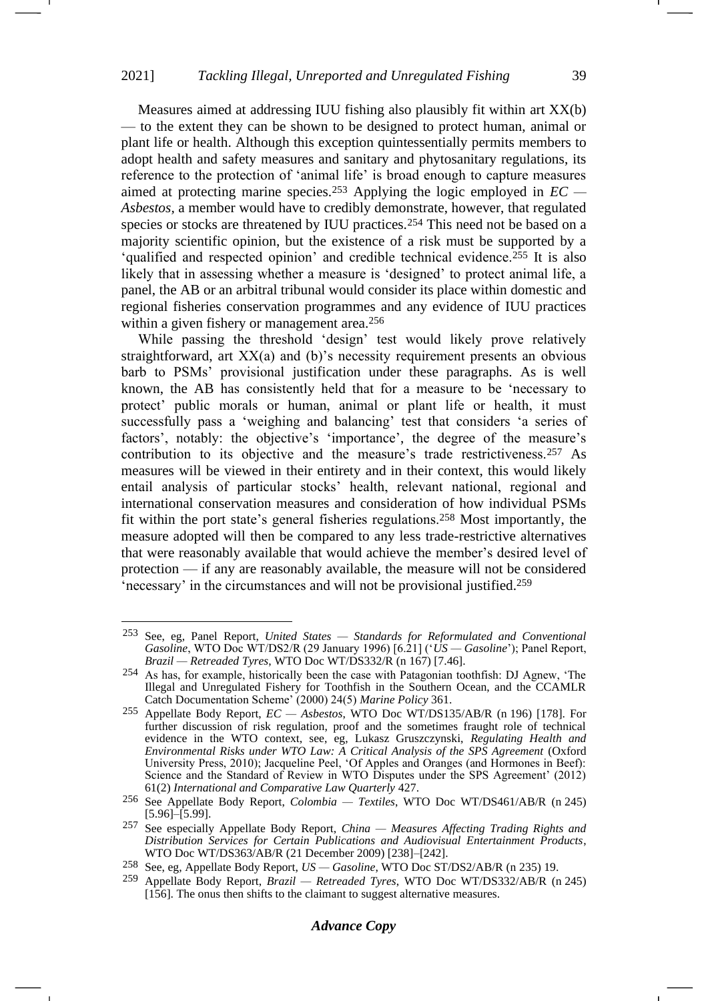Measures aimed at addressing IUU fishing also plausibly fit within art XX(b) — to the extent they can be shown to be designed to protect human, animal or plant life or health. Although this exception quintessentially permits members to adopt health and safety measures and sanitary and phytosanitary regulations, its reference to the protection of 'animal life' is broad enough to capture measures aimed at protecting marine species.<sup>253</sup> Applying the logic employed in *EC — Asbestos,* a member would have to credibly demonstrate, however, that regulated species or stocks are threatened by IUU practices.<sup>254</sup> This need not be based on a majority scientific opinion, but the existence of a risk must be supported by a 'qualified and respected opinion' and credible technical evidence.<sup>255</sup> It is also likely that in assessing whether a measure is 'designed' to protect animal life, a panel, the AB or an arbitral tribunal would consider its place within domestic and regional fisheries conservation programmes and any evidence of IUU practices within a given fishery or management area.<sup>256</sup>

While passing the threshold 'design' test would likely prove relatively straightforward, art XX(a) and (b)'s necessity requirement presents an obvious barb to PSMs' provisional justification under these paragraphs. As is well known, the AB has consistently held that for a measure to be 'necessary to protect' public morals or human, animal or plant life or health, it must successfully pass a 'weighing and balancing' test that considers 'a series of factors', notably: the objective's 'importance', the degree of the measure's contribution to its objective and the measure's trade restrictiveness.<sup>257</sup> As measures will be viewed in their entirety and in their context, this would likely entail analysis of particular stocks' health, relevant national, regional and international conservation measures and consideration of how individual PSMs fit within the port state's general fisheries regulations.<sup>258</sup> Most importantly, the measure adopted will then be compared to any less trade-restrictive alternatives that were reasonably available that would achieve the member's desired level of protection — if any are reasonably available, the measure will not be considered 'necessary' in the circumstances and will not be provisional justified.<sup>259</sup>

<span id="page-38-0"></span><sup>253</sup> See, eg, Panel Report, *United States — Standards for Reformulated and Conventional Gasoline*, WTO Doc WT/DS2/R (29 January 1996) [6.21] ('*US — Gasoline*'); Panel Report, *Brazil — Retreaded Tyres*, WTO Doc WT/DS332/R (n [167\)](#page-26-2) [7.46].

<sup>254</sup> As has, for example, historically been the case with Patagonian toothfish: DJ Agnew, 'The Illegal and Unregulated Fishery for Toothfish in the Southern Ocean, and the CCAMLR Catch Documentation Scheme' (2000) 24(5) *Marine Policy* 361.

<sup>255</sup> Appellate Body Report, *EC — Asbestos*, WTO Doc WT/DS135/AB/R (n [196\)](#page-30-0) [178]. For further discussion of risk regulation, proof and the sometimes fraught role of technical evidence in the WTO context, see, eg, Lukasz Gruszczynski, *Regulating Health and Environmental Risks under WTO Law: A Critical Analysis of the SPS Agreement* (Oxford University Press, 2010); Jacqueline Peel, 'Of Apples and Oranges (and Hormones in Beef): Science and the Standard of Review in WTO Disputes under the SPS Agreement' (2012) 61(2) *International and Comparative Law Quarterly* 427.

<sup>256</sup> See Appellate Body Report, *Colombia — Textiles*, WTO Doc WT/DS461/AB/R (n [245\)](#page-37-0) [5.96]–[5.99].

<sup>257</sup> See especially Appellate Body Report, *China — Measures Affecting Trading Rights and Distribution Services for Certain Publications and Audiovisual Entertainment Products*, WTO Doc WT/DS363/AB/R (21 December 2009) [238]–[242].

<sup>258</sup> See, eg, Appellate Body Report, *US — Gasoline*, WTO Doc ST/DS2/AB/R (n [235\)](#page-35-1) 19.

<sup>259</sup> Appellate Body Report, *Brazil — Retreaded Tyres*, WTO Doc WT/DS332/AB/R (n [245\)](#page-37-0) [156]. The onus then shifts to the claimant to suggest alternative measures.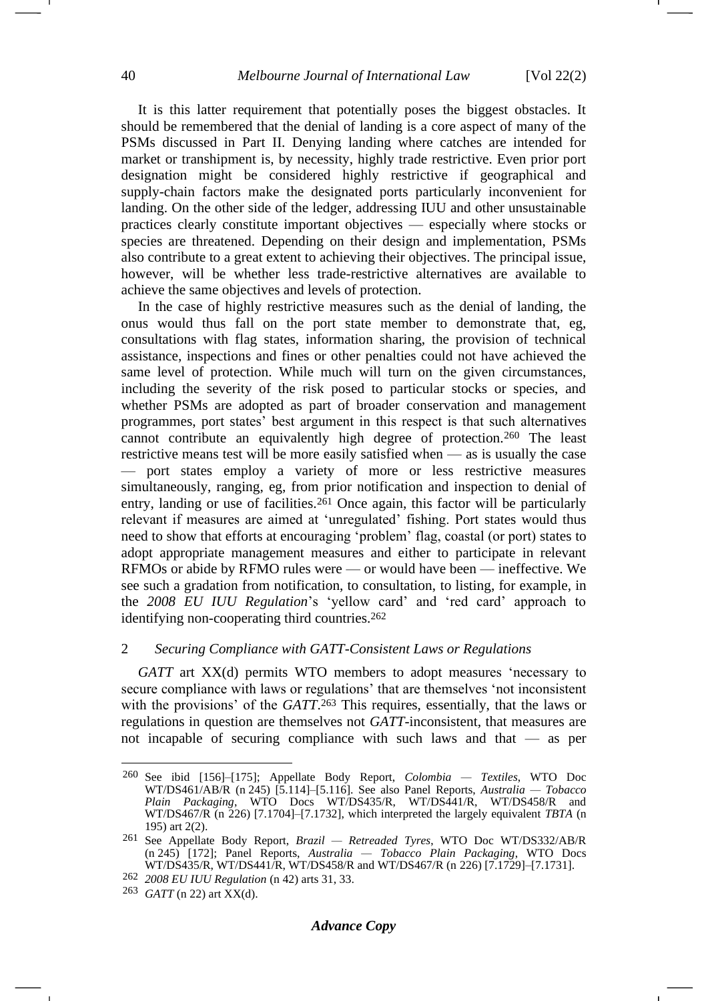It is this latter requirement that potentially poses the biggest obstacles. It should be remembered that the denial of landing is a core aspect of many of the PSMs discussed in Part II. Denying landing where catches are intended for market or transhipment is, by necessity, highly trade restrictive. Even prior port designation might be considered highly restrictive if geographical and supply-chain factors make the designated ports particularly inconvenient for landing. On the other side of the ledger, addressing IUU and other unsustainable practices clearly constitute important objectives — especially where stocks or species are threatened. Depending on their design and implementation, PSMs also contribute to a great extent to achieving their objectives. The principal issue, however, will be whether less trade-restrictive alternatives are available to achieve the same objectives and levels of protection.

In the case of highly restrictive measures such as the denial of landing, the onus would thus fall on the port state member to demonstrate that, eg, consultations with flag states, information sharing, the provision of technical assistance, inspections and fines or other penalties could not have achieved the same level of protection. While much will turn on the given circumstances, including the severity of the risk posed to particular stocks or species, and whether PSMs are adopted as part of broader conservation and management programmes, port states' best argument in this respect is that such alternatives cannot contribute an equivalently high degree of protection.<sup>260</sup> The least restrictive means test will be more easily satisfied when — as is usually the case — port states employ a variety of more or less restrictive measures simultaneously, ranging, eg, from prior notification and inspection to denial of entry, landing or use of facilities.<sup>261</sup> Once again, this factor will be particularly relevant if measures are aimed at 'unregulated' fishing. Port states would thus need to show that efforts at encouraging 'problem' flag, coastal (or port) states to adopt appropriate management measures and either to participate in relevant RFMOs or abide by RFMO rules were — or would have been — ineffective. We see such a gradation from notification, to consultation, to listing, for example, in the *2008 EU IUU Regulation*'s 'yellow card' and 'red card' approach to identifying non-cooperating third countries.<sup>262</sup>

### 2 *Securing Compliance with GATT-Consistent Laws or Regulations*

<span id="page-39-0"></span>*GATT* art XX(d) permits WTO members to adopt measures 'necessary to secure compliance with laws or regulations' that are themselves 'not inconsistent with the provisions' of the *GATT*.<sup>263</sup> This requires, essentially, that the laws or regulations in question are themselves not *GATT*-inconsistent, that measures are not incapable of securing compliance with such laws and that — as per

<sup>260</sup> See ibid [156]–[175]; Appellate Body Report, *Colombia — Textiles*, WTO Doc WT/DS461/AB/R (n [245\)](#page-37-0) [5.114]–[5.116]. See also Panel Reports, *Australia — Tobacco Plain Packaging*, WTO Docs WT/DS435/R, WT/DS441/R, WT/DS458/R and WT/DS467/R (n [226\)](#page-33-0) [7.1704]–[7.1732], which interpreted the largely equivalent *TBTA* (n [195\)](#page-29-3) art 2(2).

<sup>261</sup> See Appellate Body Report, *Brazil — Retreaded Tyres*, WTO Doc WT/DS332/AB/R (n [245\)](#page-37-0) [172]; Panel Reports, *Australia — Tobacco Plain Packaging*, WTO Docs WT/DS435/R, WT/DS441/R, WT/DS458/R and WT/DS467/R (n [226\)](#page-33-0) [7.1729]–[7.1731].

<sup>262</sup> *2008 EU IUU Regulation* (n [42\)](#page-7-1) arts 31, 33.

<sup>263</sup> *GATT* ([n 22\)](#page-5-5) art XX(d).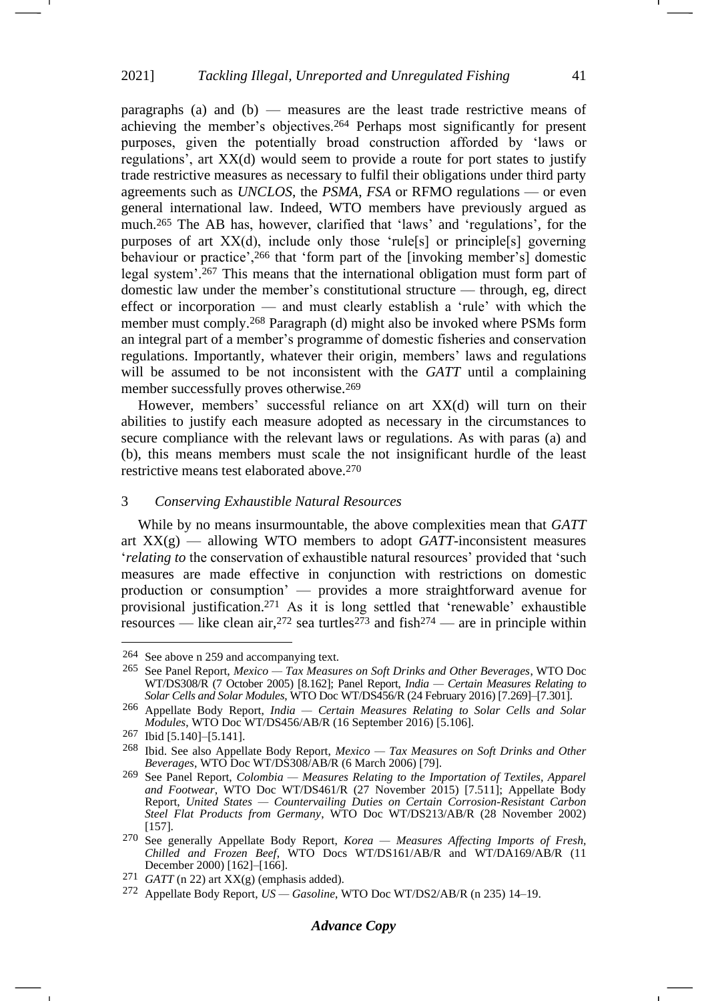<span id="page-40-0"></span>paragraphs (a) and (b) — measures are the least trade restrictive means of achieving the member's objectives.<sup>264</sup> Perhaps most significantly for present purposes, given the potentially broad construction afforded by 'laws or regulations', art XX(d) would seem to provide a route for port states to justify trade restrictive measures as necessary to fulfil their obligations under third party agreements such as *UNCLOS*, the *PSMA*, *FSA* or RFMO regulations — or even general international law. Indeed, WTO members have previously argued as much.<sup>265</sup> The AB has, however, clarified that 'laws' and 'regulations', for the purposes of art XX(d), include only those 'rule[s] or principle[s] governing behaviour or practice',<sup>266</sup> that 'form part of the [invoking member's] domestic legal system'.<sup>267</sup> This means that the international obligation must form part of domestic law under the member's constitutional structure — through, eg, direct effect or incorporation — and must clearly establish a 'rule' with which the member must comply.<sup>268</sup> Paragraph (d) might also be invoked where PSMs form an integral part of a member's programme of domestic fisheries and conservation regulations. Importantly, whatever their origin, members' laws and regulations will be assumed to be not inconsistent with the *GATT* until a complaining member successfully proves otherwise.<sup>269</sup>

However, members' successful reliance on art XX(d) will turn on their abilities to justify each measure adopted as necessary in the circumstances to secure compliance with the relevant laws or regulations. As with paras (a) and (b), this means members must scale the not insignificant hurdle of the least restrictive means test elaborated above.<sup>270</sup>

# 3 *Conserving Exhaustible Natural Resources*

While by no means insurmountable, the above complexities mean that *GATT* art XX(g) — allowing WTO members to adopt *GATT*-inconsistent measures '*relating to* the conservation of exhaustible natural resources' provided that 'such measures are made effective in conjunction with restrictions on domestic production or consumption' — provides a more straightforward avenue for provisional justification.<sup>271</sup> As it is long settled that 'renewable' exhaustible resources — like clean air, <sup>272</sup> sea turtles<sup>273</sup> and fish<sup>274</sup> — are in principle within

<sup>264</sup> See above [n 259](#page-38-0) and accompanying text.

<sup>265</sup> See Panel Report, *Mexico — Tax Measures on Soft Drinks and Other Beverages*, WTO Doc WT/DS308/R (7 October 2005) [8.162]; Panel Report, *India — Certain Measures Relating to Solar Cells and Solar Modules*, WTO Doc WT/DS456/R (24 February 2016) [7.269]–[7.301].

<sup>266</sup> Appellate Body Report, *India — Certain Measures Relating to Solar Cells and Solar Modules*, WTO Doc WT/DS456/AB/R (16 September 2016) [5.106].

<sup>267</sup> Ibid [5.140]–[5.141].

<sup>268</sup> Ibid. See also Appellate Body Report, *Mexico — Tax Measures on Soft Drinks and Other Beverages*, WTO Doc WT/DS308/AB/R (6 March 2006) [79].

<sup>269</sup> See Panel Report, *Colombia — Measures Relating to the Importation of Textiles, Apparel and Footwear*, WTO Doc WT/DS461/R (27 November 2015) [7.511]; Appellate Body Report, *United States — Countervailing Duties on Certain Corrosion-Resistant Carbon Steel Flat Products from Germany*, WTO Doc WT/DS213/AB/R (28 November 2002) [157].

<sup>270</sup> See generally Appellate Body Report, *Korea — Measures Affecting Imports of Fresh, Chilled and Frozen Beef*, WTO Docs WT/DS161/AB/R and WT/DA169/AB/R (11 December 2000) [162]–[166].

 $271$  *GATT* ([n 22\)](#page-5-5) art XX(g) (emphasis added).

<sup>272</sup> Appellate Body Report, *US — Gasoline*, WTO Doc WT/DS2/AB/R (n [235\)](#page-35-1) 14–19.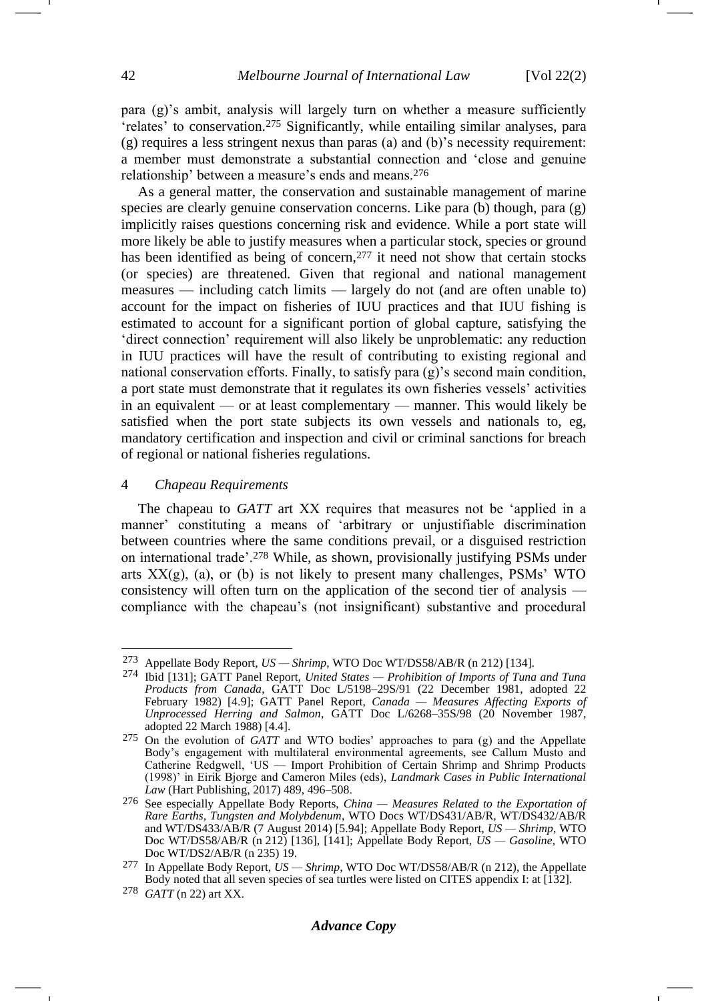<span id="page-41-0"></span>para (g)'s ambit, analysis will largely turn on whether a measure sufficiently 'relates' to conservation.<sup>275</sup> Significantly, while entailing similar analyses, para (g) requires a less stringent nexus than paras (a) and (b)'s necessity requirement: a member must demonstrate a substantial connection and 'close and genuine relationship' between a measure's ends and means.<sup>276</sup>

As a general matter, the conservation and sustainable management of marine species are clearly genuine conservation concerns. Like para (b) though, para (g) implicitly raises questions concerning risk and evidence. While a port state will more likely be able to justify measures when a particular stock, species or ground has been identified as being of concern,<sup>277</sup> it need not show that certain stocks (or species) are threatened. Given that regional and national management measures — including catch limits — largely do not (and are often unable to) account for the impact on fisheries of IUU practices and that IUU fishing is estimated to account for a significant portion of global capture, satisfying the 'direct connection' requirement will also likely be unproblematic: any reduction in IUU practices will have the result of contributing to existing regional and national conservation efforts. Finally, to satisfy para (g)'s second main condition, a port state must demonstrate that it regulates its own fisheries vessels' activities in an equivalent — or at least complementary — manner. This would likely be satisfied when the port state subjects its own vessels and nationals to, eg, mandatory certification and inspection and civil or criminal sanctions for breach of regional or national fisheries regulations.

#### 4 *Chapeau Requirements*

The chapeau to *GATT* art XX requires that measures not be 'applied in a manner' constituting a means of 'arbitrary or unjustifiable discrimination between countries where the same conditions prevail, or a disguised restriction on international trade'.<sup>278</sup> While, as shown, provisionally justifying PSMs under arts  $XX(g)$ , (a), or (b) is not likely to present many challenges, PSMs' WTO consistency will often turn on the application of the second tier of analysis compliance with the chapeau's (not insignificant) substantive and procedural

<sup>273</sup> Appellate Body Report, *US — Shrimp*, WTO Doc WT/DS58/AB/R (n [212\)](#page-32-0) [134].

<sup>274</sup> Ibid [131]; GATT Panel Report, *United States — Prohibition of Imports of Tuna and Tuna Products from Canada*, GATT Doc L/5198–29S/91 (22 December 1981, adopted 22 February 1982) [4.9]; GATT Panel Report, *Canada — Measures Affecting Exports of Unprocessed Herring and Salmon*, GATT Doc L/6268–35S/98 (20 November 1987, adopted 22 March 1988) [4.4].

<sup>275</sup> On the evolution of *GATT* and WTO bodies' approaches to para (g) and the Appellate Body's engagement with multilateral environmental agreements, see Callum Musto and Catherine Redgwell, 'US — Import Prohibition of Certain Shrimp and Shrimp Products (1998)' in Eirik Bjorge and Cameron Miles (eds), *Landmark Cases in Public International Law* (Hart Publishing, 2017) 489, 496–508.

<sup>276</sup> See especially Appellate Body Reports, *China — Measures Related to the Exportation of Rare Earths, Tungsten and Molybdenum*, WTO Docs WT/DS431/AB/R, WT/DS432/AB/R and WT/DS433/AB/R (7 August 2014) [5.94]; Appellate Body Report, *US — Shrimp*, WTO Doc WT/DS58/AB/R (n [212\)](#page-32-0) [136], [141]; Appellate Body Report, *US — Gasoline*, WTO Doc WT/DS2/AB/R (n [235\)](#page-35-1) 19.

<sup>277</sup> In Appellate Body Report, *US — Shrimp*, WTO Doc WT/DS58/AB/R (n [212\)](#page-32-0), the Appellate Body noted that all seven species of sea turtles were listed on CITES appendix I: at [132].

<sup>278</sup> *GATT* ([n 22\)](#page-5-5) art XX.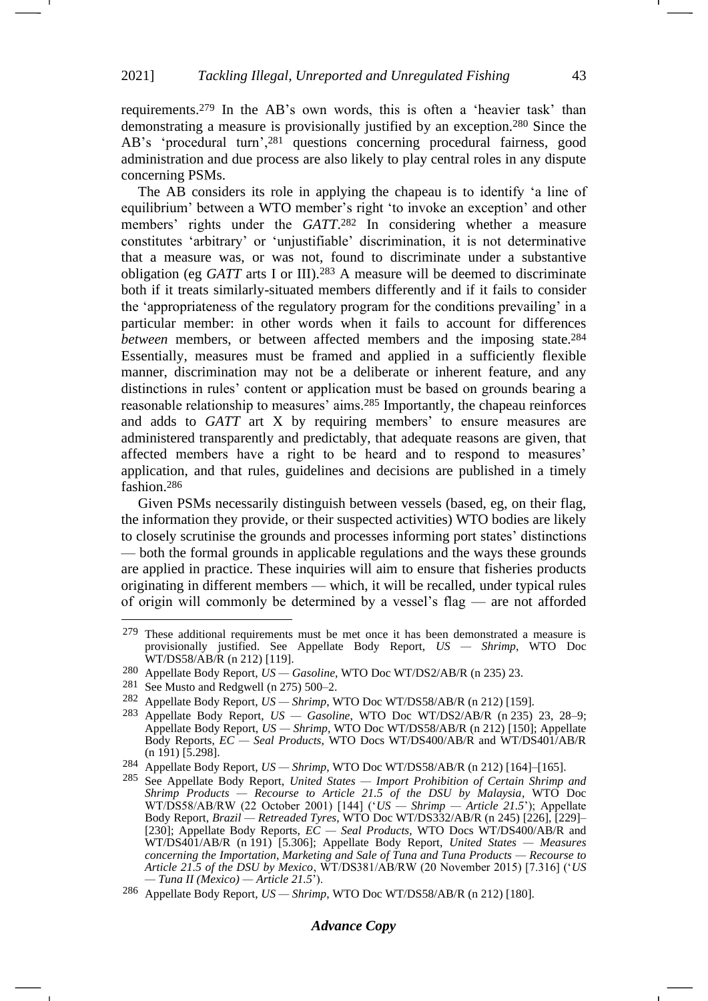requirements.<sup>279</sup> In the AB's own words, this is often a 'heavier task' than demonstrating a measure is provisionally justified by an exception.<sup>280</sup> Since the AB's 'procedural turn',<sup>281</sup> questions concerning procedural fairness, good administration and due process are also likely to play central roles in any dispute concerning PSMs.

The AB considers its role in applying the chapeau is to identify 'a line of equilibrium' between a WTO member's right 'to invoke an exception' and other members' rights under the *GATT*. <sup>282</sup> In considering whether a measure constitutes 'arbitrary' or 'unjustifiable' discrimination, it is not determinative that a measure was, or was not, found to discriminate under a substantive obligation (eg *GATT* arts I or III).<sup>283</sup> A measure will be deemed to discriminate both if it treats similarly-situated members differently and if it fails to consider the 'appropriateness of the regulatory program for the conditions prevailing' in a particular member: in other words when it fails to account for differences *between* members, or between affected members and the imposing state.<sup>284</sup> Essentially, measures must be framed and applied in a sufficiently flexible manner, discrimination may not be a deliberate or inherent feature, and any distinctions in rules' content or application must be based on grounds bearing a reasonable relationship to measures' aims.<sup>285</sup> Importantly, the chapeau reinforces and adds to *GATT* art X by requiring members' to ensure measures are administered transparently and predictably, that adequate reasons are given, that affected members have a right to be heard and to respond to measures' application, and that rules, guidelines and decisions are published in a timely fashion.<sup>286</sup>

<span id="page-42-0"></span>Given PSMs necessarily distinguish between vessels (based, eg, on their flag, the information they provide, or their suspected activities) WTO bodies are likely to closely scrutinise the grounds and processes informing port states' distinctions — both the formal grounds in applicable regulations and the ways these grounds are applied in practice. These inquiries will aim to ensure that fisheries products originating in different members — which, it will be recalled, under typical rules of origin will commonly be determined by a vessel's flag — are not afforded -

### *Advance Copy*

<sup>279</sup> These additional requirements must be met once it has been demonstrated a measure is provisionally justified. See Appellate Body Report, *US — Shrimp*, WTO Doc WT/DS58/AB/R (n [212\)](#page-32-0) [119].

<sup>280</sup> Appellate Body Report, *US — Gasoline*, WTO Doc WT/DS2/AB/R (n [235\)](#page-35-1) 23.

<sup>281</sup> See Musto and Redgwell (n [275\)](#page-41-0) 500–2.

<sup>282</sup> Appellate Body Report, *US — Shrimp*, WTO Doc WT/DS58/AB/R (n [212\)](#page-32-0) [159].

<sup>283</sup> Appellate Body Report, *US — Gasoline*, WTO Doc WT/DS2/AB/R (n [235\)](#page-35-1) 23, 28–9; Appellate Body Report, *US — Shrimp*, WTO Doc WT/DS58/AB/R (n [212\)](#page-32-0) [150]; Appellate Body Reports, *EC — Seal Products*, WTO Docs WT/DS400/AB/R and WT/DS401/AB/R (n [191\)](#page-29-2) [5.298].

<sup>284</sup> Appellate Body Report, *US — Shrimp*, WTO Doc WT/DS58/AB/R (n [212\)](#page-32-0) [164]–[165].

<sup>285</sup> See Appellate Body Report, *United States — Import Prohibition of Certain Shrimp and Shrimp Products — Recourse to Article 21.5 of the DSU by Malaysia*, WTO Doc WT/DS58/AB/RW (22 October 2001) [144] ('*US — Shrimp — Article 21.5*'); Appellate Body Report, *Brazil — Retreaded Tyres*, WTO Doc WT/DS332/AB/R (n [245\)](#page-37-0) [226], [229]– [230]; Appellate Body Reports, *EC — Seal Products*, WTO Docs WT/DS400/AB/R and WT/DS401/AB/R (n [191\)](#page-29-2) [5.306]; Appellate Body Report, *United States — Measures concerning the Importation, Marketing and Sale of Tuna and Tuna Products — Recourse to Article 21.5 of the DSU by Mexico*, WT/DS381/AB/RW (20 November 2015) [7.316] ('*US — Tuna II (Mexico) — Article 21.5*').

<sup>286</sup> Appellate Body Report, *US — Shrimp*, WTO Doc WT/DS58/AB/R (n [212\)](#page-32-0) [180].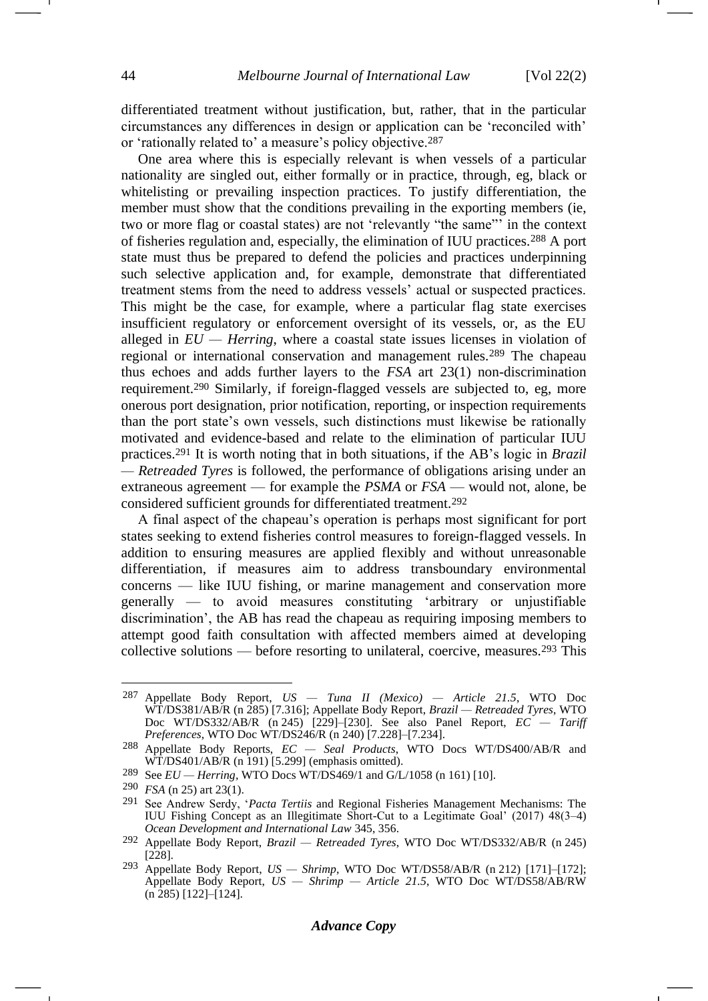differentiated treatment without justification, but, rather, that in the particular circumstances any differences in design or application can be 'reconciled with' or 'rationally related to' a measure's policy objective.<sup>287</sup>

One area where this is especially relevant is when vessels of a particular nationality are singled out, either formally or in practice, through, eg, black or whitelisting or prevailing inspection practices. To justify differentiation, the member must show that the conditions prevailing in the exporting members (ie, two or more flag or coastal states) are not 'relevantly "the same"' in the context of fisheries regulation and, especially, the elimination of IUU practices.<sup>288</sup> A port state must thus be prepared to defend the policies and practices underpinning such selective application and, for example, demonstrate that differentiated treatment stems from the need to address vessels' actual or suspected practices. This might be the case, for example, where a particular flag state exercises insufficient regulatory or enforcement oversight of its vessels, or, as the EU alleged in  $EU$  *— Herring*, where a coastal state issues licenses in violation of regional or international conservation and management rules.<sup>289</sup> The chapeau thus echoes and adds further layers to the *FSA* art 23(1) non-discrimination requirement.<sup>290</sup> Similarly, if foreign-flagged vessels are subjected to, eg, more onerous port designation, prior notification, reporting, or inspection requirements than the port state's own vessels, such distinctions must likewise be rationally motivated and evidence-based and relate to the elimination of particular IUU practices.<sup>291</sup> It is worth noting that in both situations, if the AB's logic in *Brazil — Retreaded Tyres* is followed, the performance of obligations arising under an extraneous agreement — for example the *PSMA* or *FSA* — would not, alone, be considered sufficient grounds for differentiated treatment.<sup>292</sup>

<span id="page-43-0"></span>A final aspect of the chapeau's operation is perhaps most significant for port states seeking to extend fisheries control measures to foreign-flagged vessels. In addition to ensuring measures are applied flexibly and without unreasonable differentiation, if measures aim to address transboundary environmental concerns — like IUU fishing, or marine management and conservation more generally — to avoid measures constituting 'arbitrary or unjustifiable discrimination', the AB has read the chapeau as requiring imposing members to attempt good faith consultation with affected members aimed at developing collective solutions — before resorting to unilateral, coercive, measures.<sup>293</sup> This

<sup>287</sup> Appellate Body Report, *US — Tuna II (Mexico) — Article 21.5*, WTO Doc WT/DS381/AB/R (n [285\)](#page-42-0) [7.316]; Appellate Body Report, *Brazil — Retreaded Tyres*, WTO Doc WT/DS332/AB/R (n [245\)](#page-37-0) [229]–[230]. See also Panel Report, *EC — Tariff Preferences*, WTO Doc WT/DS246/R (n [240\)](#page-36-0) [7.228]–[7.234].

<sup>288</sup> Appellate Body Reports, *EC — Seal Products*, WTO Docs WT/DS400/AB/R and WT/DS401/AB/R (n [191\)](#page-29-2) [5.299] (emphasis omitted).

<sup>289</sup> See *EU — Herring*, WTO Docs WT/DS469/1 and G/L/1058 (n [161\)](#page-24-0) [10].

<sup>290</sup> *FSA* (n [25\)](#page-5-2) art 23(1).

<sup>291</sup> See Andrew Serdy, '*Pacta Tertiis* and Regional Fisheries Management Mechanisms: The IUU Fishing Concept as an Illegitimate Short-Cut to a Legitimate Goal' (2017) 48(3–4) *Ocean Development and International Law* 345, 356.

<sup>292</sup> Appellate Body Report, *Brazil — Retreaded Tyres*, WTO Doc WT/DS332/AB/R (n [245\)](#page-37-0) [228].

<sup>293</sup> Appellate Body Report, *US — Shrimp*, WTO Doc WT/DS58/AB/R (n [212\)](#page-32-0) [171]–[172]; Appellate Body Report, *US — Shrimp — Article 21.5*, WTO Doc WT/DS58/AB/RW (n [285\)](#page-42-0) [122]*–*[124].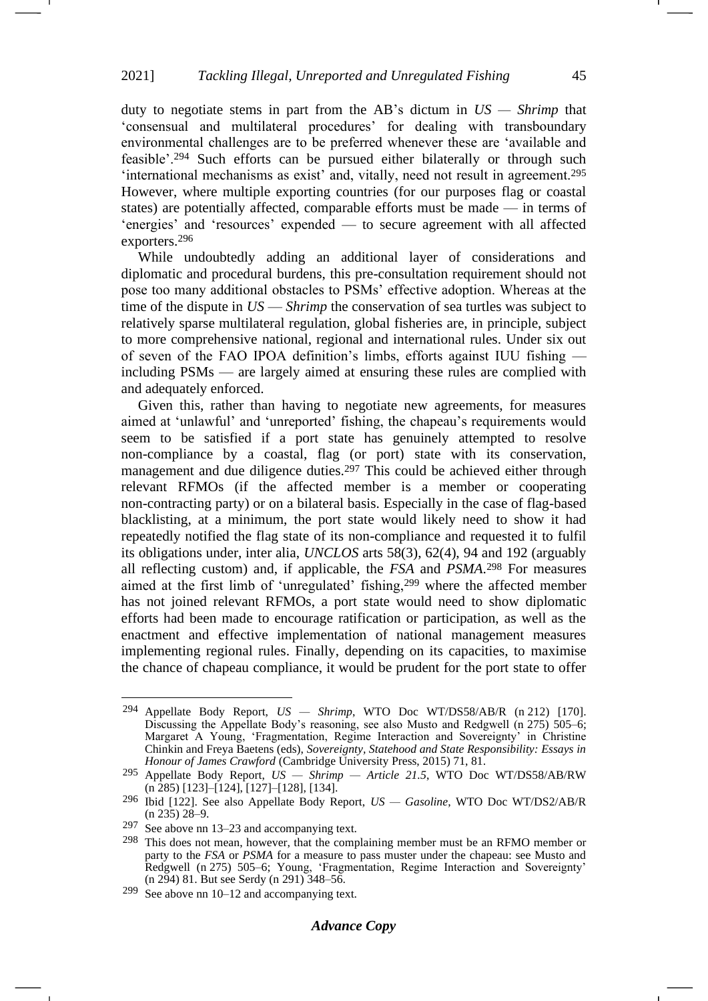<span id="page-44-0"></span>duty to negotiate stems in part from the AB's dictum in *US — Shrimp* that 'consensual and multilateral procedures' for dealing with transboundary environmental challenges are to be preferred whenever these are 'available and feasible'.<sup>294</sup> Such efforts can be pursued either bilaterally or through such 'international mechanisms as exist' and, vitally, need not result in agreement.<sup>295</sup> However, where multiple exporting countries (for our purposes flag or coastal states) are potentially affected, comparable efforts must be made — in terms of 'energies' and 'resources' expended — to secure agreement with all affected exporters.<sup>296</sup>

While undoubtedly adding an additional layer of considerations and diplomatic and procedural burdens, this pre-consultation requirement should not pose too many additional obstacles to PSMs' effective adoption. Whereas at the time of the dispute in *US* — *Shrimp* the conservation of sea turtles was subject to relatively sparse multilateral regulation, global fisheries are, in principle, subject to more comprehensive national, regional and international rules. Under six out of seven of the FAO IPOA definition's limbs, efforts against IUU fishing including PSMs — are largely aimed at ensuring these rules are complied with and adequately enforced.

Given this, rather than having to negotiate new agreements, for measures aimed at 'unlawful' and 'unreported' fishing, the chapeau's requirements would seem to be satisfied if a port state has genuinely attempted to resolve non-compliance by a coastal, flag (or port) state with its conservation, management and due diligence duties.<sup>297</sup> This could be achieved either through relevant RFMOs (if the affected member is a member or cooperating non-contracting party) or on a bilateral basis. Especially in the case of flag-based blacklisting, at a minimum, the port state would likely need to show it had repeatedly notified the flag state of its non-compliance and requested it to fulfil its obligations under, inter alia, *UNCLOS* arts 58(3), 62(4), 94 and 192 (arguably all reflecting custom) and, if applicable, the *FSA* and *PSMA*. <sup>298</sup> For measures aimed at the first limb of 'unregulated' fishing,<sup>299</sup> where the affected member has not joined relevant RFMOs, a port state would need to show diplomatic efforts had been made to encourage ratification or participation, as well as the enactment and effective implementation of national management measures implementing regional rules. Finally, depending on its capacities, to maximise the chance of chapeau compliance, it would be prudent for the port state to offer

<sup>294</sup> Appellate Body Report, *US — Shrimp*, WTO Doc WT/DS58/AB/R (n [212\)](#page-32-0) [170]. Discussing the Appellate Body's reasoning, see also Musto and Redgwell (n [275\)](#page-41-0) 505–6; Margaret A Young, 'Fragmentation, Regime Interaction and Sovereignty' in Christine Chinkin and Freya Baetens (eds), *Sovereignty, Statehood and State Responsibility: Essays in Honour of James Crawford* (Cambridge University Press, 2015) 71, 81.

<sup>295</sup> Appellate Body Report, *US — Shrimp — Article 21.5*, WTO Doc WT/DS58/AB/RW  $(n \overline{285})$  [123]–[124], [127]–[128], [134].

<sup>296</sup> Ibid [122]. See also Appellate Body Report, *US — Gasoline*, WTO Doc WT/DS2/AB/R (n [235\)](#page-35-1) 28–9.

<sup>297</sup> See above nn [13](#page-3-3)[–23](#page-5-1) and accompanying text.

<sup>298</sup> This does not mean, however, that the complaining member must be an RFMO member or party to the *FSA* or *PSMA* for a measure to pass muster under the chapeau: see Musto and Redgwell (n [275\)](#page-41-0) 505–6; Young, 'Fragmentation, Regime Interaction and Sovereignty' (n [294\)](#page-44-0) 81. But see Serdy (n [291\)](#page-43-0) 348–56.

<sup>299</sup> See above nn [10](#page-3-0)[–12](#page-3-4) and accompanying text.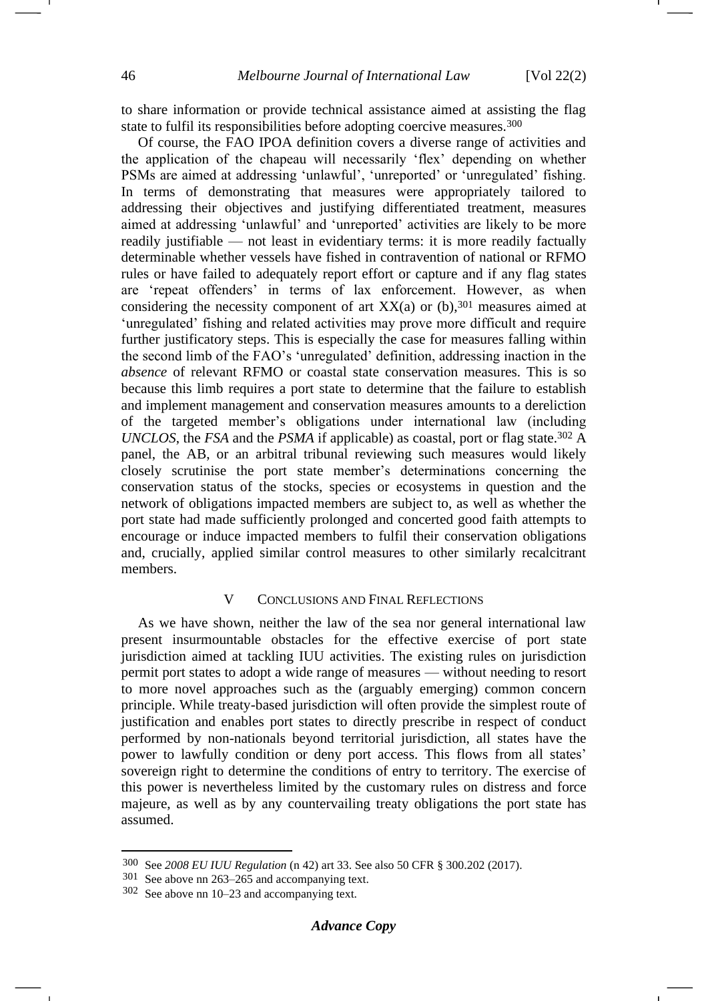to share information or provide technical assistance aimed at assisting the flag state to fulfil its responsibilities before adopting coercive measures.<sup>300</sup>

Of course, the FAO IPOA definition covers a diverse range of activities and the application of the chapeau will necessarily 'flex' depending on whether PSMs are aimed at addressing 'unlawful', 'unreported' or 'unregulated' fishing. In terms of demonstrating that measures were appropriately tailored to addressing their objectives and justifying differentiated treatment, measures aimed at addressing 'unlawful' and 'unreported' activities are likely to be more readily justifiable — not least in evidentiary terms: it is more readily factually determinable whether vessels have fished in contravention of national or RFMO rules or have failed to adequately report effort or capture and if any flag states are 'repeat offenders' in terms of lax enforcement. However, as when considering the necessity component of art  $XX(a)$  or (b), 301 measures aimed at 'unregulated' fishing and related activities may prove more difficult and require further justificatory steps. This is especially the case for measures falling within the second limb of the FAO's 'unregulated' definition, addressing inaction in the *absence* of relevant RFMO or coastal state conservation measures. This is so because this limb requires a port state to determine that the failure to establish and implement management and conservation measures amounts to a dereliction of the targeted member's obligations under international law (including *UNCLOS*, the *FSA* and the *PSMA* if applicable) as coastal, port or flag state.<sup>302</sup> A panel, the AB, or an arbitral tribunal reviewing such measures would likely closely scrutinise the port state member's determinations concerning the conservation status of the stocks, species or ecosystems in question and the network of obligations impacted members are subject to, as well as whether the port state had made sufficiently prolonged and concerted good faith attempts to encourage or induce impacted members to fulfil their conservation obligations and, crucially, applied similar control measures to other similarly recalcitrant members.

### V CONCLUSIONS AND FINAL REFLECTIONS

As we have shown, neither the law of the sea nor general international law present insurmountable obstacles for the effective exercise of port state jurisdiction aimed at tackling IUU activities. The existing rules on jurisdiction permit port states to adopt a wide range of measures — without needing to resort to more novel approaches such as the (arguably emerging) common concern principle. While treaty-based jurisdiction will often provide the simplest route of justification and enables port states to directly prescribe in respect of conduct performed by non-nationals beyond territorial jurisdiction, all states have the power to lawfully condition or deny port access. This flows from all states' sovereign right to determine the conditions of entry to territory. The exercise of this power is nevertheless limited by the customary rules on distress and force majeure, as well as by any countervailing treaty obligations the port state has assumed.

<sup>300</sup> See *2008 EU IUU Regulation* ([n 42\)](#page-7-1) art 33. See also 50 CFR § 300.202 (2017).

<sup>301</sup> See above nn [263](#page-39-0)[–265](#page-40-0) and accompanying text.

<sup>302</sup> See above nn [10](#page-3-0)[–23](#page-5-1) and accompanying text.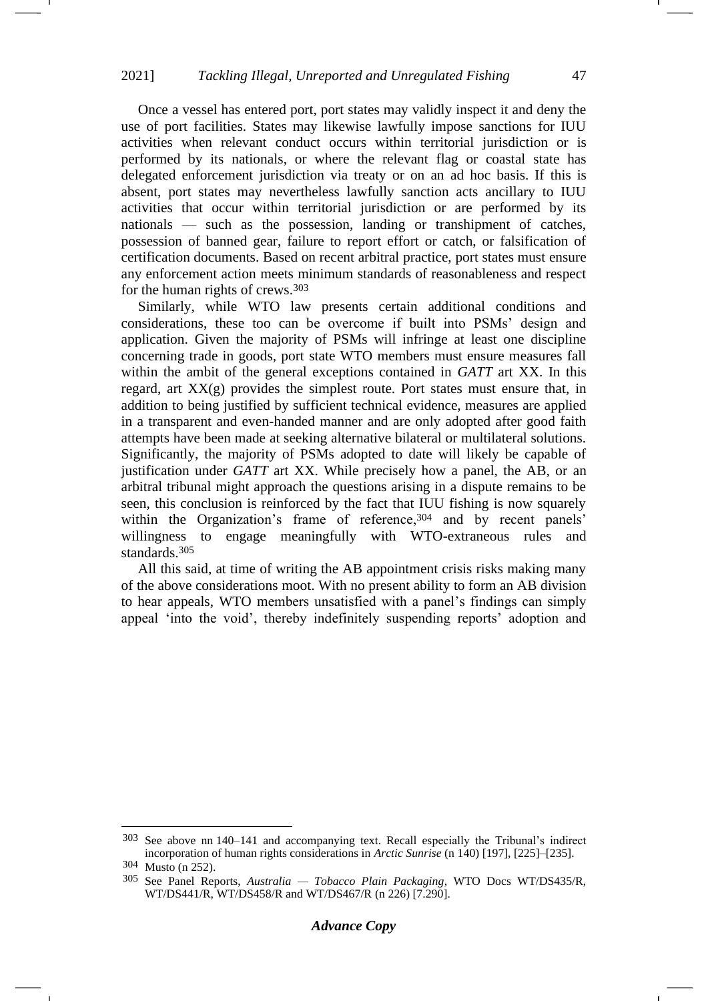Once a vessel has entered port, port states may validly inspect it and deny the use of port facilities. States may likewise lawfully impose sanctions for IUU activities when relevant conduct occurs within territorial jurisdiction or is performed by its nationals, or where the relevant flag or coastal state has delegated enforcement jurisdiction via treaty or on an ad hoc basis. If this is absent, port states may nevertheless lawfully sanction acts ancillary to IUU activities that occur within territorial jurisdiction or are performed by its nationals — such as the possession, landing or transhipment of catches, possession of banned gear, failure to report effort or catch, or falsification of certification documents. Based on recent arbitral practice, port states must ensure any enforcement action meets minimum standards of reasonableness and respect for the human rights of crews.<sup>303</sup>

Similarly, while WTO law presents certain additional conditions and considerations, these too can be overcome if built into PSMs' design and application. Given the majority of PSMs will infringe at least one discipline concerning trade in goods, port state WTO members must ensure measures fall within the ambit of the general exceptions contained in *GATT* art XX. In this regard, art  $XX(g)$  provides the simplest route. Port states must ensure that, in addition to being justified by sufficient technical evidence, measures are applied in a transparent and even-handed manner and are only adopted after good faith attempts have been made at seeking alternative bilateral or multilateral solutions. Significantly, the majority of PSMs adopted to date will likely be capable of justification under *GATT* art XX. While precisely how a panel, the AB, or an arbitral tribunal might approach the questions arising in a dispute remains to be seen, this conclusion is reinforced by the fact that IUU fishing is now squarely within the Organization's frame of reference, 304 and by recent panels' willingness to engage meaningfully with WTO-extraneous rules and standards.<sup>305</sup>

All this said, at time of writing the AB appointment crisis risks making many of the above considerations moot. With no present ability to form an AB division to hear appeals, WTO members unsatisfied with a panel's findings can simply appeal 'into the void', thereby indefinitely suspending reports' adoption and

<sup>303</sup> See above nn [140–](#page-21-0)[141](#page-21-3) and accompanying text. Recall especially the Tribunal's indirect incorporation of human rights considerations in *Arctic Sunrise* (n [140\)](#page-21-0) [197], [225]–[235].

<sup>304</sup> Musto (n [252\)](#page-37-1).

<sup>305</sup> See Panel Reports, *Australia — Tobacco Plain Packaging*, WTO Docs WT/DS435/R, WT/DS441/R, WT/DS458/R and WT/DS467/R (n [226\)](#page-33-0) [7.290].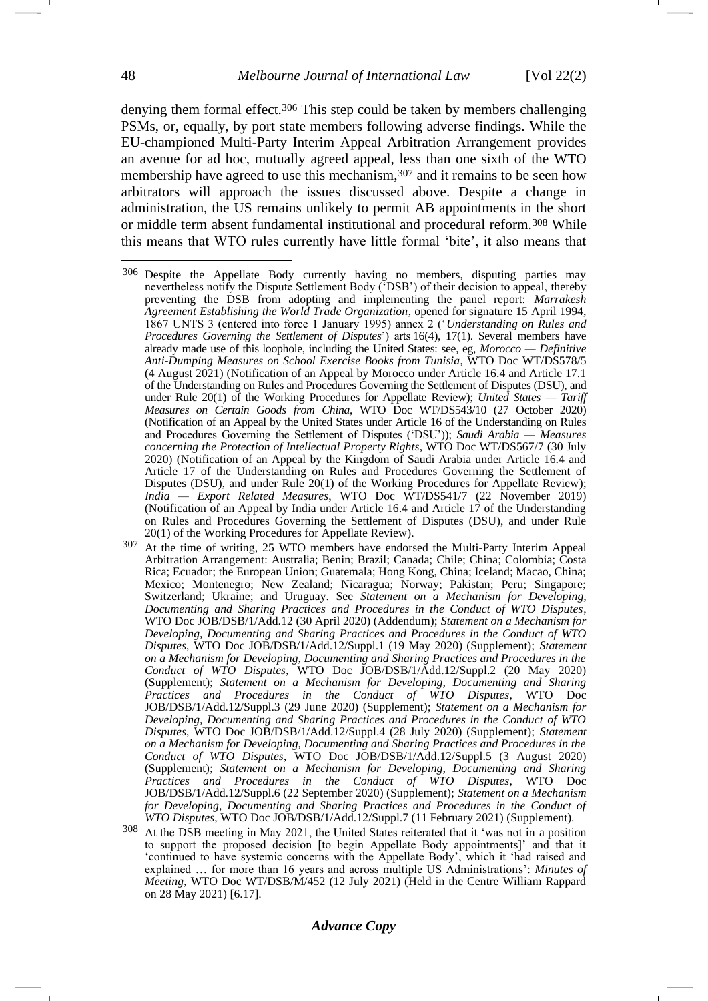denying them formal effect.<sup>306</sup> This step could be taken by members challenging PSMs, or, equally, by port state members following adverse findings. While the EU-championed Multi-Party Interim Appeal Arbitration Arrangement provides an avenue for ad hoc, mutually agreed appeal, less than one sixth of the WTO membership have agreed to use this mechanism,<sup>307</sup> and it remains to be seen how arbitrators will approach the issues discussed above. Despite a change in administration, the US remains unlikely to permit AB appointments in the short or middle term absent fundamental institutional and procedural reform.<sup>308</sup> While this means that WTO rules currently have little formal 'bite', it also means that

- At the time of writing, 25 WTO members have endorsed the Multi-Party Interim Appeal Arbitration Arrangement: Australia; Benin; Brazil; Canada; Chile; China; Colombia; Costa Rica; Ecuador; the European Union; Guatemala; Hong Kong, China; Iceland; Macao, China; Mexico; Montenegro; New Zealand; Nicaragua; Norway; Pakistan; Peru; Singapore; Switzerland; Ukraine; and Uruguay. See *Statement on a Mechanism for Developing, Documenting and Sharing Practices and Procedures in the Conduct of WTO Disputes*, WTO Doc JOB/DSB/1/Add.12 (30 April 2020) (Addendum); *Statement on a Mechanism for Developing, Documenting and Sharing Practices and Procedures in the Conduct of WTO Disputes*, WTO Doc JOB/DSB/1/Add.12/Suppl.1 (19 May 2020) (Supplement); *Statement on a Mechanism for Developing, Documenting and Sharing Practices and Procedures in the Conduct of WTO Disputes*, WTO Doc JOB/DSB/1/Add.12/Suppl.2 (20 May 2020) (Supplement); *Statement on a Mechanism for Developing, Documenting and Sharing Practices and Procedures in the Conduct of WTO Disputes*, WTO Doc JOB/DSB/1/Add.12/Suppl.3 (29 June 2020) (Supplement); *Statement on a Mechanism for Developing, Documenting and Sharing Practices and Procedures in the Conduct of WTO Disputes*, WTO Doc JOB/DSB/1/Add.12/Suppl.4 (28 July 2020) (Supplement); *Statement on a Mechanism for Developing, Documenting and Sharing Practices and Procedures in the Conduct of WTO Disputes*, WTO Doc JOB/DSB/1/Add.12/Suppl.5 (3 August 2020) (Supplement); *Statement on a Mechanism for Developing, Documenting and Sharing Practices and Procedures in the Conduct of WTO Disputes*, WTO Doc JOB/DSB/1/Add.12/Suppl.6 (22 September 2020) (Supplement); *Statement on a Mechanism for Developing, Documenting and Sharing Practices and Procedures in the Conduct of WTO Disputes*, WTO Doc JOB/DSB/1/Add.12/Suppl.7 (11 February 2021) (Supplement).
- 308 At the DSB meeting in May 2021, the United States reiterated that it 'was not in a position to support the proposed decision [to begin Appellate Body appointments]' and that it 'continued to have systemic concerns with the Appellate Body', which it 'had raised and explained … for more than 16 years and across multiple US Administrations': *Minutes of Meeting*, WTO Doc WT/DSB/M/452 (12 July 2021) (Held in the Centre William Rappard on 28 May 2021) [6.17].

<sup>306</sup> Despite the Appellate Body currently having no members, disputing parties may nevertheless notify the Dispute Settlement Body ('DSB') of their decision to appeal, thereby preventing the DSB from adopting and implementing the panel report: *Marrakesh Agreement Establishing the World Trade Organization*, opened for signature 15 April 1994, 1867 UNTS 3 (entered into force 1 January 1995) annex 2 ('*Understanding on Rules and Procedures Governing the Settlement of Disputes*') arts 16(4), 17(1). Several members have already made use of this loophole, including the United States: see, eg, *Morocco — Definitive Anti-Dumping Measures on School Exercise Books from Tunisia*, WTO Doc WT/DS578/5 (4 August 2021) (Notification of an Appeal by Morocco under Article 16.4 and Article 17.1 of the Understanding on Rules and Procedures Governing the Settlement of Disputes (DSU), and under Rule 20(1) of the Working Procedures for Appellate Review); *United States — Tariff Measures on Certain Goods from China*, WTO Doc WT/DS543/10 (27 October 2020) (Notification of an Appeal by the United States under Article 16 of the Understanding on Rules and Procedures Governing the Settlement of Disputes ('DSU')); *Saudi Arabia — Measures concerning the Protection of Intellectual Property Rights*, WTO Doc WT/DS567/7 (30 July 2020) (Notification of an Appeal by the Kingdom of Saudi Arabia under Article 16.4 and Article 17 of the Understanding on Rules and Procedures Governing the Settlement of Disputes (DSU), and under Rule 20(1) of the Working Procedures for Appellate Review); *India — Export Related Measures*, WTO Doc WT/DS541/7 (22 November 2019) (Notification of an Appeal by India under Article 16.4 and Article 17 of the Understanding on Rules and Procedures Governing the Settlement of Disputes (DSU), and under Rule 20(1) of the Working Procedures for Appellate Review).